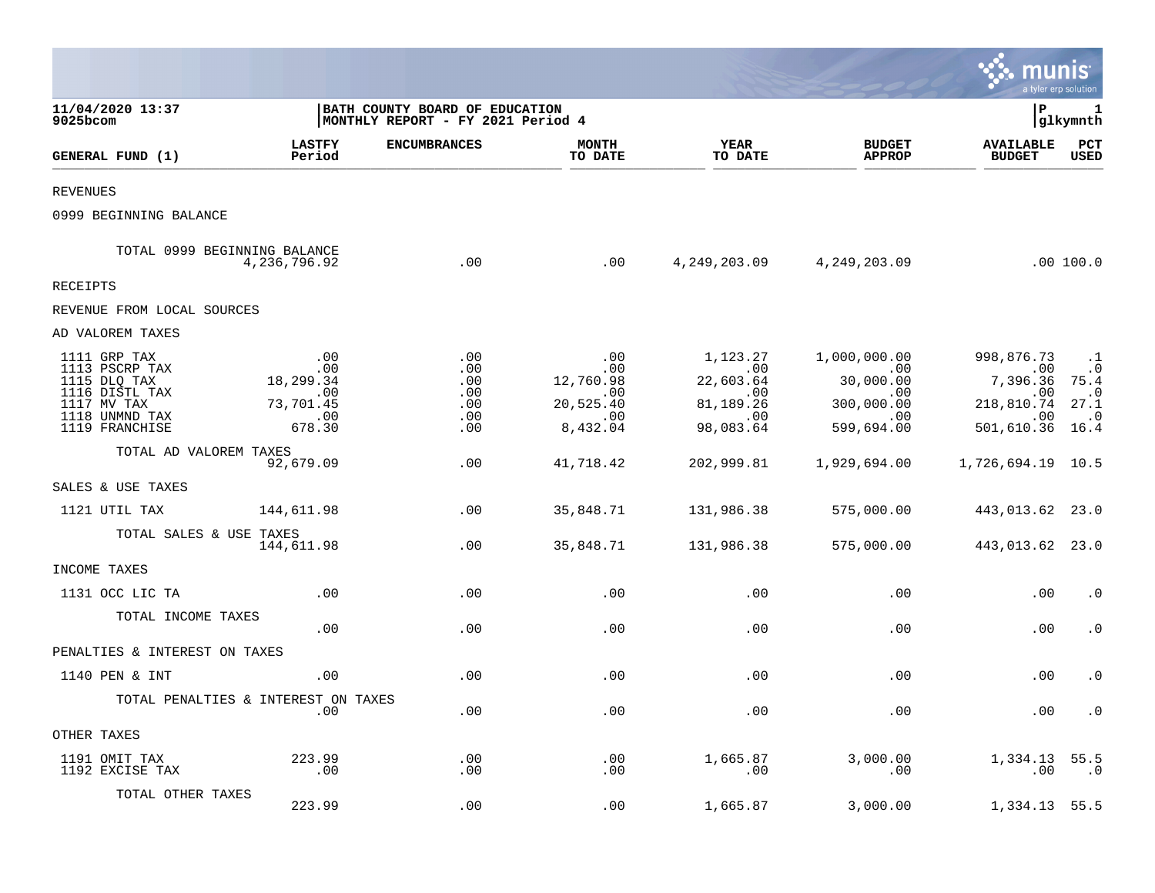|                                                                                                                     |                                                              |                                                                     |                                                                |                                                                           |                                                                            | munis                                                                        | a tyler erp solution                                                     |
|---------------------------------------------------------------------------------------------------------------------|--------------------------------------------------------------|---------------------------------------------------------------------|----------------------------------------------------------------|---------------------------------------------------------------------------|----------------------------------------------------------------------------|------------------------------------------------------------------------------|--------------------------------------------------------------------------|
| 11/04/2020 13:37<br>9025bcom                                                                                        |                                                              | BATH COUNTY BOARD OF EDUCATION<br>MONTHLY REPORT - FY 2021 Period 4 |                                                                |                                                                           |                                                                            | l P                                                                          | 1<br> glkymnth                                                           |
| GENERAL FUND (1)                                                                                                    | <b>LASTFY</b><br>Period                                      | <b>ENCUMBRANCES</b>                                                 | <b>MONTH</b><br>TO DATE                                        | <b>YEAR</b><br>TO DATE                                                    | <b>BUDGET</b><br><b>APPROP</b>                                             | <b>AVAILABLE</b><br><b>BUDGET</b>                                            | <b>PCT</b><br>USED                                                       |
| <b>REVENUES</b>                                                                                                     |                                                              |                                                                     |                                                                |                                                                           |                                                                            |                                                                              |                                                                          |
| 0999 BEGINNING BALANCE                                                                                              |                                                              |                                                                     |                                                                |                                                                           |                                                                            |                                                                              |                                                                          |
| TOTAL 0999 BEGINNING BALANCE                                                                                        | 4,236,796.92                                                 | .00                                                                 | .00                                                            |                                                                           | 4, 249, 203.09 4, 249, 203.09                                              |                                                                              | .00 100.0                                                                |
| RECEIPTS                                                                                                            |                                                              |                                                                     |                                                                |                                                                           |                                                                            |                                                                              |                                                                          |
| REVENUE FROM LOCAL SOURCES                                                                                          |                                                              |                                                                     |                                                                |                                                                           |                                                                            |                                                                              |                                                                          |
| AD VALOREM TAXES                                                                                                    |                                                              |                                                                     |                                                                |                                                                           |                                                                            |                                                                              |                                                                          |
| 1111 GRP TAX<br>1113 PSCRP TAX<br>1115 DLQ TAX<br>1116 DISTL TAX<br>1117 MV TAX<br>1118 UNMND TAX<br>1119 FRANCHISE | .00<br>.00<br>18,299.34<br>.00<br>73,701.45<br>.00<br>678.30 | .00<br>.00<br>.00<br>.00<br>.00<br>.00<br>.00                       | .00<br>.00<br>12,760.98<br>.00<br>20,525.40<br>.00<br>8,432.04 | 1,123.27<br>$.00 \,$<br>22,603.64<br>.00<br>81,189.26<br>.00<br>98,083.64 | 1,000,000.00<br>.00<br>30,000.00<br>.00<br>300,000.00<br>.00<br>599,694.00 | 998,876.73<br>$.00 \,$<br>7,396.36<br>.00<br>218,810.74<br>.00<br>501,610.36 | $\cdot$ 1<br>$\cdot$ 0<br>75.4<br>$\cdot$ 0<br>27.1<br>$\cdot$ 0<br>16.4 |
| TOTAL AD VALOREM TAXES                                                                                              | 92,679.09                                                    | .00                                                                 | 41,718.42                                                      | 202,999.81                                                                | 1,929,694.00                                                               | 1,726,694.19 10.5                                                            |                                                                          |
| SALES & USE TAXES                                                                                                   |                                                              |                                                                     |                                                                |                                                                           |                                                                            |                                                                              |                                                                          |
| 1121 UTIL TAX                                                                                                       | 144,611.98                                                   | .00                                                                 | 35,848.71                                                      | 131,986.38                                                                | 575,000.00                                                                 | 443,013.62 23.0                                                              |                                                                          |
| TOTAL SALES & USE TAXES                                                                                             | 144,611.98                                                   | .00                                                                 | 35,848.71                                                      | 131,986.38                                                                | 575,000.00                                                                 | 443,013.62 23.0                                                              |                                                                          |
| INCOME TAXES                                                                                                        |                                                              |                                                                     |                                                                |                                                                           |                                                                            |                                                                              |                                                                          |
| 1131 OCC LIC TA                                                                                                     | .00                                                          | .00                                                                 | .00                                                            | .00                                                                       | .00                                                                        | .00                                                                          | $\cdot$ 0                                                                |
| TOTAL INCOME TAXES                                                                                                  | .00                                                          | .00                                                                 | .00                                                            | .00                                                                       | .00                                                                        | .00                                                                          | $\cdot$ 0                                                                |
| PENALTIES & INTEREST ON TAXES                                                                                       |                                                              |                                                                     |                                                                |                                                                           |                                                                            |                                                                              |                                                                          |
| 1140 PEN & INT                                                                                                      | .00                                                          | .00                                                                 | .00                                                            | .00                                                                       | .00                                                                        | .00                                                                          | $\cdot$ 0                                                                |
|                                                                                                                     | TOTAL PENALTIES & INTEREST ON TAXES<br>.00                   | .00                                                                 | .00                                                            | .00                                                                       | .00                                                                        |                                                                              | $.00 \t .0$                                                              |
| OTHER TAXES                                                                                                         |                                                              |                                                                     |                                                                |                                                                           |                                                                            |                                                                              |                                                                          |
| 1191 OMIT TAX<br>1192 EXCISE TAX                                                                                    | 223.99<br>.00                                                | .00<br>.00                                                          | .00<br>.00                                                     | 1,665.87<br>.00                                                           | 3,000.00<br>.00                                                            | 1,334.13 55.5                                                                | $.00$ $.0$                                                               |
| TOTAL OTHER TAXES                                                                                                   | 223.99                                                       | .00                                                                 | .00                                                            | 1,665.87                                                                  | 3,000.00                                                                   | 1,334.13 55.5                                                                |                                                                          |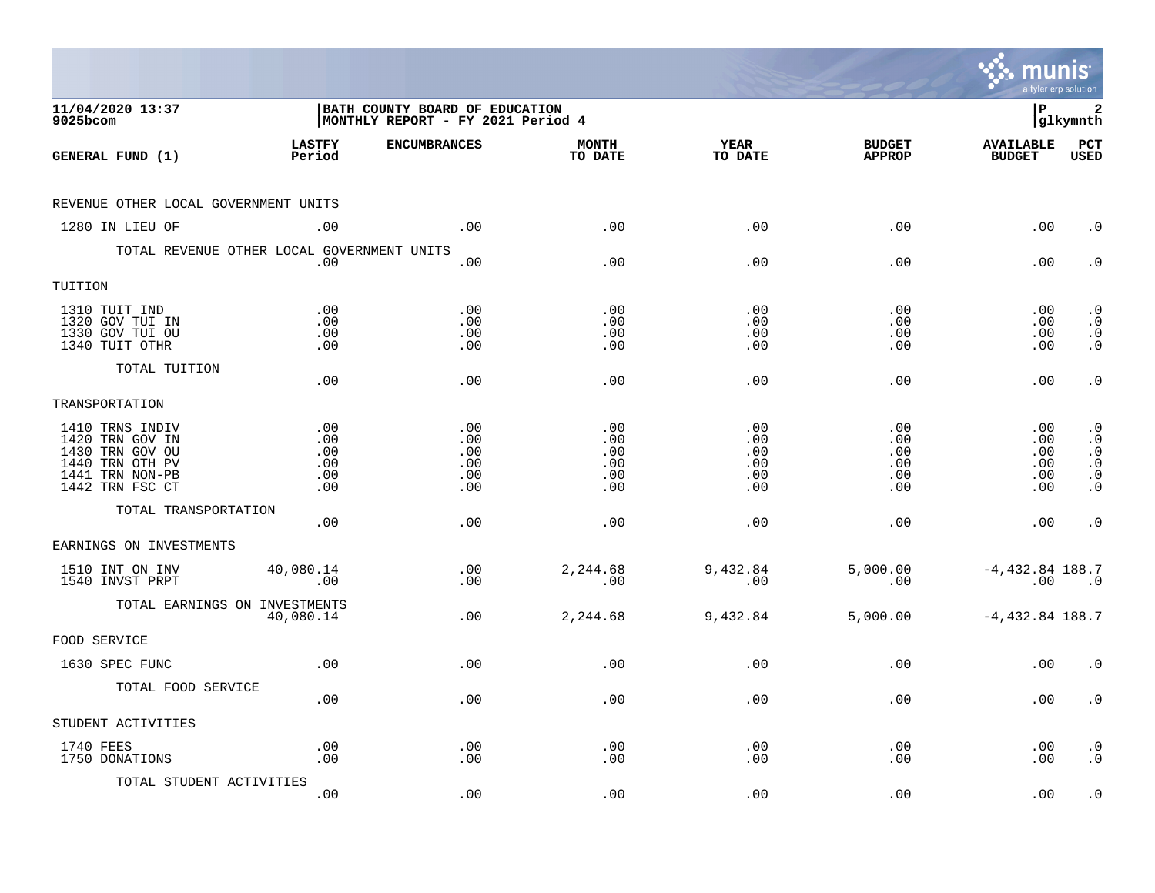|                                                                                                                |                                        |                                                                     |                                        |                                        |                                        | munis                                   | a tyler erp solution                                                                    |
|----------------------------------------------------------------------------------------------------------------|----------------------------------------|---------------------------------------------------------------------|----------------------------------------|----------------------------------------|----------------------------------------|-----------------------------------------|-----------------------------------------------------------------------------------------|
| 11/04/2020 13:37<br>9025bcom                                                                                   |                                        | BATH COUNTY BOARD OF EDUCATION<br>MONTHLY REPORT - FY 2021 Period 4 |                                        |                                        |                                        | l P                                     | 2<br> glkymnth                                                                          |
| GENERAL FUND (1)                                                                                               | <b>LASTFY</b><br>Period                | <b>ENCUMBRANCES</b>                                                 | <b>MONTH</b><br>TO DATE                | <b>YEAR</b><br>TO DATE                 | <b>BUDGET</b><br><b>APPROP</b>         | <b>AVAILABLE</b><br><b>BUDGET</b>       | PCT<br><b>USED</b>                                                                      |
| REVENUE OTHER LOCAL GOVERNMENT UNITS                                                                           |                                        |                                                                     |                                        |                                        |                                        |                                         |                                                                                         |
| 1280 IN LIEU OF                                                                                                | .00                                    | .00                                                                 | .00                                    | .00                                    | .00                                    | .00                                     | $\cdot$ 0                                                                               |
| TOTAL REVENUE OTHER LOCAL GOVERNMENT UNITS                                                                     | .00                                    | .00                                                                 | .00                                    | .00                                    | .00                                    | .00                                     | $\cdot$ 0                                                                               |
| TUITION                                                                                                        |                                        |                                                                     |                                        |                                        |                                        |                                         |                                                                                         |
| 1310 TUIT IND<br>1320 GOV TUI IN<br>1330 GOV TUI OU<br>1340 TUIT OTHR                                          | .00<br>.00<br>.00<br>.00               | .00<br>.00<br>.00<br>.00                                            | .00<br>.00<br>.00<br>.00               | .00<br>.00<br>.00<br>.00               | .00<br>.00<br>.00<br>.00               | $.00 \,$<br>$.00 \,$<br>.00<br>$.00 \,$ | $\cdot$ 0<br>$\cdot$ 0<br>$\begin{smallmatrix} 0 \\ 0 \\ 0 \end{smallmatrix}$           |
| TOTAL TUITION                                                                                                  | .00                                    | .00                                                                 | .00                                    | .00                                    | .00                                    | .00                                     | $\cdot$ 0                                                                               |
| TRANSPORTATION                                                                                                 |                                        |                                                                     |                                        |                                        |                                        |                                         |                                                                                         |
| 1410 TRNS INDIV<br>1420 TRN GOV IN<br>1430 TRN GOV OU<br>1440 TRN OTH PV<br>1441 TRN NON-PB<br>1442 TRN FSC CT | .00<br>.00<br>.00<br>.00<br>.00<br>.00 | .00<br>.00<br>.00<br>.00<br>.00<br>.00                              | .00<br>.00<br>.00<br>.00<br>.00<br>.00 | .00<br>.00<br>.00<br>.00<br>.00<br>.00 | .00<br>.00<br>.00<br>.00<br>.00<br>.00 | .00<br>.00<br>.00<br>.00<br>.00<br>.00  | $\cdot$ 0<br>$\cdot$ 0<br>$\cdot$ 0<br>$\boldsymbol{\cdot}$ 0<br>$\cdot$ 0<br>$\cdot$ 0 |
| TOTAL TRANSPORTATION                                                                                           | .00                                    | .00                                                                 | .00                                    | .00                                    | .00                                    | .00                                     | $\cdot$ 0                                                                               |
| EARNINGS ON INVESTMENTS                                                                                        |                                        |                                                                     |                                        |                                        |                                        |                                         |                                                                                         |
| 1510 INT ON INV<br>1540 INVST PRPT                                                                             | 40,080.14<br>.00                       | .00<br>.00                                                          | 2,244.68<br>.00                        | 9,432.84<br>.00                        | 5,000.00<br>.00                        | $-4,432.84$ 188.7<br>.00                | $\overline{\phantom{0}}$ .0                                                             |
| TOTAL EARNINGS ON INVESTMENTS                                                                                  | 40,080.14                              | .00                                                                 | 2,244.68                               | 9,432.84                               | 5,000.00                               | $-4,432.84$ 188.7                       |                                                                                         |
| FOOD SERVICE                                                                                                   |                                        |                                                                     |                                        |                                        |                                        |                                         |                                                                                         |
| 1630 SPEC FUNC                                                                                                 | .00                                    | .00                                                                 | .00                                    | .00                                    | .00                                    | .00                                     | $\cdot$ 0                                                                               |
| TOTAL FOOD SERVICE                                                                                             | .00                                    | .00                                                                 | .00                                    | .00                                    | .00                                    | $.00 \,$                                | $\cdot$ 0                                                                               |
| STUDENT ACTIVITIES                                                                                             |                                        |                                                                     |                                        |                                        |                                        |                                         |                                                                                         |
| 1740 FEES<br>1750 DONATIONS                                                                                    | .00<br>.00                             | .00<br>.00                                                          | .00<br>.00                             | .00<br>.00                             | .00<br>.00                             | .00<br>.00                              | $\cdot$ 0<br>$\cdot$ 0                                                                  |
| TOTAL STUDENT ACTIVITIES                                                                                       | .00                                    | .00                                                                 | .00                                    | .00                                    | .00                                    | .00                                     | $\cdot$ 0                                                                               |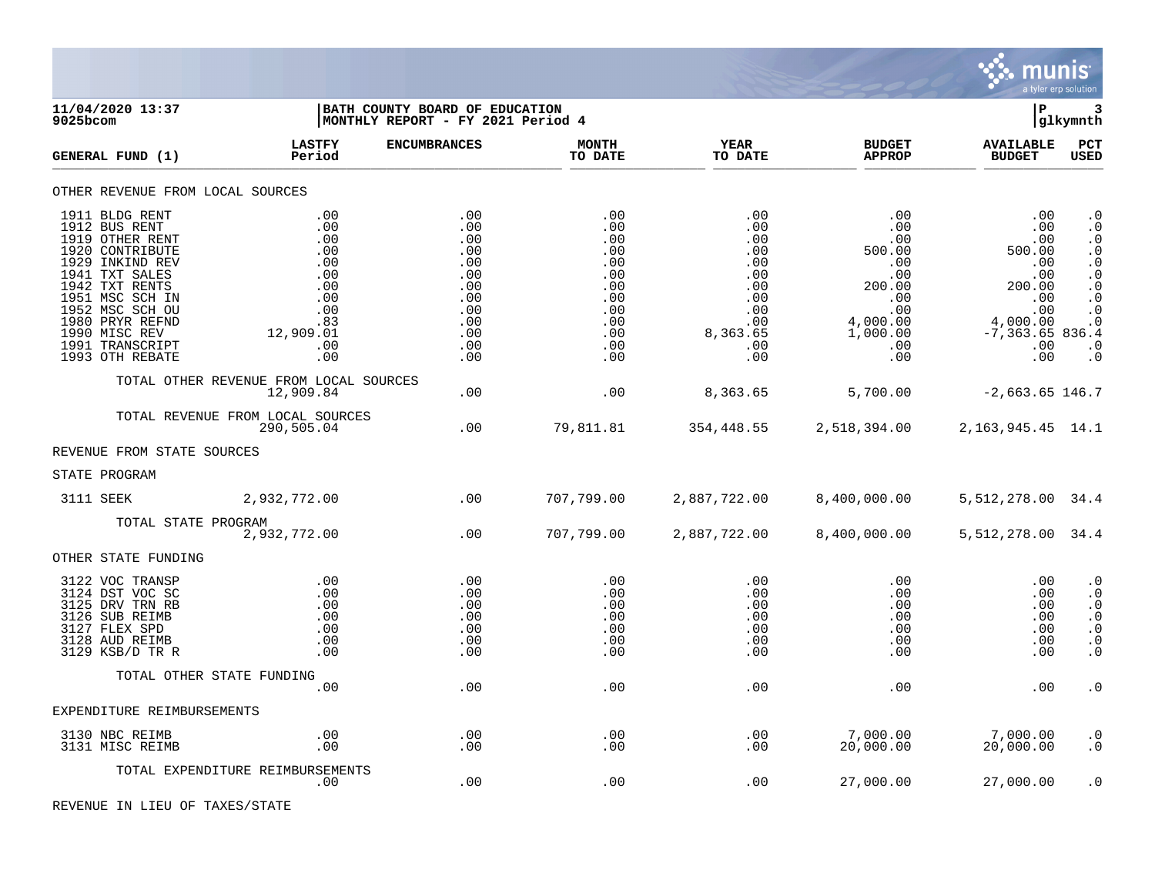

| 9025bcom | 11/04/2020 13:37                                                                                                                                                                                                                             |                                                                                               | BATH COUNTY BOARD OF EDUCATION<br>MONTHLY REPORT - FY 2021 Period 4                     |                                                                                         |                                                                                              |                                                                                                                                | lР                                                                                                                | 3<br> glkymnth                                                                                                                                                        |
|----------|----------------------------------------------------------------------------------------------------------------------------------------------------------------------------------------------------------------------------------------------|-----------------------------------------------------------------------------------------------|-----------------------------------------------------------------------------------------|-----------------------------------------------------------------------------------------|----------------------------------------------------------------------------------------------|--------------------------------------------------------------------------------------------------------------------------------|-------------------------------------------------------------------------------------------------------------------|-----------------------------------------------------------------------------------------------------------------------------------------------------------------------|
|          | GENERAL FUND (1)                                                                                                                                                                                                                             | <b>LASTFY</b><br>Period                                                                       | <b>ENCUMBRANCES</b>                                                                     | <b>MONTH</b><br>TO DATE                                                                 | YEAR<br>TO DATE                                                                              | <b>BUDGET</b><br><b>APPROP</b>                                                                                                 | <b>AVAILABLE</b><br><b>BUDGET</b>                                                                                 | PCT<br><b>USED</b>                                                                                                                                                    |
|          | OTHER REVENUE FROM LOCAL SOURCES                                                                                                                                                                                                             |                                                                                               |                                                                                         |                                                                                         |                                                                                              |                                                                                                                                |                                                                                                                   |                                                                                                                                                                       |
|          | 1911 BLDG RENT<br>1912 BUS RENT<br>1919 OTHER RENT<br>1920 CONTRIBUTE<br>1929 INKIND REV<br>1941 TXT SALES<br>1942 TXT RENTS<br>1951 MSC SCH IN<br>1952 MSC SCH OU<br>1980 PRYR REFND<br>1990 MISC REV<br>1991 TRANSCRIPT<br>1993 OTH REBATE | .00<br>.00<br>.00<br>.00<br>.00<br>.00<br>.00<br>.00<br>.00<br>.83<br>12,909.01<br>.00<br>.00 | .00<br>.00<br>.00<br>.00<br>.00<br>.00<br>.00<br>.00<br>.00<br>.00<br>.00<br>.00<br>.00 | .00<br>.00<br>.00<br>.00<br>.00<br>.00<br>.00<br>.00<br>.00<br>.00<br>.00<br>.00<br>.00 | .00<br>.00<br>.00<br>.00<br>.00<br>.00<br>.00<br>.00<br>.00<br>.00<br>8,363.65<br>.00<br>.00 | $.00 \ \rm$<br>$.00 \,$<br>.00<br>500.00<br>.00<br>.00<br>200.00<br>$.00 \,$<br>.00<br>4,000.00<br>1,000.00<br>$.00 \,$<br>.00 | .00<br>.00<br>.00<br>500.00<br>.00<br>.00<br>200.00<br>.00<br>.00<br>4,000.00<br>$-7, 363.65 836.4$<br>.00<br>.00 | $\cdot$ 0<br>$\cdot$ 0<br>$\cdot$ 0<br>$\cdot$ 0<br>$\cdot$ 0<br>$\boldsymbol{\cdot}$ 0<br>$\cdot$ 0<br>$\cdot$ 0<br>$\cdot$ 0<br>$\cdot$ 0<br>$\cdot$ 0<br>$\cdot$ 0 |
|          |                                                                                                                                                                                                                                              | TOTAL OTHER REVENUE FROM LOCAL SOURCES<br>12,909.84                                           | .00                                                                                     | .00                                                                                     | 8,363.65                                                                                     | 5,700.00                                                                                                                       | $-2,663.65$ 146.7                                                                                                 |                                                                                                                                                                       |
|          |                                                                                                                                                                                                                                              | TOTAL REVENUE FROM LOCAL SOURCES<br>290,505.04                                                | .00                                                                                     | 79,811.81                                                                               | 354,448.55                                                                                   | 2,518,394.00                                                                                                                   | 2, 163, 945. 45 14. 1                                                                                             |                                                                                                                                                                       |
|          | REVENUE FROM STATE SOURCES                                                                                                                                                                                                                   |                                                                                               |                                                                                         |                                                                                         |                                                                                              |                                                                                                                                |                                                                                                                   |                                                                                                                                                                       |
|          | STATE PROGRAM                                                                                                                                                                                                                                |                                                                                               |                                                                                         |                                                                                         |                                                                                              |                                                                                                                                |                                                                                                                   |                                                                                                                                                                       |
|          | 3111 SEEK                                                                                                                                                                                                                                    | 2,932,772.00                                                                                  | .00                                                                                     | 707,799.00                                                                              | 2,887,722.00                                                                                 | 8,400,000.00                                                                                                                   | 5,512,278.00 34.4                                                                                                 |                                                                                                                                                                       |
|          | TOTAL STATE PROGRAM                                                                                                                                                                                                                          | 2,932,772.00                                                                                  | .00                                                                                     | 707,799.00                                                                              | 2,887,722.00                                                                                 | 8,400,000.00                                                                                                                   | 5, 512, 278.00 34.4                                                                                               |                                                                                                                                                                       |
|          | OTHER STATE FUNDING                                                                                                                                                                                                                          |                                                                                               |                                                                                         |                                                                                         |                                                                                              |                                                                                                                                |                                                                                                                   |                                                                                                                                                                       |
|          | 3122 VOC TRANSP<br>3124 DST VOC SC<br>3125 DRV TRN RB<br>3126 SUB REIMB<br>3127 FLEX SPD<br>3128 AUD REIMB<br>3129 KSB/D TR R                                                                                                                | .00<br>.00<br>.00<br>.00<br>.00<br>.00<br>.00                                                 | .00<br>.00<br>.00<br>.00<br>.00<br>.00<br>.00                                           | .00<br>.00<br>.00<br>.00<br>.00<br>.00<br>.00                                           | .00<br>.00<br>.00<br>.00<br>.00<br>.00<br>.00                                                | .00<br>.00<br>$.00 \,$<br>.00<br>.00<br>.00<br>.00                                                                             | .00<br>.00<br>.00<br>.00<br>.00<br>.00<br>.00                                                                     | $\cdot$ 0<br>$\cdot$ 0<br>$\boldsymbol{\cdot}$ 0<br>$\cdot$ 0<br>$\boldsymbol{\cdot}$ 0<br>$\cdot$ 0<br>$\cdot$ 0                                                     |
|          |                                                                                                                                                                                                                                              | TOTAL OTHER STATE FUNDING                                                                     |                                                                                         |                                                                                         |                                                                                              |                                                                                                                                |                                                                                                                   |                                                                                                                                                                       |
|          | EXPENDITURE REIMBURSEMENTS                                                                                                                                                                                                                   | .00                                                                                           | .00                                                                                     | .00                                                                                     | .00                                                                                          | $.00 \,$                                                                                                                       | .00                                                                                                               | $\cdot$ 0                                                                                                                                                             |
|          | 3130 NBC REIMB                                                                                                                                                                                                                               | .00                                                                                           | .00                                                                                     | .00                                                                                     | .00                                                                                          | 7,000.00                                                                                                                       | 7,000.00                                                                                                          | $\cdot$ 0                                                                                                                                                             |
|          | 3131 MISC REIMB                                                                                                                                                                                                                              | .00                                                                                           | .00                                                                                     | .00                                                                                     | .00                                                                                          | 20,000.00                                                                                                                      | 20,000.00                                                                                                         | $\cdot$ 0                                                                                                                                                             |
|          |                                                                                                                                                                                                                                              | TOTAL EXPENDITURE REIMBURSEMENTS<br>.00                                                       | .00                                                                                     | .00                                                                                     | .00                                                                                          | 27,000.00                                                                                                                      | 27,000.00                                                                                                         | $\cdot$ 0                                                                                                                                                             |

REVENUE IN LIEU OF TAXES/STATE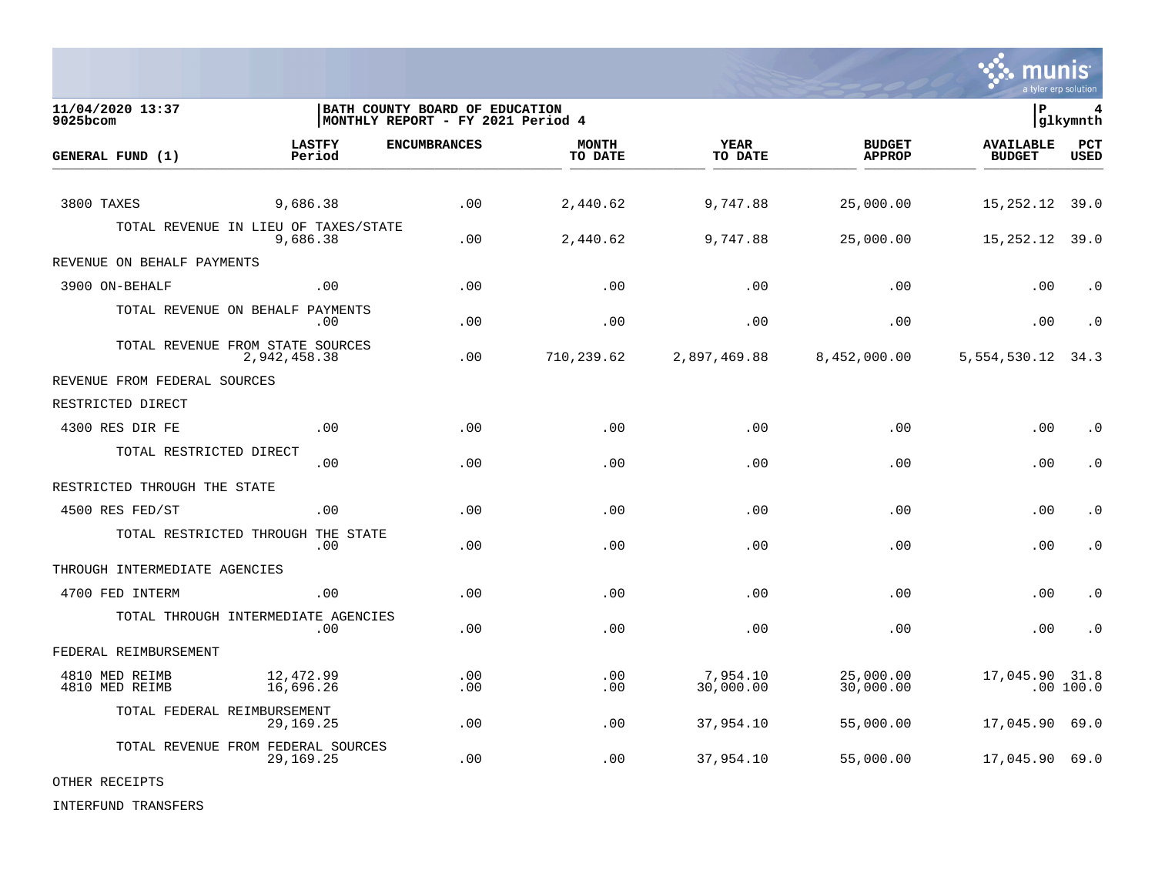

**11/04/2020 13:37 |BATH COUNTY BOARD OF EDUCATION |P 4** MONTHLY REPORT - FY 2021 Period 4 **LASTFY ENCUMBRANCES MONTH YEAR BUDGET AVAILABLE PCT GENERAL FUND (1)** TO DATE THE RELIGION CONDUCT TO DATE THE RELIGION CONDUCT TO DATE THE RELIGION OF THE RELIGION OF THE RELIGION OF THE RELIGION OF THE RELIGION OF THE RELIGION OF THE RELIGION OF THE RELIGION OF THE RELIGION OF THE RELIGION 3800 TAXES 9,686.38 .00 2,440.62 9,747.88 25,000.00 15,252.12 39.0 TOTAL REVENUE IN LIEU OF TAXES/STATE<br>9.686.38 9,686.38 .00 2,440.62 9,747.88 25,000.00 15,252.12 39.0 REVENUE ON BEHALF PAYMENTS 3900 ON-BEHALF .00 .00 .00 .00 .00 .00 .0 TOTAL REVENUE ON BEHALF PAYMENTS .00 .00 .00 .00 .00 .00 .0 TOTAL REVENUE FROM STATE SOURCES 2,942,458.38 .00 710,239.62 2,897,469.88 8,452,000.00 5,554,530.12 34.3 REVENUE FROM FEDERAL SOURCES RESTRICTED DIRECT 4300 RES DIR FE .00 .00 .00 .00 .00 .00 .0 TOTAL RESTRICTED DIRECT .00 .00 .00 .00 .00 .00 .0 RESTRICTED THROUGH THE STATE 4500 RES FED/ST .00 .00 .00 .00 .00 .00 .0 TOTAL RESTRICTED THROUGH THE STATE .00 .00 .00 .00 .00 .00 .0 THROUGH INTERMEDIATE AGENCIES 4700 FED INTERM .00 .00 .00 .00 .00 .00 .0 TOTAL THROUGH INTERMEDIATE AGENCIES .00 .00 .00 .00 .00 .00 .0 FEDERAL REIMBURSEMENT 4810 MED REIMB 12,472.99 .00 .00 7,954.10 25,000.00 17,045.90 31.8 4810 MED REIMB 16,696.26 .00 .00 30,000.00 30,000.00 .00 100.0 TOTAL FEDERAL REIMBURSEMENT 29,169.25 .00 .00 37,954.10 55,000.00 17,045.90 69.0 TOTAL REVENUE FROM FEDERAL SOURCES 29,169.25 .00 .00 37,954.10 55,000.00 17,045.90 69.0

OTHER RECEIPTS

INTERFUND TRANSFERS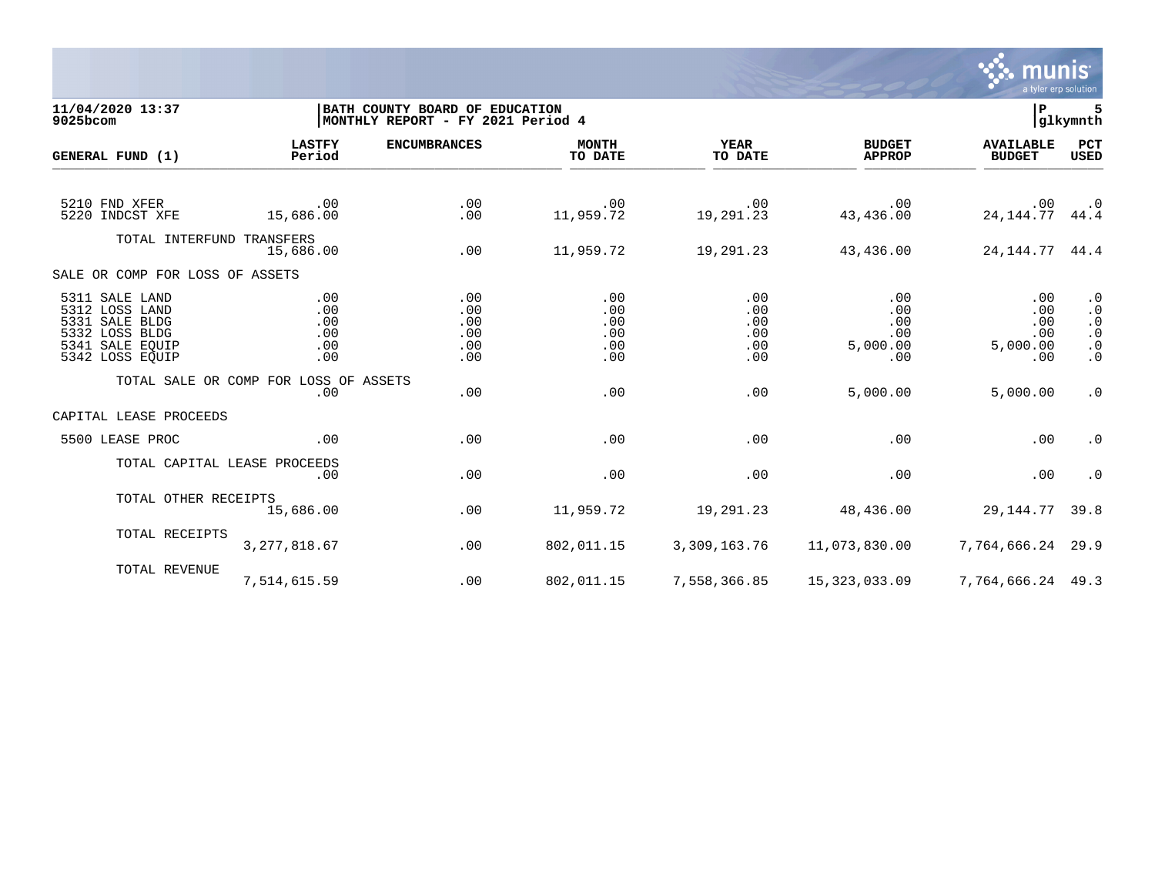

11/04/2020 13:37 **| BATH COUNTY BOARD OF EDUCATION**<br>9025bcom **| BATH COUNTY BOARD OF EDUCATION | P** 5<br>9025bcom **| MONTHLY REPORT - FY 2021 Period 4 MONTHLY REPORT - FY 2021 Period 4 LASTFY ENCUMBRANCES MONTH YEAR BUDGET AVAILABLE PCT GENERAL FUND (1)** TO DATE THE RELIGION CONDUCT TO DATE THE RELIGION CONDUCT TO DATE THE RELIGION OF THE RELIGION OF THE RELIGION OF THE RELIGION OF THE RELIGION OF THE RELIGION OF THE RELIGION OF THE RELIGION OF THE RELIGION OF THE RELIGION 5210 FND XFER .00 .00 .00 .00 .00 .00 .0 5220 INDCST XFE 15,686.00 .00 11,959.72 19,291.23 43,436.00 24,144.77 44.4 TOTAL INTERFUND TRANSFERS 15,686.00 .00 11,959.72 19,291.23 43,436.00 24,144.77 44.4 SALE OR COMP FOR LOSS OF ASSETS 5311 SALE LAND .00 .00 .00 .00 .00 .00 .0 5312 LOSS LAND .00 .00 .00 .00 .00 .00 .0 5331 SALE BLDG .00 .00 .00 .00 .00 .00 .0 5332 LOSS BLDG .00 .00 .00 .00 .00 .00 .0 5341 SALE EQUIP .00 .00 .00 .00 5,000.00 5,000.00 .0 5342 LOSS EQUIP .00 .00 .00 .00 .00 .00 .0 TOTAL SALE OR COMP FOR LOSS OF ASSETS<br>.00 .00 .00 .00 .00 5,000.00 5,000.00 .0 CAPITAL LEASE PROCEEDS 5500 LEASE PROC .00 .00 .00 .00 .00 .00 .0 TOTAL CAPITAL LEASE PROCEEDS .00 .00 .00 .00 .00 .00 .0 TOTAL OTHER RECEIPTS<br>15,686.00 15,686.00 .00 11,959.72 19,291.23 48,436.00 29,144.77 39.8 TOTAL RECEIPTS 3,277,818.67 .00 802,011.15 3,309,163.76 11,073,830.00 7,764,666.24 29.9 TOTAL REVENUE 7,514,615.59 .00 802,011.15 7,558,366.85 15,323,033.09 7,764,666.24 49.3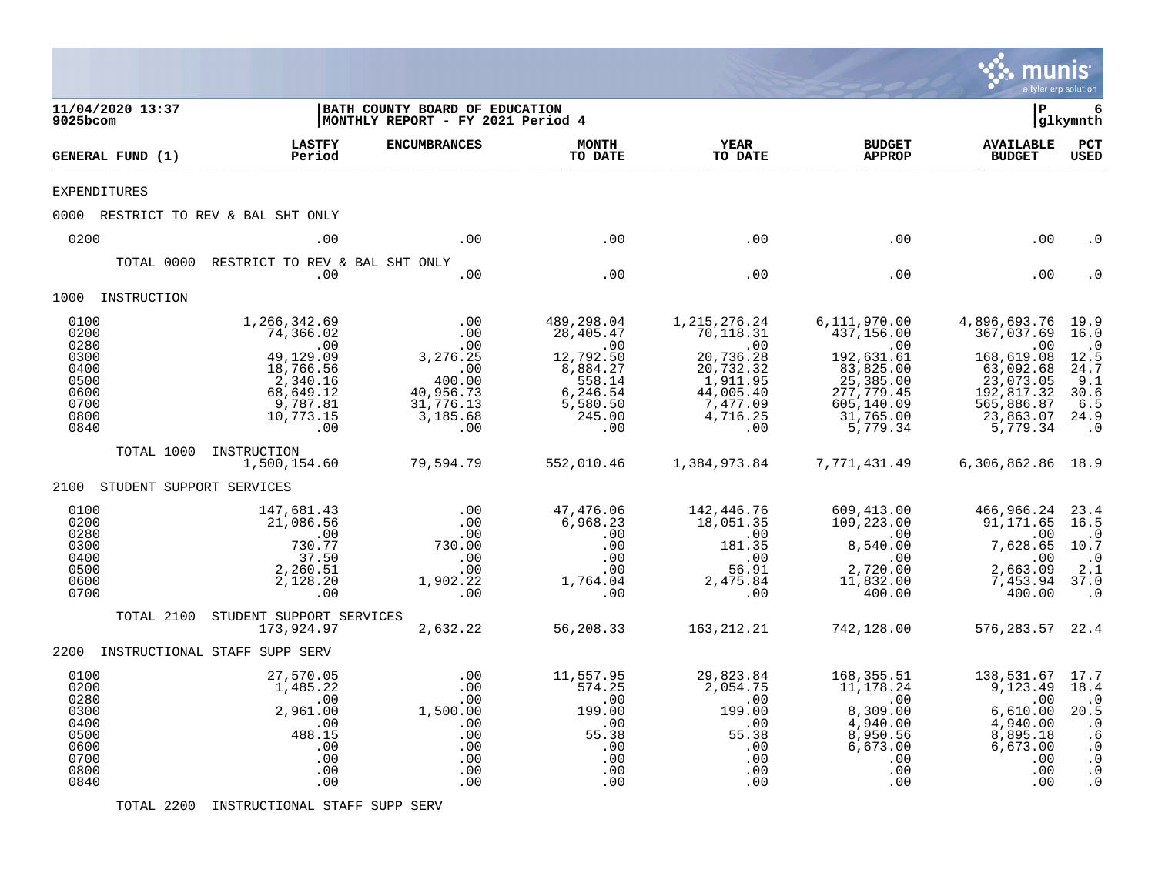|                                                                              |                          |                                                                                                                                    |                                                                                                                      |                                                                                                                            |                                                                                                                    |                                                                                                                                  | munis<br>a tyler erp solution                                                                                                  |                                                                                                          |
|------------------------------------------------------------------------------|--------------------------|------------------------------------------------------------------------------------------------------------------------------------|----------------------------------------------------------------------------------------------------------------------|----------------------------------------------------------------------------------------------------------------------------|--------------------------------------------------------------------------------------------------------------------|----------------------------------------------------------------------------------------------------------------------------------|--------------------------------------------------------------------------------------------------------------------------------|----------------------------------------------------------------------------------------------------------|
| 9025bcom                                                                     | 11/04/2020 13:37         |                                                                                                                                    | BATH COUNTY BOARD OF EDUCATION<br>MONTHLY REPORT - FY 2021 Period 4                                                  |                                                                                                                            |                                                                                                                    |                                                                                                                                  | l P                                                                                                                            | 6<br> glkymnth                                                                                           |
|                                                                              | GENERAL FUND (1)         | LASTFY<br>Period                                                                                                                   | <b>ENCUMBRANCES</b>                                                                                                  | <b>MONTH</b><br>TO DATE                                                                                                    | YEAR<br>TO DATE                                                                                                    | <b>BUDGET</b><br><b>APPROP</b>                                                                                                   | <b>AVAILABLE</b><br><b>BUDGET</b>                                                                                              | PCT<br>USED                                                                                              |
|                                                                              | <b>EXPENDITURES</b>      |                                                                                                                                    |                                                                                                                      |                                                                                                                            |                                                                                                                    |                                                                                                                                  |                                                                                                                                |                                                                                                          |
|                                                                              |                          | 0000 RESTRICT TO REV & BAL SHT ONLY                                                                                                |                                                                                                                      |                                                                                                                            |                                                                                                                    |                                                                                                                                  |                                                                                                                                |                                                                                                          |
| 0200                                                                         |                          | .00                                                                                                                                | .00                                                                                                                  | .00                                                                                                                        | .00                                                                                                                | .00                                                                                                                              | .00                                                                                                                            | . ດ                                                                                                      |
|                                                                              | TOTAL 0000               | RESTRICT TO REV & BAL SHT ONLY<br>.00                                                                                              | .00                                                                                                                  | .00                                                                                                                        | .00                                                                                                                | .00                                                                                                                              | .00                                                                                                                            |                                                                                                          |
|                                                                              | 1000 INSTRUCTION         |                                                                                                                                    |                                                                                                                      |                                                                                                                            |                                                                                                                    |                                                                                                                                  |                                                                                                                                |                                                                                                          |
| 0100<br>0200<br>0280<br>0300<br>0400<br>0500<br>0600<br>0700<br>0800<br>0840 | TOTAL 1000               | 1,266,342.69<br>74,366.02<br>.00<br>49,129.09<br>18,766.56<br>2,340.16<br>68,649.12<br>9,787.81<br>10,773.15<br>.00<br>INSTRUCTION | .00<br>.00<br>.00<br>3,276.25<br>$\overline{\phantom{0}}$ .00<br>400.00<br>40,956.73<br>31,776.13<br>3,185.68<br>.00 | 489,298.04<br>28,405.47<br>$\overline{a}$ . 00<br>12,792.50<br>8,884.27<br>558.14<br>6,246.54<br>5,580.50<br>245.00<br>.00 | 1,215,276.24<br>70,118.31<br>.00<br>20,736.28<br>20,732.32<br>1,911.95<br>44,005.40<br>7,477.09<br>4,716.25<br>.00 | 6,111,970.00<br>437,156.00<br>.00<br>192,631.61<br>83,825.00<br>25, 385.00<br>277, 779.45<br>605,140.09<br>31,765.00<br>5,779.34 | 4,896,693.76<br>367,037.69<br>.00<br>168,619.08<br>63,092.68<br>23,073.05<br>192,817.32<br>565,886.87<br>23,863.07<br>5,779.34 | 19.9<br>16.0<br>$\cdot$ 0<br>12.5<br>24.7<br>9.1<br>30.6<br>6.5<br>24.9<br>$\cdot$ 0                     |
| 2100                                                                         | STUDENT SUPPORT SERVICES | 1,500,154.60                                                                                                                       | 79,594.79                                                                                                            | 552,010.46                                                                                                                 | 1,384,973.84                                                                                                       | 7,771,431.49                                                                                                                     | 6,306,862.86 18.9                                                                                                              |                                                                                                          |
| 0100<br>0200<br>0280<br>0300<br>0400<br>0500<br>0600<br>0700                 |                          | 147,681.43<br>21,086.56<br>.00<br>730.77<br>37.50<br>2,260.51<br>2,128.20<br>.00                                                   | .00<br>.00<br>.00<br>730.00<br>.00<br>.00<br>1,902.22<br>.00                                                         | 47,476.06<br>6,968.23<br>.00<br>.00<br>.00<br>.00<br>1,764.04<br>.00                                                       | 142,446.76<br>18,051.35<br>.00<br>181.35<br>.00<br>56.91<br>2,475.84<br>.00                                        | 609,413.00<br>109,223.00<br>.00<br>8,540.00<br>.00<br>2,720.00<br>11,832.00<br>400.00                                            | 466,966.24<br>91,171.65<br>.00<br>7,628.65<br>.00<br>2,663.09<br>7,453.94<br>400.00                                            | 23.4<br>16.5<br>$\cdot$ 0<br>10.7<br>$\cdot$ 0<br>2.1<br>37.0<br>$\cdot$ 0                               |
|                                                                              | TOTAL 2100               | STUDENT SUPPORT SERVICES<br>173,924.97                                                                                             | 2,632.22                                                                                                             | 56,208.33                                                                                                                  | 163, 212. 21                                                                                                       | 742,128.00                                                                                                                       | 576, 283.57 22.4                                                                                                               |                                                                                                          |
|                                                                              |                          | 2200 INSTRUCTIONAL STAFF SUPP SERV                                                                                                 |                                                                                                                      |                                                                                                                            |                                                                                                                    |                                                                                                                                  |                                                                                                                                |                                                                                                          |
| 0100<br>0200<br>0280<br>0300<br>0400<br>0500<br>0600<br>0700<br>0800<br>0840 |                          | 27,570.05<br>1,485.22<br>.00<br>2,961.00<br>.00<br>488.15<br>.00<br>.00<br>.00<br>.00                                              | .00<br>.00<br>.00<br>1,500.00<br>.00<br>.00<br>.00<br>.00<br>.00<br>.00                                              | 11,557.95<br>574.25<br>.00<br>199.00<br>.00<br>55.38<br>.00<br>.00<br>.00<br>.00                                           | 29,823.84<br>2,054.75<br>.00<br>199.00<br>.00<br>55.38<br>.00<br>.00<br>.00<br>.00                                 | 168,355.51<br>11,178.24<br>$.00 \,$<br>8,309.00<br>4,940.00<br>8,950.56<br>6,673.00<br>.00<br>.00<br>.00                         | 138,531.67<br>9,123.49<br>.00<br>6,610.00<br>4,940.00<br>8,895.18<br>6,673.00<br>.00<br>$.00 \,$<br>.00                        | 17.7<br>18.4<br>$\cdot$ 0<br>20.5<br>$\cdot$ 0<br>.6<br>$\cdot$ 0<br>$\cdot$ 0<br>$\cdot$ 0<br>$\cdot$ 0 |

TOTAL 2200 INSTRUCTIONAL STAFF SUPP SERV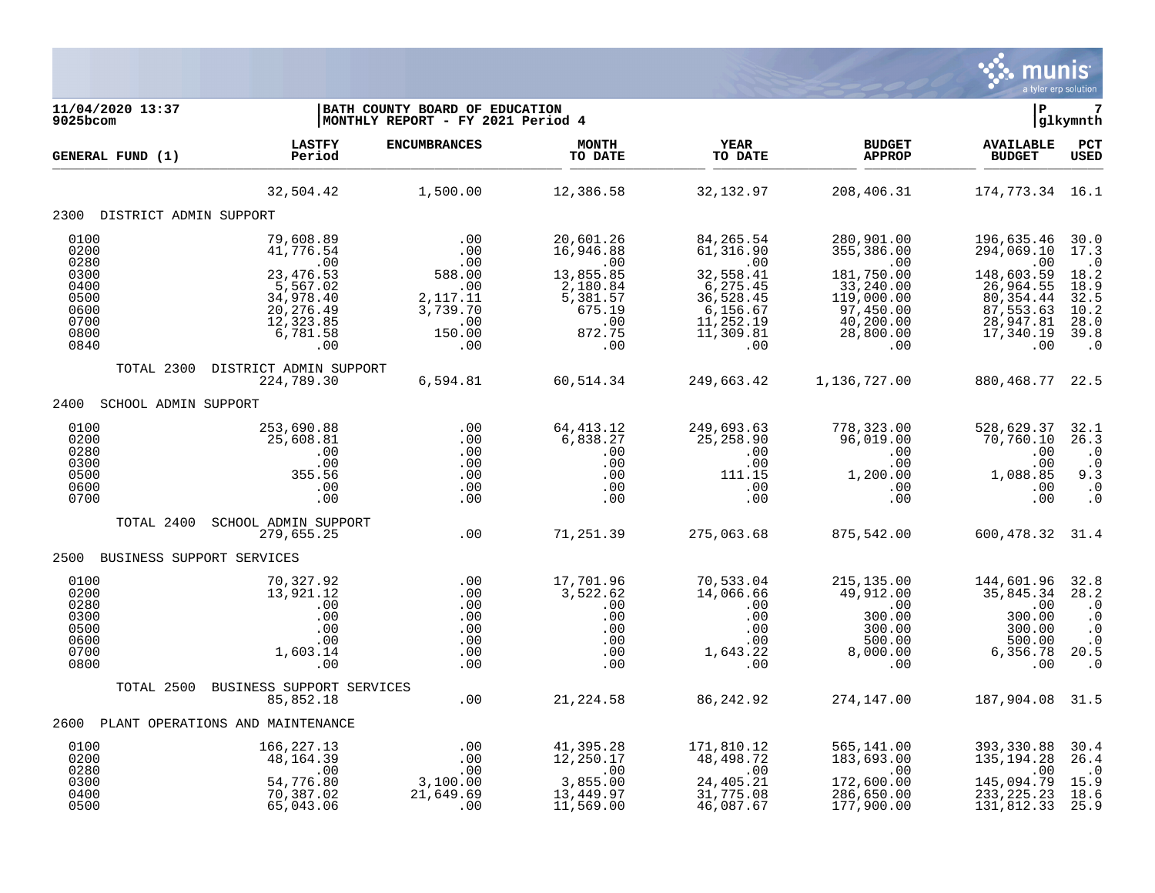

| 11/04/2020 13:37<br>9025bcom                                                 |                                                                                                                    | BATH COUNTY BOARD OF EDUCATION<br>MONTHLY REPORT - FY 2021 Period 4                  |                                                                                                      |                                                                                                                      |                                                                                                                          | P                                                                                                                      | glkymnth                                                                                      |
|------------------------------------------------------------------------------|--------------------------------------------------------------------------------------------------------------------|--------------------------------------------------------------------------------------|------------------------------------------------------------------------------------------------------|----------------------------------------------------------------------------------------------------------------------|--------------------------------------------------------------------------------------------------------------------------|------------------------------------------------------------------------------------------------------------------------|-----------------------------------------------------------------------------------------------|
| <b>GENERAL FUND (1)</b>                                                      | <b>LASTFY</b><br>Period                                                                                            | <b>ENCUMBRANCES</b>                                                                  | <b>MONTH</b><br>TO DATE                                                                              | <b>YEAR</b><br>TO DATE                                                                                               | <b>BUDGET</b><br><b>APPROP</b>                                                                                           | <b>AVAILABLE</b><br><b>BUDGET</b>                                                                                      | PCT<br><b>USED</b>                                                                            |
|                                                                              | 32,504.42                                                                                                          | 1,500.00                                                                             | 12,386.58                                                                                            | 32,132.97                                                                                                            | 208,406.31                                                                                                               | 174, 773.34 16.1                                                                                                       |                                                                                               |
| 2300 DISTRICT ADMIN SUPPORT                                                  |                                                                                                                    |                                                                                      |                                                                                                      |                                                                                                                      |                                                                                                                          |                                                                                                                        |                                                                                               |
| 0100<br>0200<br>0280<br>0300<br>0400<br>0500<br>0600<br>0700<br>0800<br>0840 | 79,608.89<br>41,776.54<br>.00<br>23, 476.53<br>5,567.02<br>34,978.40<br>20, 276.49<br>12,323.85<br>6,781.58<br>.00 | .00<br>.00<br>.00<br>588.00<br>.00<br>2, 117. 11<br>3,739.70<br>.00<br>150.00<br>.00 | 20,601.26<br>16,946.88<br>.00<br>13,855.85<br>2,180.84<br>5,381.57<br>675.19<br>.00<br>872.75<br>.00 | 84, 265.54<br>61,316.90<br>.00<br>32,558.41<br>6, 275.45<br>36,528.45<br>6, 156.67<br>11, 252.19<br>11,309.81<br>.00 | 280,901.00<br>355, 386.00<br>.00<br>181,750.00<br>33,240.00<br>119,000.00<br>97,450.00<br>40, 200.00<br>28,800.00<br>.00 | 196,635.46<br>294,069.10<br>.00<br>148,603.59<br>26,964.55<br>80, 354.44<br>87,553.63<br>28,947.81<br>17,340.19<br>.00 | 30.0<br>17.3<br>$\cdot$ 0<br>18.2<br>18.9<br>32.5<br>$\frac{10.2}{28.0}$<br>39.8<br>$\cdot$ 0 |
| TOTAL 2300                                                                   | DISTRICT ADMIN SUPPORT<br>224,789.30                                                                               | 6,594.81                                                                             | 60,514.34                                                                                            | 249,663.42                                                                                                           | 1,136,727.00                                                                                                             | 880,468.77                                                                                                             | 22.5                                                                                          |
| 2400<br>SCHOOL ADMIN SUPPORT                                                 |                                                                                                                    |                                                                                      |                                                                                                      |                                                                                                                      |                                                                                                                          |                                                                                                                        |                                                                                               |
| 0100<br>0200<br>0280<br>0300<br>0500<br>0600<br>0700                         | 253,690.88<br>25,608.81<br>.00<br>.00<br>355.56<br>.00<br>.00                                                      | .00<br>.00<br>.00<br>.00<br>.00<br>.00<br>.00                                        | 64, 413. 12<br>6,838.27<br>.00<br>.00<br>.00<br>.00<br>.00                                           | 249,693.63<br>25,258.90<br>.00<br>.00<br>111.15<br>.00<br>.00                                                        | 778,323.00<br>96,019.00<br>.00<br>.00<br>1,200.00<br>.00<br>.00                                                          | 528,629.37<br>70,760.10<br>.00<br>.00<br>1,088.85<br>.00<br>.00                                                        | 32.1<br>26.3<br>$\cdot$ 0<br>$\ddot{0}$<br>9.3<br>$\cdot$ 0<br>$\cdot$ 0                      |
| TOTAL 2400                                                                   | SCHOOL ADMIN SUPPORT<br>279,655.25                                                                                 | .00                                                                                  | 71,251.39                                                                                            | 275,063.68                                                                                                           | 875,542.00                                                                                                               | 600, 478.32 31.4                                                                                                       |                                                                                               |
| 2500 BUSINESS SUPPORT SERVICES                                               |                                                                                                                    |                                                                                      |                                                                                                      |                                                                                                                      |                                                                                                                          |                                                                                                                        |                                                                                               |
| 0100<br>0200<br>0280<br>0300<br>0500<br>0600<br>0700<br>0800                 | 70,327.92<br>13,921.12<br>.00<br>.00<br>.00<br>.00<br>1,603.14<br>.00                                              | .00<br>.00<br>.00<br>.00<br>.00<br>.00<br>.00<br>.00                                 | 17,701.96<br>3,522.62<br>.00<br>.00<br>.00<br>.00<br>.00<br>.00                                      | 70,533.04<br>14,066.66<br>.00<br>.00<br>.00<br>.00<br>1,643.22<br>.00                                                | 215, 135.00<br>49,912.00<br>.00<br>300.00<br>300.00<br>500.00<br>8,000.00<br>.00                                         | 144,601.96<br>35,845.34<br>.00<br>300.00<br>300.00<br>500.00<br>6,356.78<br>.00                                        | 32.8<br>28.2<br>$\cdot$ 0<br>$\cdot$ 0<br>$\cdot$ 0<br>$\cdot$ 0<br>20.5<br>$\cdot$ 0         |
| TOTAL 2500                                                                   | BUSINESS SUPPORT SERVICES<br>85,852.18                                                                             | .00                                                                                  | 21,224.58                                                                                            | 86, 242.92                                                                                                           | 274,147.00                                                                                                               | 187,904.08 31.5                                                                                                        |                                                                                               |
| 2600                                                                         | PLANT OPERATIONS AND MAINTENANCE                                                                                   |                                                                                      |                                                                                                      |                                                                                                                      |                                                                                                                          |                                                                                                                        |                                                                                               |
| 0100<br>0200<br>0280<br>0300<br>0400<br>0500                                 | 166, 227. 13<br>48, 164.39<br>.00<br>54,776.80<br>70,387.02<br>65,043.06                                           | .00<br>.00<br>.00<br>3,100.00<br>21,649.69<br>.00                                    | 41,395.28<br>12,250.17<br>.00<br>3,855.00<br>13,449.97<br>11,569.00                                  | 171,810.12<br>48,498.72<br>.00<br>24,405.21<br>31,775.08<br>46,087.67                                                | 565,141.00<br>183,693.00<br>.00<br>172,600.00<br>286,650.00<br>177,900.00                                                | 393,330.88<br>135, 194. 28<br>.00<br>145,094.79<br>233, 225.23<br>131,812.33                                           | 30.4<br>26.4<br>$\cdot$ 0<br>15.9<br>18.6<br>25.9                                             |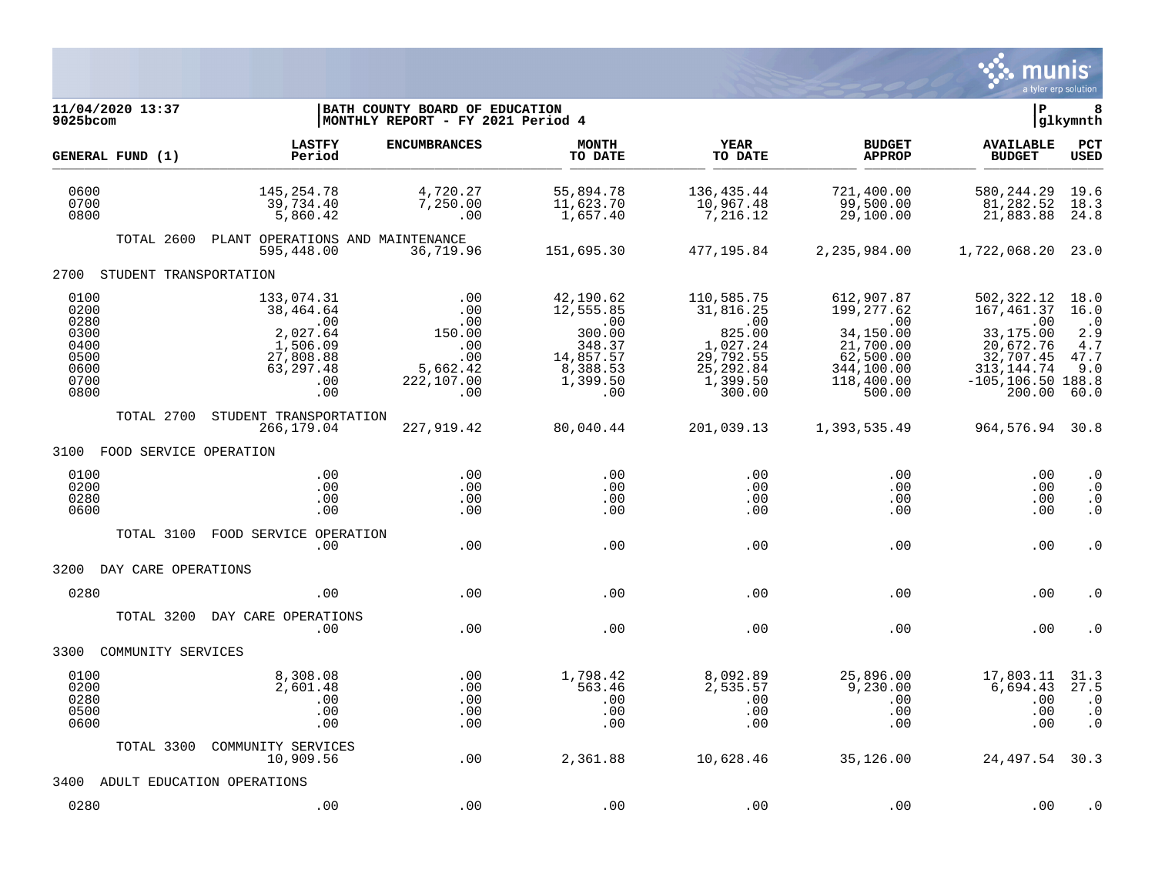

| 11/04/2020 13:37<br>9025bcom                                         |                                                                                                | BATH COUNTY BOARD OF EDUCATION<br> MONTHLY REPORT - FY 2021 Period 4       |                                                                                               |                                                                                                                                |                                                                                                                    | ΙP                                                                                                                             | 8<br> glkymnth                                                     |
|----------------------------------------------------------------------|------------------------------------------------------------------------------------------------|----------------------------------------------------------------------------|-----------------------------------------------------------------------------------------------|--------------------------------------------------------------------------------------------------------------------------------|--------------------------------------------------------------------------------------------------------------------|--------------------------------------------------------------------------------------------------------------------------------|--------------------------------------------------------------------|
| GENERAL FUND (1)                                                     | <b>LASTFY</b><br>Period                                                                        | <b>ENCUMBRANCES</b>                                                        | <b>MONTH</b><br>TO DATE                                                                       | <b>YEAR</b><br>TO DATE                                                                                                         | <b>BUDGET</b><br><b>APPROP</b>                                                                                     | <b>AVAILABLE</b><br><b>BUDGET</b>                                                                                              | $_{\rm PCT}$<br><b>USED</b>                                        |
| 0600<br>0700<br>0800                                                 | 145, 254. 78<br>39,734.40<br>5,860.42                                                          | 4,720.27<br>7,250.00<br>.00                                                | 55,894.78<br>11,623.70<br>1,657.40                                                            | 136,435.44<br>10,967.48<br>7,216.12                                                                                            | 721,400.00<br>99,500.00<br>29,100.00                                                                               | 580, 244.29<br>81,282.52<br>21,883.88                                                                                          | 19.6<br>18.3<br>24.8                                               |
|                                                                      | TOTAL 2600 PLANT OPERATIONS AND MAINTENANCE<br>595,448.00                                      | 36,719.96                                                                  | 151,695.30                                                                                    | 477,195.84                                                                                                                     | 2,235,984.00                                                                                                       | 1,722,068.20 23.0                                                                                                              |                                                                    |
| 2700 STUDENT TRANSPORTATION                                          |                                                                                                |                                                                            |                                                                                               |                                                                                                                                |                                                                                                                    |                                                                                                                                |                                                                    |
| 0100<br>0200<br>0280<br>0300<br>0400<br>0500<br>0600<br>0700<br>0800 | 133,074.31<br>38,464.64<br>.00<br>2,027.64<br>1,506.09<br>27,808.88<br>63,297.48<br>.00<br>.00 | .00<br>.00<br>.00<br>150.00<br>.00<br>.00<br>5,662.42<br>222,107.00<br>.00 | 42,190.62<br>12,555.85<br>.00<br>300.00<br>348.37<br>14,857.57<br>8,388.53<br>1,399.50<br>.00 | 110,585.75<br>31,816.25<br>$\overline{\phantom{0}}$ .00<br>825.00<br>1,027.24<br>29,792.55<br>25, 292.84<br>1,399.50<br>300.00 | 612,907.87<br>199,277.62<br>$\sim 00$<br>34,150.00<br>21,700.00<br>62,500.00<br>344,100.00<br>118,400.00<br>500.00 | 502,322.12<br>167,461.37<br>$\,.\,00$<br>33,175.00<br>20,672.76<br>32,707.45<br>313, 144. 74<br>$-105, 106.50$ 188.8<br>200.00 | 18.0<br>16.0<br>$\cdot$ 0<br>2.9<br>$4\,.7$<br>47.7<br>9.0<br>60.0 |
| TOTAL 2700                                                           | STUDENT TRANSPORTATION<br>266,179.04                                                           | 227,919.42                                                                 | 80,040.44                                                                                     | 201,039.13                                                                                                                     | 1,393,535.49                                                                                                       | 964,576.94 30.8                                                                                                                |                                                                    |
| 3100 FOOD SERVICE OPERATION                                          |                                                                                                |                                                                            |                                                                                               |                                                                                                                                |                                                                                                                    |                                                                                                                                |                                                                    |
| 0100<br>0200<br>0280<br>0600                                         | .00<br>.00<br>.00<br>.00                                                                       | $.00 \ \,$<br>.00<br>.00<br>.00                                            | .00<br>.00<br>.00<br>.00                                                                      | $.00 \ \,$<br>.00<br>.00<br>.00                                                                                                | .00<br>.00<br>$.00 \,$<br>.00                                                                                      | .00<br>.00<br>.00<br>.00                                                                                                       | $\cdot$ 0<br>$\cdot$ 0<br>$\cdot$ 0<br>$\cdot$ 0                   |
| TOTAL 3100                                                           | FOOD SERVICE OPERATION<br>.00                                                                  | .00                                                                        | .00                                                                                           | .00                                                                                                                            | .00                                                                                                                | .00                                                                                                                            | $\cdot$ 0                                                          |
| 3200 DAY CARE OPERATIONS                                             |                                                                                                |                                                                            |                                                                                               |                                                                                                                                |                                                                                                                    |                                                                                                                                |                                                                    |
| 0280                                                                 | .00                                                                                            | .00                                                                        | .00                                                                                           | .00                                                                                                                            | .00                                                                                                                | .00                                                                                                                            | $\cdot$ 0                                                          |
| TOTAL 3200                                                           | DAY CARE OPERATIONS<br>.00                                                                     | .00                                                                        | .00                                                                                           | .00                                                                                                                            | .00                                                                                                                | .00                                                                                                                            | . 0                                                                |
| COMMUNITY SERVICES<br>3300                                           |                                                                                                |                                                                            |                                                                                               |                                                                                                                                |                                                                                                                    |                                                                                                                                |                                                                    |
| 0100<br>0200<br>0280<br>0500<br>0600                                 | 8,308.08<br>2,601.48<br>.00<br>.00<br>.00                                                      | .00<br>.00<br>.00<br>.00<br>.00                                            | 1,798.42<br>563.46<br>.00<br>.00<br>.00                                                       | 8,092.89<br>2,535.57<br>.00<br>.00<br>.00                                                                                      | 25,896.00<br>9,230.00<br>.00<br>.00<br>.00                                                                         | 17,803.11<br>6,694.43<br>.00<br>.00<br>.00                                                                                     | 31.3<br>27.5<br>$\cdot$ 0<br>$\cdot$ 0<br>$\cdot$ 0                |
| TOTAL 3300                                                           | COMMUNITY SERVICES<br>10,909.56                                                                | .00                                                                        | 2,361.88                                                                                      | 10,628.46                                                                                                                      | 35,126.00                                                                                                          | 24,497.54 30.3                                                                                                                 |                                                                    |
| 3400                                                                 | ADULT EDUCATION OPERATIONS                                                                     |                                                                            |                                                                                               |                                                                                                                                |                                                                                                                    |                                                                                                                                |                                                                    |
| 0280                                                                 | .00                                                                                            | .00                                                                        | .00                                                                                           | .00                                                                                                                            | .00                                                                                                                | .00                                                                                                                            | . 0                                                                |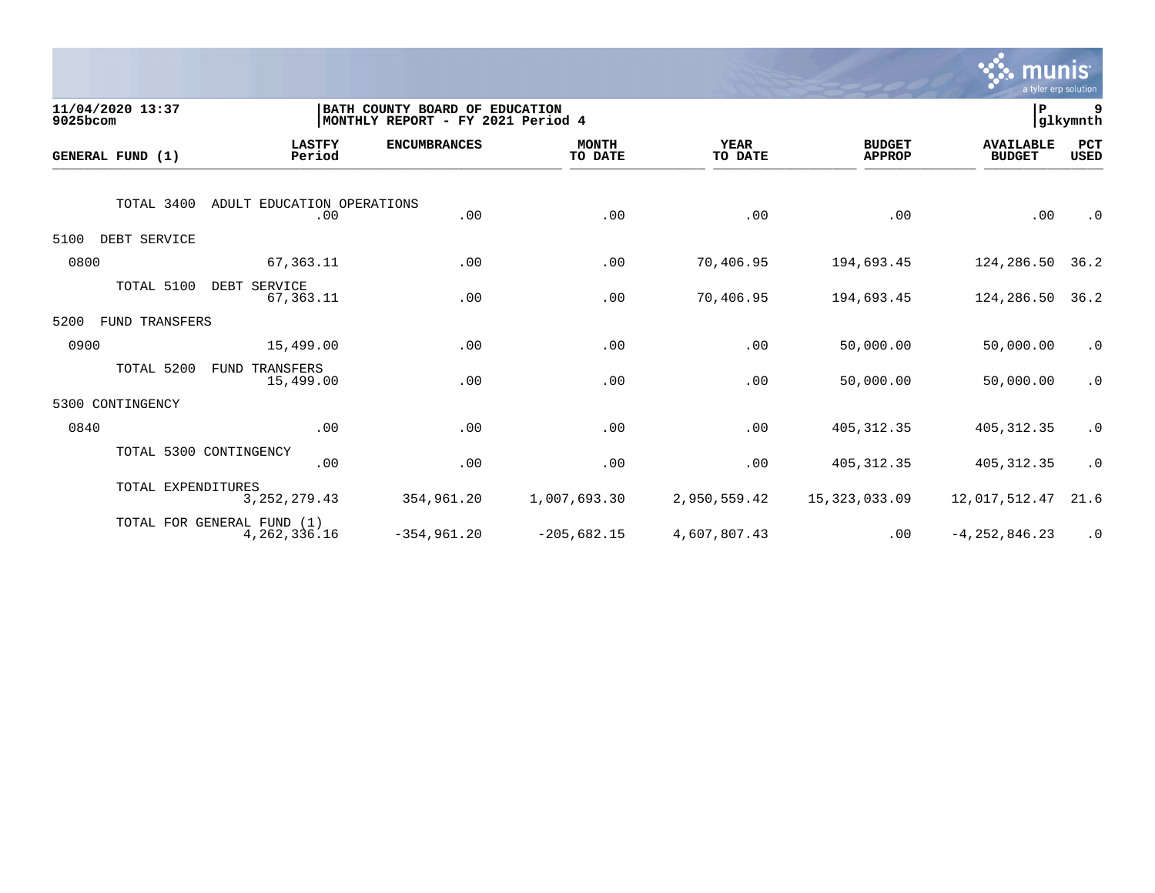

| 9025bcom | 11/04/2020 13:37   |                                               | BATH COUNTY BOARD OF EDUCATION<br>MONTHLY REPORT - FY 2021 Period 4 |                         |                        |                                | ∣P                                | 9<br>glkymnth      |
|----------|--------------------|-----------------------------------------------|---------------------------------------------------------------------|-------------------------|------------------------|--------------------------------|-----------------------------------|--------------------|
|          | GENERAL FUND (1)   | <b>LASTFY</b><br>Period                       | <b>ENCUMBRANCES</b>                                                 | <b>MONTH</b><br>TO DATE | <b>YEAR</b><br>TO DATE | <b>BUDGET</b><br><b>APPROP</b> | <b>AVAILABLE</b><br><b>BUDGET</b> | PCT<br><b>USED</b> |
|          | TOTAL 3400         | ADULT EDUCATION OPERATIONS<br>.00             | .00                                                                 | .00                     | .00                    | .00                            | .00                               | $\cdot$ 0          |
| 5100     | DEBT SERVICE       |                                               |                                                                     |                         |                        |                                |                                   |                    |
| 0800     |                    | 67,363.11                                     | .00                                                                 | .00                     | 70,406.95              | 194,693.45                     | 124,286.50                        | 36.2               |
|          | TOTAL 5100         | DEBT SERVICE<br>67,363.11                     | .00                                                                 | .00                     | 70,406.95              | 194,693.45                     | 124,286.50                        | 36.2               |
| 5200     | FUND TRANSFERS     |                                               |                                                                     |                         |                        |                                |                                   |                    |
| 0900     |                    | 15,499.00                                     | .00                                                                 | .00                     | .00                    | 50,000.00                      | 50,000.00                         | $\cdot$ 0          |
|          | TOTAL 5200         | TRANSFERS<br>FUND<br>15,499.00                | .00                                                                 | .00                     | .00                    | 50,000.00                      | 50,000.00                         | $\cdot$ 0          |
| 5300     | CONTINGENCY        |                                               |                                                                     |                         |                        |                                |                                   |                    |
| 0840     |                    | .00                                           | .00                                                                 | .00                     | .00                    | 405, 312.35                    | 405, 312.35                       | $\cdot$ 0          |
|          |                    | TOTAL 5300 CONTINGENCY<br>.00                 | .00                                                                 | .00                     | .00                    | 405, 312.35                    | 405, 312.35                       | $\cdot$ 0          |
|          | TOTAL EXPENDITURES | 3, 252, 279.43                                | 354,961.20                                                          | 1,007,693.30            | 2,950,559.42           | 15, 323, 033.09                | 12,017,512.47                     | 21.6               |
|          |                    | TOTAL FOR GENERAL FUND (1)<br>4, 262, 336. 16 | $-354, 961.20$                                                      | $-205,682.15$           | 4,607,807.43           | .00                            | $-4, 252, 846.23$                 | $\cdot$ 0          |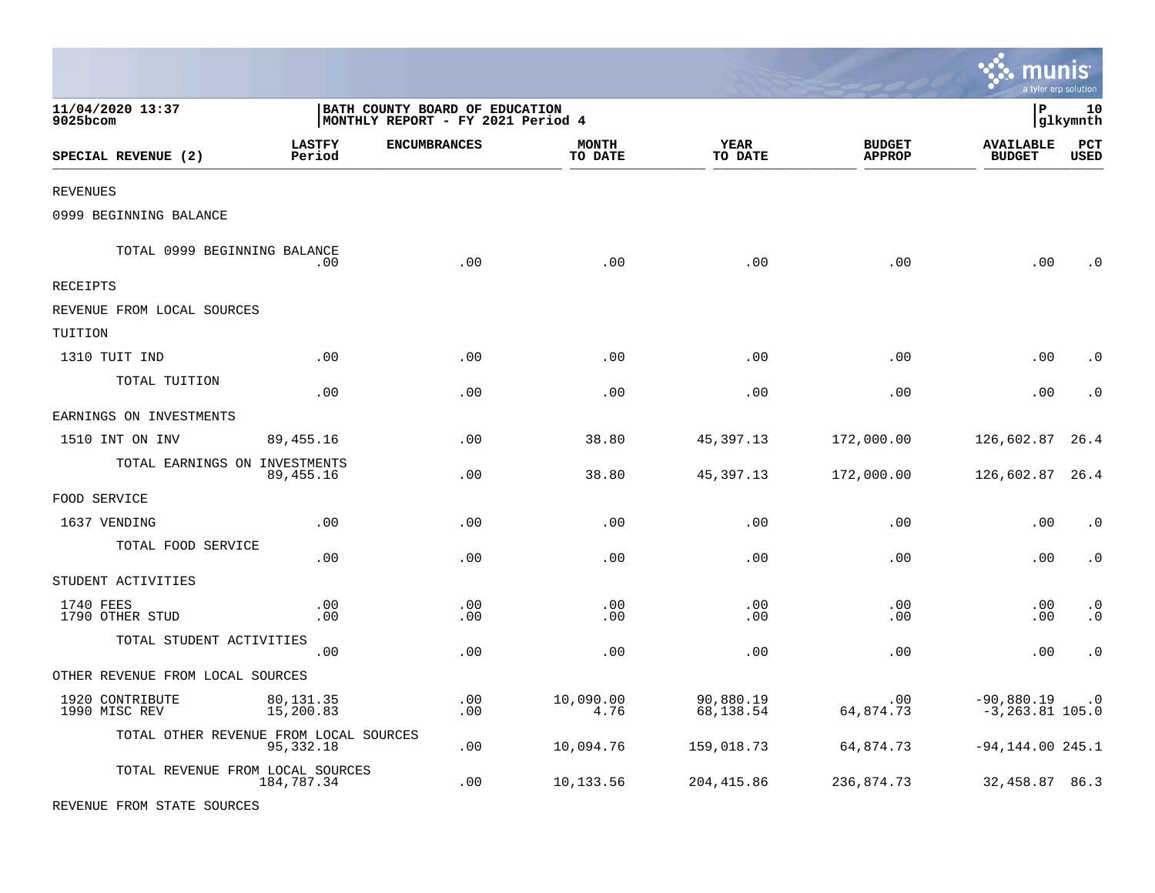|                                                            |                                                                     |                         |                        |                                    |                                    | munis<br>a tyler erp solution |
|------------------------------------------------------------|---------------------------------------------------------------------|-------------------------|------------------------|------------------------------------|------------------------------------|-------------------------------|
| 11/04/2020 13:37<br>$9025$ bcom                            | BATH COUNTY BOARD OF EDUCATION<br>MONTHLY REPORT - FY 2021 Period 4 |                         |                        |                                    | l P                                | 10<br> glkymnth               |
| <b>LASTFY</b><br>SPECIAL REVENUE (2)<br>Period             | <b>ENCUMBRANCES</b>                                                 | <b>MONTH</b><br>TO DATE | YEAR<br>TO DATE        | <b>BUDGET</b><br><b>APPROP</b>     | <b>AVAILABLE</b><br><b>BUDGET</b>  | $_{\rm PCT}$<br><b>USED</b>   |
| <b>REVENUES</b>                                            |                                                                     |                         |                        |                                    |                                    |                               |
| 0999 BEGINNING BALANCE                                     |                                                                     |                         |                        |                                    |                                    |                               |
| TOTAL 0999 BEGINNING BALANCE                               | .00<br>.00                                                          | .00                     | .00                    | .00                                | .00                                | . ດ                           |
| RECEIPTS                                                   |                                                                     |                         |                        |                                    |                                    |                               |
| REVENUE FROM LOCAL SOURCES                                 |                                                                     |                         |                        |                                    |                                    |                               |
| TUITION                                                    |                                                                     |                         |                        |                                    |                                    |                               |
| 1310 TUIT IND                                              | .00<br>.00                                                          | .00                     | .00                    | .00                                | .00                                | $\cdot$ 0                     |
| TOTAL TUITION                                              | .00<br>.00                                                          | .00                     | .00                    | .00                                | .00                                | $\cdot$ 0                     |
| EARNINGS ON INVESTMENTS                                    |                                                                     |                         |                        |                                    |                                    |                               |
| 1510 INT ON INV<br>89,455.16                               | .00                                                                 | 38.80                   | 45,397.13              | 172,000.00                         | 126,602.87                         | 26.4                          |
| TOTAL EARNINGS ON INVESTMENTS<br>89,455.16                 | .00                                                                 | 38.80                   | 45,397.13              | 172,000.00                         | 126,602.87                         | 26.4                          |
| FOOD SERVICE                                               |                                                                     |                         |                        |                                    |                                    |                               |
| 1637 VENDING                                               | .00<br>.00                                                          | .00                     | .00                    | .00                                | .00                                | $\cdot$ 0                     |
| TOTAL FOOD SERVICE                                         | .00<br>.00                                                          | .00                     | .00                    | .00                                | .00                                | $\cdot$ 0                     |
| STUDENT ACTIVITIES                                         |                                                                     |                         |                        |                                    |                                    |                               |
| 1740 FEES<br>1790 OTHER STUD                               | .00<br>.00<br>.00<br>.00                                            | .00<br>.00              | .00<br>.00             | $\boldsymbol{\mathsf{.00}}$<br>.00 | .00<br>.00                         | $\cdot$ 0<br>$\cdot$ 0        |
| TOTAL STUDENT ACTIVITIES                                   | .00<br>.00                                                          | .00                     | .00                    | .00                                | .00                                | $\cdot$ 0                     |
| OTHER REVENUE FROM LOCAL SOURCES                           |                                                                     |                         |                        |                                    |                                    |                               |
| 1920 CONTRIBUTE<br>80,131.35<br>1990 MISC REV<br>15,200.83 | .00<br>.00                                                          | 10,090.00<br>4.76       | 90,880.19<br>68,138.54 | .00<br>64,874.73                   | $-90,880.19$<br>$-3, 263.81$ 105.0 | $\cdot$ 0                     |
| TOTAL OTHER REVENUE FROM LOCAL SOURCES<br>95,332.18        | .00                                                                 | 10,094.76               | 159,018.73             | 64,874.73                          | $-94, 144.00$ 245.1                |                               |
| TOTAL REVENUE FROM LOCAL SOURCES<br>184,787.34             | .00                                                                 | 10,133.56               | 204,415.86             | 236,874.73                         | 32,458.87 86.3                     |                               |

REVENUE FROM STATE SOURCES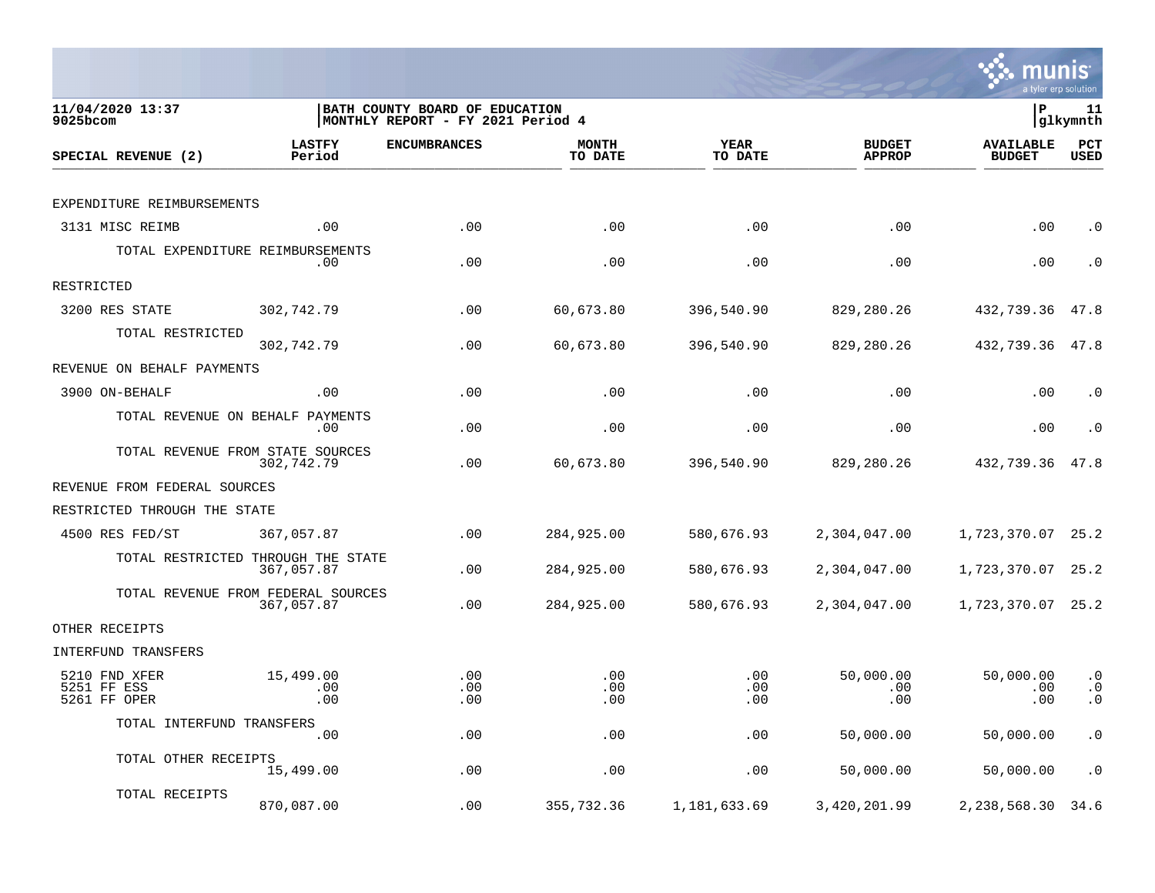

| 11/04/2020 13:37<br>$9025$ bcom              |                                                  | BATH COUNTY BOARD OF EDUCATION<br>MONTHLY REPORT - FY 2021 Period 4 |                         |                        |                                | lР                                | 11<br> glkymnth                     |
|----------------------------------------------|--------------------------------------------------|---------------------------------------------------------------------|-------------------------|------------------------|--------------------------------|-----------------------------------|-------------------------------------|
| SPECIAL REVENUE (2)                          | <b>LASTFY</b><br>Period                          | <b>ENCUMBRANCES</b>                                                 | <b>MONTH</b><br>TO DATE | <b>YEAR</b><br>TO DATE | <b>BUDGET</b><br><b>APPROP</b> | <b>AVAILABLE</b><br><b>BUDGET</b> | PCT<br><b>USED</b>                  |
|                                              |                                                  |                                                                     |                         |                        |                                |                                   |                                     |
| EXPENDITURE REIMBURSEMENTS                   |                                                  |                                                                     |                         |                        |                                |                                   |                                     |
| 3131 MISC REIMB                              | .00                                              | .00                                                                 | .00                     | .00                    | .00                            | .00                               | $\cdot$ 0                           |
| TOTAL EXPENDITURE REIMBURSEMENTS             | .00                                              | .00                                                                 | .00                     | .00                    | .00                            | .00                               | $\cdot$ 0                           |
| RESTRICTED                                   |                                                  |                                                                     |                         |                        |                                |                                   |                                     |
| 3200 RES STATE                               | 302,742.79                                       | .00                                                                 | 60,673.80               | 396,540.90             | 829,280.26                     | 432,739.36                        | 47.8                                |
| TOTAL RESTRICTED                             | 302,742.79                                       | .00                                                                 | 60,673.80               | 396,540.90             | 829,280.26                     | 432,739.36                        | 47.8                                |
| REVENUE ON BEHALF PAYMENTS                   |                                                  |                                                                     |                         |                        |                                |                                   |                                     |
| 3900 ON-BEHALF                               | .00                                              | .00                                                                 | .00                     | .00                    | .00                            | .00                               | $\cdot$ 0                           |
| TOTAL REVENUE ON BEHALF PAYMENTS             | .00                                              | .00                                                                 | .00                     | .00                    | .00                            | .00                               | $\cdot$ 0                           |
|                                              | TOTAL REVENUE FROM STATE SOURCES<br>302,742.79   | .00                                                                 | 60,673.80               | 396,540.90             | 829,280.26                     | 432,739.36                        | 47.8                                |
| REVENUE FROM FEDERAL SOURCES                 |                                                  |                                                                     |                         |                        |                                |                                   |                                     |
| RESTRICTED THROUGH THE STATE                 |                                                  |                                                                     |                         |                        |                                |                                   |                                     |
| 4500 RES FED/ST                              | 367,057.87                                       | .00                                                                 | 284,925.00              | 580,676.93             | 2,304,047.00                   | 1,723,370.07                      | 25.2                                |
|                                              | TOTAL RESTRICTED THROUGH THE STATE<br>367,057.87 | .00                                                                 | 284,925.00              | 580,676.93             | 2,304,047.00                   | 1,723,370.07                      | 25.2                                |
|                                              | TOTAL REVENUE FROM FEDERAL SOURCES<br>367,057.87 | .00                                                                 | 284,925.00              | 580,676.93             | 2,304,047.00                   | 1,723,370.07                      | 25.2                                |
| OTHER RECEIPTS                               |                                                  |                                                                     |                         |                        |                                |                                   |                                     |
| INTERFUND TRANSFERS                          |                                                  |                                                                     |                         |                        |                                |                                   |                                     |
| 5210 FND XFER<br>5251 FF ESS<br>5261 FF OPER | 15,499.00<br>.00<br>.00                          | .00<br>.00<br>.00                                                   | .00<br>.00<br>.00       | .00<br>.00<br>.00      | 50,000.00<br>.00<br>.00        | 50,000.00<br>.00<br>.00           | $\cdot$ 0<br>$\cdot$ 0<br>$\cdot$ 0 |
| TOTAL INTERFUND TRANSFERS                    |                                                  |                                                                     |                         |                        |                                |                                   |                                     |
|                                              | .00                                              | .00                                                                 | .00                     | .00                    | 50,000.00                      | 50,000.00                         | $\cdot$ 0                           |
| TOTAL OTHER RECEIPTS                         | 15,499.00                                        | .00                                                                 | .00                     | .00                    | 50,000.00                      | 50,000.00                         | $\cdot$ 0                           |
| TOTAL RECEIPTS                               | 870,087.00                                       | .00                                                                 | 355,732.36              | 1,181,633.69           | 3,420,201.99                   | 2,238,568.30                      | 34.6                                |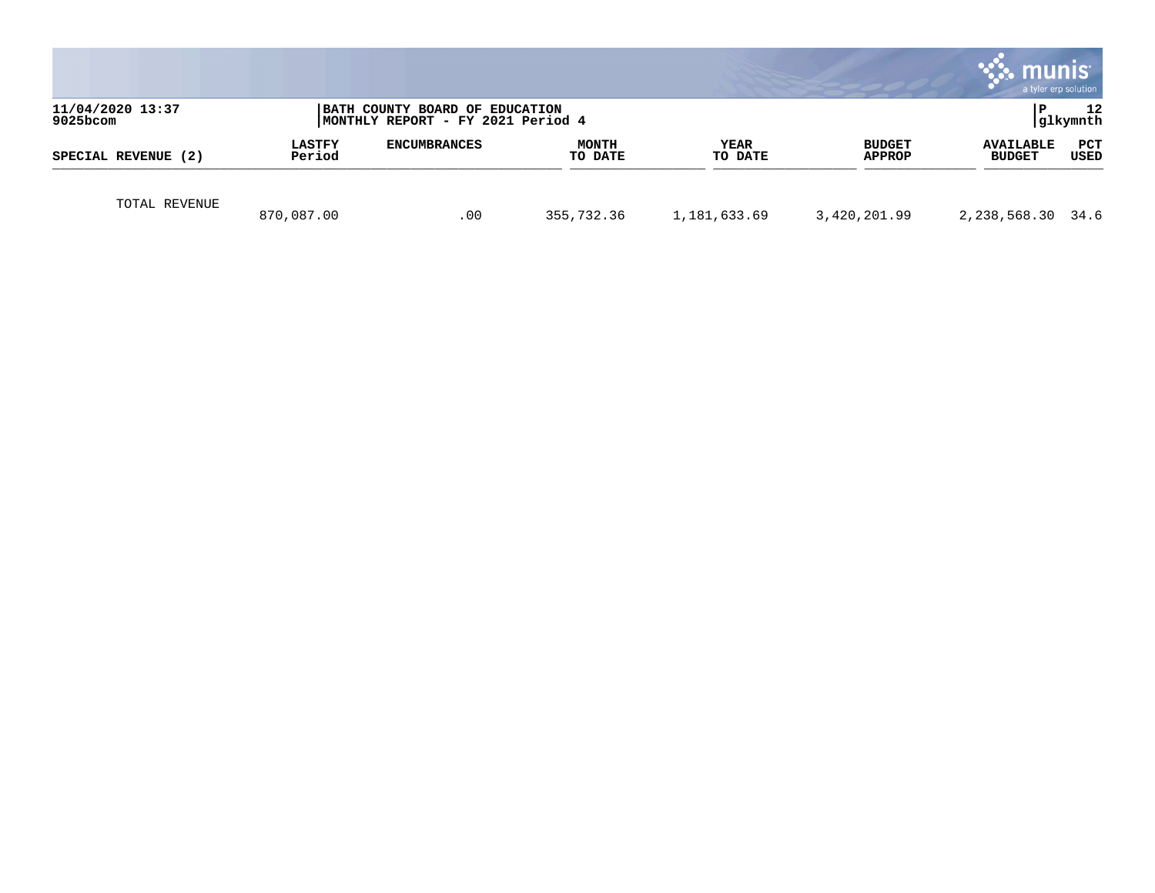|                              |                         |                                                                      |                         |                        |                         | munis<br>a tyler erp solution     |                    |
|------------------------------|-------------------------|----------------------------------------------------------------------|-------------------------|------------------------|-------------------------|-----------------------------------|--------------------|
| 11/04/2020 13:37<br>9025bcom |                         | BATH COUNTY BOARD OF EDUCATION<br> MONTHLY REPORT - FY 2021 Period 4 |                         |                        |                         | l P                               | 12<br> glkymnth    |
| SPECIAL REVENUE (2)          | <b>LASTFY</b><br>Period | <b>ENCUMBRANCES</b>                                                  | <b>MONTH</b><br>TO DATE | <b>YEAR</b><br>TO DATE | <b>BUDGET</b><br>APPROP | <b>AVAILABLE</b><br><b>BUDGET</b> | PCT<br><b>USED</b> |
| TOTAL REVENUE                | 870,087.00              | .00                                                                  | 355,732.36              | 1,181,633.69           | 3,420,201.99            | 2,238,568.30 34.6                 |                    |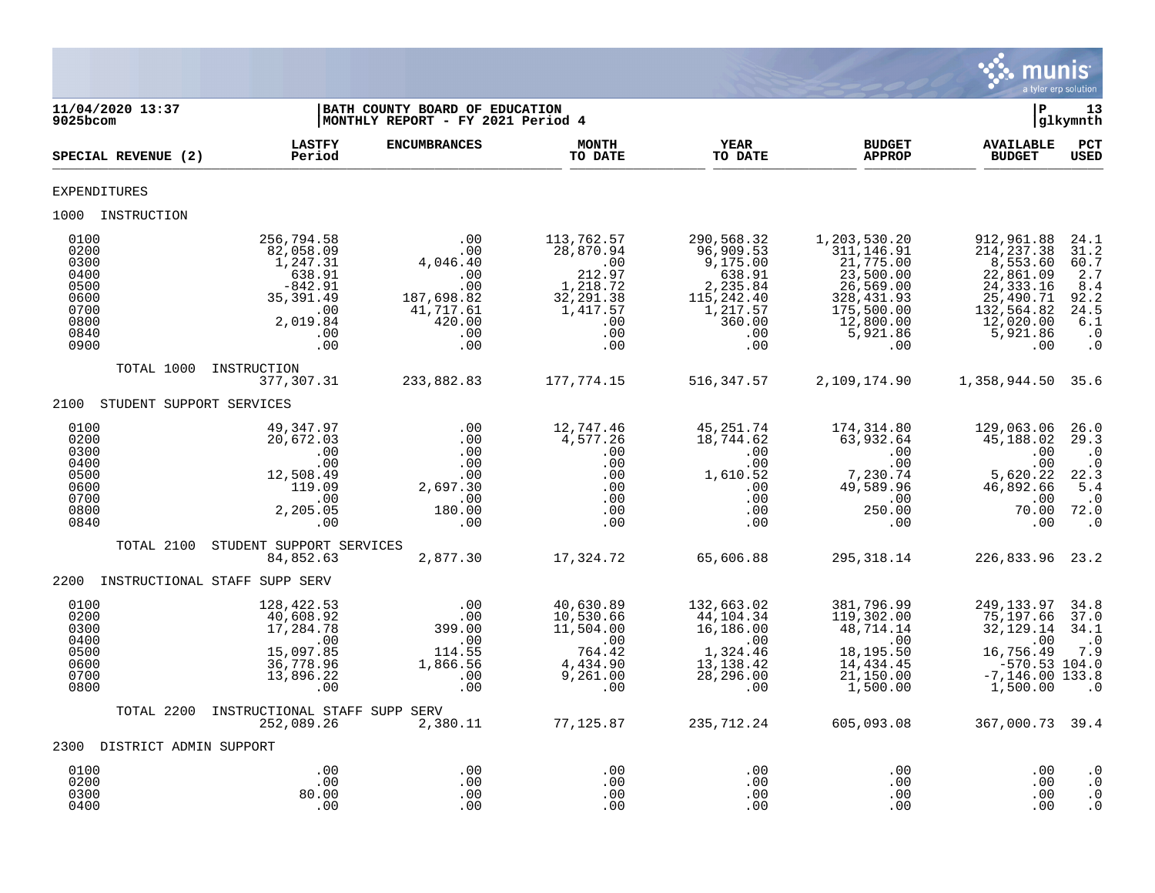

| 11/04/2020 13:37<br>9025bcom                                                 |                                                                                                                                    | BATH COUNTY BOARD OF EDUCATION<br>MONTHLY REPORT - FY 2021 Period 4                                                                    |                                                                                                                                                    |                                                                                                                                   |                                                                                                                                                                                                                                                                                                                                                                                                                 |                                                                                                                             | 13<br>glkymnth                                                                                   |
|------------------------------------------------------------------------------|------------------------------------------------------------------------------------------------------------------------------------|----------------------------------------------------------------------------------------------------------------------------------------|----------------------------------------------------------------------------------------------------------------------------------------------------|-----------------------------------------------------------------------------------------------------------------------------------|-----------------------------------------------------------------------------------------------------------------------------------------------------------------------------------------------------------------------------------------------------------------------------------------------------------------------------------------------------------------------------------------------------------------|-----------------------------------------------------------------------------------------------------------------------------|--------------------------------------------------------------------------------------------------|
| SPECIAL REVENUE (2)                                                          | <b>LASTFY</b><br>Period                                                                                                            | <b>ENCUMBRANCES</b>                                                                                                                    | <b>MONTH</b><br>TO DATE                                                                                                                            | <b>YEAR</b><br>TO DATE                                                                                                            | <b>BUDGET</b><br><b>APPROP</b>                                                                                                                                                                                                                                                                                                                                                                                  | <b>AVAILABLE</b><br><b>BUDGET</b>                                                                                           | PCT<br><b>USED</b>                                                                               |
| <b>EXPENDITURES</b>                                                          |                                                                                                                                    |                                                                                                                                        |                                                                                                                                                    |                                                                                                                                   |                                                                                                                                                                                                                                                                                                                                                                                                                 |                                                                                                                             |                                                                                                  |
| 1000 INSTRUCTION                                                             |                                                                                                                                    |                                                                                                                                        |                                                                                                                                                    |                                                                                                                                   |                                                                                                                                                                                                                                                                                                                                                                                                                 |                                                                                                                             |                                                                                                  |
| 0100<br>0200<br>0300<br>0400<br>0500<br>0600<br>0700<br>0800<br>0840<br>0900 | 256,794.58<br>82,058.09<br>1,247.31<br>638.91<br>$-842.91$<br>35, 391.49<br>$\overline{\phantom{0}}$ .00<br>2,019.84<br>.00<br>.00 | $\begin{array}{r} .00 \\ .00 \\ .00 \\ .00 \\ .00 \\ .00 \\ 187,698.82 \\ 41,717.61 \\ 420.00 \\ .00 \\ .00 \end{array}$<br>.00<br>.00 | 113,762.57<br>28,870.94<br>212.97<br>1,218.72<br>32, 291.38<br>1,417.57<br>.00<br>.00<br>.00                                                       | 290,568.32<br>96,909.53<br>9,175.00<br>638.91<br>$638.91$<br>$2,235.84$<br>$115,242.40$<br>$1,217.57$<br>$360.00$<br>$00$<br>$00$ | 1,203,530.20<br>311, 146.91<br>21,775.00<br>23,500.00<br>26,569.00<br>328, 431.93<br>۔۔۔ںں د , 175<br>12, 800 .00<br>5, 921 . 86<br>00<br>.00                                                                                                                                                                                                                                                                   | 912,961.88<br>214, 237.38<br>8,553.60<br>22,861.09<br>24, 333.16<br>$25, 132, 564.82$<br>$12, 020.00$<br>$5, 921.86$<br>$0$ | 24.1<br>31.2<br>60.7<br>2.7<br>8.4<br>92.2<br>24.5<br>$\overline{6.1}$<br>$\cdot$ 0<br>$\cdot$ 0 |
|                                                                              | TOTAL 1000 INSTRUCTION                                                                                                             |                                                                                                                                        |                                                                                                                                                    |                                                                                                                                   | 516, 347.57 2, 109, 174.90 1, 358, 944.50 35.6                                                                                                                                                                                                                                                                                                                                                                  |                                                                                                                             |                                                                                                  |
| 2100 STUDENT SUPPORT SERVICES                                                |                                                                                                                                    |                                                                                                                                        |                                                                                                                                                    |                                                                                                                                   |                                                                                                                                                                                                                                                                                                                                                                                                                 |                                                                                                                             |                                                                                                  |
| 0100<br>0200<br>0300<br>0400<br>0500<br>0600<br>0700<br>0800<br>0840         | 49,347.97<br>20,672.03<br>.00<br>.00<br>12,508.49<br>$-119.09$<br>.00<br>2,205.05<br>.00                                           | $.00$<br>$.00$<br>$.00$<br>$.00$<br>$.00$<br>$2,697.30$<br>.00<br>180.00<br>.00                                                        | 12,747.46<br>4,577.26                                                                                                                              |                                                                                                                                   | $\begin{array}{cccc} & & & & 18,7\bar{4}4\cdot\overset{7}{6}2 \qquad & & 174\,,314\cdot80 \\\cdot \ 00 \qquad \qquad 00 \qquad \qquad 00 \qquad \qquad 00 \qquad \qquad 00 \qquad \qquad 00 \\\cdot \ 00 \qquad \qquad 00 \qquad \qquad 00 \qquad \qquad 00 \qquad \qquad 00 \\\cdot \ 00 \qquad \qquad 1,610.52 \qquad \qquad 7,230.74 \\\cdot \ 00 \qquad \qquad 00 \qquad \qquad 00 \qquad \qquad 00 \qquad$ | 129,063.06<br>45,188.02<br>.00<br>.00<br>5,620.22<br>46,892.66<br>.00<br>70.00 72.0<br>.00                                  | 26.0<br>29.3<br>$\cdot$ 0<br>$\cdot$ 0<br>22.3<br>5.4<br>$\cdot$ 0<br>$\cdot$ 0                  |
| TOTAL 2100                                                                   | STUDENT SUPPORT SERVICES<br>84,852.63                                                                                              | 2,877.30                                                                                                                               |                                                                                                                                                    | 17,324.72 65,606.88                                                                                                               | 295,318.14                                                                                                                                                                                                                                                                                                                                                                                                      | 226,833.96 23.2                                                                                                             |                                                                                                  |
| 2200 INSTRUCTIONAL STAFF SUPP SERV                                           |                                                                                                                                    |                                                                                                                                        |                                                                                                                                                    |                                                                                                                                   |                                                                                                                                                                                                                                                                                                                                                                                                                 |                                                                                                                             |                                                                                                  |
| 0100<br>0200<br>0300<br>0400<br>0500<br>0600<br>0700<br>0800                 | 128,422.53<br>40,608.92<br>17,284.78<br>.00<br>15,097.85<br>36,778.96<br>13,896.22<br>.00                                          | 00 .<br>00 .<br>399 . 00                                                                                                               | 40,630.89<br>10,530.66<br>11,504.00<br>$11,304.00$<br>$114.55$<br>$1,866.56$<br>$0.00$<br>$0.00$<br>$0.00$<br>$0.00$<br>$0.00$<br>$0.00$<br>$0.00$ | 132,663.02<br>$44,104.34$<br>$16,104.34$<br>16, 186.00<br>$\overline{00}$<br>1,324.46<br>13,138.42<br>28,296.00<br>$\sim 00$      | 381,796.99<br>$48, 714.14$<br>$00$<br>$18, 195.50$<br>$4, 434.45$<br>$1, 150.00$<br>500<br>119,302.00<br>48,714.14<br>1,500.00                                                                                                                                                                                                                                                                                  | 249, 133.97<br>75,197.66<br>32,129.14<br>.00<br>16,756.49<br>$-570.53$ 104.0<br>$-7,146.00$ 133.8<br>1,500.00               | 34.8<br>37.0<br>34.1<br>$\cdot$ 0<br>7.9<br>$\overline{\phantom{0}}$ .0                          |
| TOTAL 2200                                                                   | INSTRUCTIONAL STAFF SUPP SERV<br>252,089.26 2,380.11 77,125.87 235,712.24                                                          |                                                                                                                                        |                                                                                                                                                    |                                                                                                                                   | 605,093.08                                                                                                                                                                                                                                                                                                                                                                                                      | 367,000.73 39.4                                                                                                             |                                                                                                  |
| 2300 DISTRICT ADMIN SUPPORT                                                  |                                                                                                                                    |                                                                                                                                        |                                                                                                                                                    |                                                                                                                                   |                                                                                                                                                                                                                                                                                                                                                                                                                 |                                                                                                                             |                                                                                                  |
| 0100<br>0200<br>0300<br>0400                                                 | .00<br>.00<br>80.00<br>.00                                                                                                         | .00<br>.00<br>.00<br>.00                                                                                                               | .00<br>.00<br>.00<br>.00                                                                                                                           | .00<br>.00<br>.00<br>.00                                                                                                          | .00<br>.00<br>.00<br>.00                                                                                                                                                                                                                                                                                                                                                                                        | .00<br>.00<br>.00<br>.00                                                                                                    | $\cdot$ 0<br>$\cdot$ 0<br>$\cdot$ 0<br>$\cdot$ 0                                                 |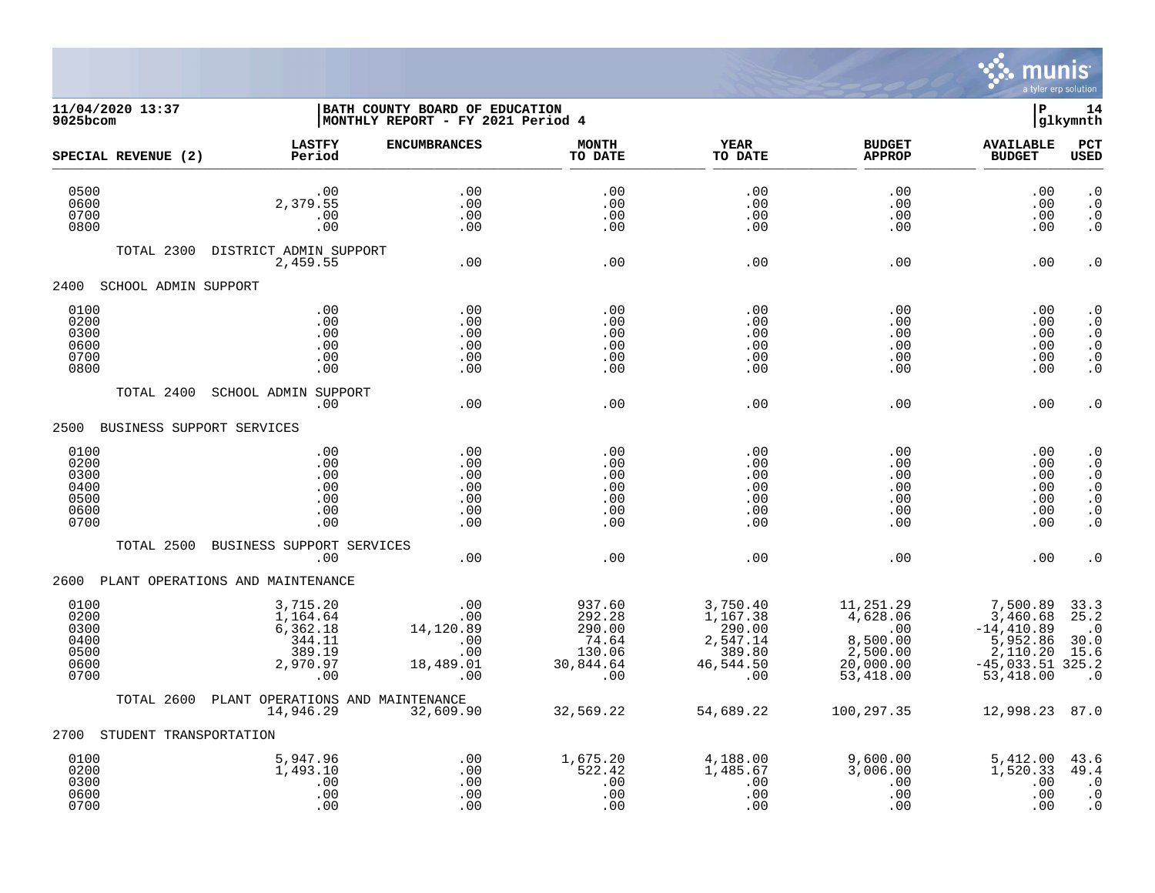

## **11/04/2020 13:37 |BATH COUNTY BOARD OF EDUCATION |P 14 9025bcom |MONTHLY REPORT - FY 2021 Period 4 |glkymnth**

| SPECIAL REVENUE (2)                                  | <b>LASTFY</b><br>Period                                                 | <b>ENCUMBRANCES</b>                                       | <b>MONTH</b><br>TO DATE                                           | <b>YEAR</b><br>TO DATE                                                   | <b>BUDGET</b><br><b>APPROP</b>                                                 | <b>AVAILABLE</b><br><b>BUDGET</b>                                                                | PCT<br><b>USED</b>                                                                                   |
|------------------------------------------------------|-------------------------------------------------------------------------|-----------------------------------------------------------|-------------------------------------------------------------------|--------------------------------------------------------------------------|--------------------------------------------------------------------------------|--------------------------------------------------------------------------------------------------|------------------------------------------------------------------------------------------------------|
| 0500<br>0600<br>0700<br>0800                         | .00<br>2,379.55<br>.00<br>.00                                           | .00<br>.00<br>.00<br>.00                                  | .00<br>.00<br>.00<br>.00                                          | .00<br>.00<br>.00<br>.00                                                 | .00<br>.00<br>.00<br>.00                                                       | .00<br>.00<br>.00<br>.00                                                                         | $\cdot$ 0<br>$\cdot$ 0<br>$\cdot$ 0<br>$\cdot$ 0                                                     |
| TOTAL 2300                                           | DISTRICT ADMIN SUPPORT<br>2,459.55                                      | .00                                                       | .00                                                               | .00                                                                      | .00                                                                            | .00                                                                                              | $\cdot$ 0                                                                                            |
| 2400<br>SCHOOL ADMIN SUPPORT                         |                                                                         |                                                           |                                                                   |                                                                          |                                                                                |                                                                                                  |                                                                                                      |
| 0100<br>0200<br>0300<br>0600<br>0700<br>0800         | .00<br>.00<br>.00<br>.00<br>.00<br>.00                                  | .00<br>.00<br>.00<br>.00<br>.00<br>.00                    | .00<br>.00<br>.00<br>.00<br>.00<br>.00                            | .00<br>.00<br>.00<br>.00<br>.00<br>.00                                   | .00<br>.00<br>.00<br>.00<br>.00<br>.00                                         | .00<br>.00<br>.00<br>.00<br>.00<br>.00                                                           | . $\boldsymbol{0}$<br>$\cdot$ 0<br>$\cdot$ 0<br>$\cdot$ 0<br>$\cdot$ 0<br>$\cdot$ 0                  |
| TOTAL 2400                                           | SCHOOL ADMIN SUPPORT<br>.00                                             | .00                                                       | .00                                                               | .00                                                                      | .00                                                                            | .00                                                                                              | $\cdot$ 0                                                                                            |
| BUSINESS SUPPORT SERVICES<br>2500                    |                                                                         |                                                           |                                                                   |                                                                          |                                                                                |                                                                                                  |                                                                                                      |
| 0100<br>0200<br>0300<br>0400<br>0500<br>0600<br>0700 | .00<br>.00<br>.00<br>.00<br>.00<br>.00<br>.00                           | .00<br>.00<br>.00<br>.00<br>.00<br>.00<br>.00             | .00<br>.00<br>.00<br>.00<br>.00<br>.00<br>.00                     | .00<br>.00<br>.00<br>.00<br>.00<br>.00<br>.00                            | .00<br>.00<br>.00<br>.00<br>.00<br>.00<br>.00                                  | .00<br>.00<br>.00<br>.00<br>.00<br>.00<br>.00                                                    | $\cdot$ 0<br>$\cdot$ 0<br>$\cdot$ 0<br>$\cdot$ 0<br>$\cdot$ 0<br>$\boldsymbol{\cdot}$ 0<br>$\cdot$ 0 |
| TOTAL 2500                                           | BUSINESS SUPPORT SERVICES<br>.00                                        | .00                                                       | .00                                                               | .00                                                                      | .00                                                                            | .00                                                                                              | . 0                                                                                                  |
| 2600                                                 | PLANT OPERATIONS AND MAINTENANCE                                        |                                                           |                                                                   |                                                                          |                                                                                |                                                                                                  |                                                                                                      |
| 0100<br>0200<br>0300<br>0400<br>0500<br>0600<br>0700 | 3,715.20<br>1,164.64<br>6,362.18<br>344.11<br>389.19<br>2,970.97<br>.00 | .00<br>.00<br>14,120.89<br>.00<br>.00<br>18,489.01<br>.00 | 937.60<br>292.28<br>290.00<br>74.64<br>130.06<br>30,844.64<br>.00 | 3,750.40<br>1,167.38<br>290.00<br>2,547.14<br>389.80<br>46,544.50<br>.00 | 11,251.29<br>4,628.06<br>.00<br>8,500.00<br>2,500.00<br>20,000.00<br>53,418.00 | 7,500.89<br>3,460.68<br>$-14, 410.89$<br>5,952.86<br>2,110.20<br>$-45,033.51$ 325.2<br>53,418.00 | 33.3<br>25.2<br>$\cdot$ 0<br>30.0<br>15.6<br>$\cdot$ 0                                               |
| TOTAL 2600                                           | PLANT OPERATIONS AND MAINTENANCE<br>14,946.29                           | 32,609.90                                                 | 32,569.22                                                         | 54,689.22                                                                | 100,297.35                                                                     | 12,998.23                                                                                        | 87.0                                                                                                 |
| STUDENT TRANSPORTATION<br>2700                       |                                                                         |                                                           |                                                                   |                                                                          |                                                                                |                                                                                                  |                                                                                                      |
| 0100<br>0200<br>0300<br>0600<br>0700                 | 5,947.96<br>1,493.10<br>.00<br>.00<br>.00                               | .00<br>.00<br>.00<br>.00<br>.00                           | 1,675.20<br>522.42<br>.00<br>.00<br>.00                           | 4,188.00<br>1,485.67<br>.00<br>.00<br>.00                                | 9,600.00<br>3,006.00<br>.00<br>.00<br>.00                                      | 5,412.00<br>1,520.33<br>.00<br>.00<br>.00                                                        | 43.6<br>49.4<br>$\cdot$ 0<br>$\cdot$ 0<br>$\cdot$ 0                                                  |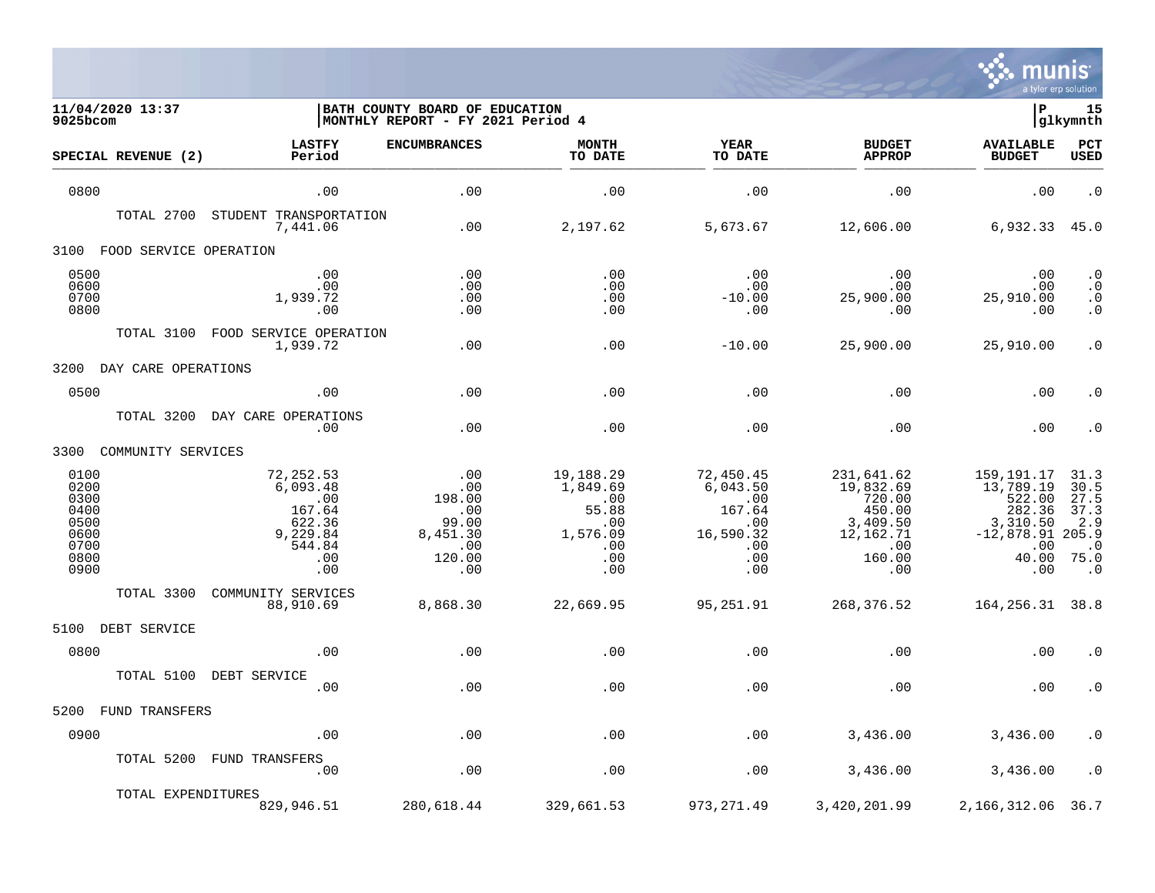

| 11/04/2020 13:37<br>$9025$ bcom                                      |                                                                                      | BATH COUNTY BOARD OF EDUCATION<br>MONTHLY REPORT - FY 2021 Period 4      |                                                                               |                                                                                 |                                                                                              | l P                                                                                                    | 15<br> glkymnth                                                       |
|----------------------------------------------------------------------|--------------------------------------------------------------------------------------|--------------------------------------------------------------------------|-------------------------------------------------------------------------------|---------------------------------------------------------------------------------|----------------------------------------------------------------------------------------------|--------------------------------------------------------------------------------------------------------|-----------------------------------------------------------------------|
| SPECIAL REVENUE (2)                                                  | <b>LASTFY</b><br>Period                                                              | <b>ENCUMBRANCES</b>                                                      | <b>MONTH</b><br>TO DATE                                                       | <b>YEAR</b><br>TO DATE                                                          | <b>BUDGET</b><br><b>APPROP</b>                                                               | <b>AVAILABLE</b><br><b>BUDGET</b>                                                                      | PCT<br><b>USED</b>                                                    |
| 0800                                                                 | .00                                                                                  | .00                                                                      | .00                                                                           | .00                                                                             | .00                                                                                          | .00                                                                                                    | $\cdot$ 0                                                             |
| TOTAL 2700                                                           | STUDENT TRANSPORTATION<br>7,441.06                                                   | .00                                                                      | 2,197.62                                                                      | 5,673.67                                                                        | 12,606.00                                                                                    | 6,932.33                                                                                               | 45.0                                                                  |
| FOOD SERVICE OPERATION<br>3100                                       |                                                                                      |                                                                          |                                                                               |                                                                                 |                                                                                              |                                                                                                        |                                                                       |
| 0500<br>0600<br>0700<br>0800                                         | .00<br>.00<br>1,939.72<br>.00                                                        | .00<br>.00<br>.00<br>.00                                                 | .00<br>.00<br>.00<br>.00                                                      | .00<br>.00<br>$-10.00$<br>.00                                                   | .00<br>.00<br>25,900.00<br>.00                                                               | .00<br>.00<br>25,910.00<br>.00                                                                         | $\cdot$ 0<br>$\cdot$ 0<br>$\cdot$ 0<br>$\cdot$ 0                      |
| TOTAL 3100                                                           | FOOD SERVICE OPERATION<br>1,939.72                                                   | .00                                                                      | .00                                                                           | $-10.00$                                                                        | 25,900.00                                                                                    | 25,910.00                                                                                              | $\cdot$ 0                                                             |
| 3200<br>DAY CARE OPERATIONS                                          |                                                                                      |                                                                          |                                                                               |                                                                                 |                                                                                              |                                                                                                        |                                                                       |
| 0500                                                                 | .00                                                                                  | .00                                                                      | .00                                                                           | .00                                                                             | .00                                                                                          | .00                                                                                                    | $\cdot$ 0                                                             |
| TOTAL 3200                                                           | DAY CARE OPERATIONS<br>$.00 \,$                                                      | .00                                                                      | .00                                                                           | .00                                                                             | .00                                                                                          | .00                                                                                                    | $\cdot$ 0                                                             |
| 3300<br>COMMUNITY SERVICES                                           |                                                                                      |                                                                          |                                                                               |                                                                                 |                                                                                              |                                                                                                        |                                                                       |
| 0100<br>0200<br>0300<br>0400<br>0500<br>0600<br>0700<br>0800<br>0900 | 72,252.53<br>6,093.48<br>.00<br>167.64<br>622.36<br>9,229.84<br>544.84<br>.00<br>.00 | .00<br>.00<br>198.00<br>.00<br>99.00<br>8,451.30<br>.00<br>120.00<br>.00 | 19,188.29<br>1,849.69<br>.00<br>55.88<br>.00<br>1,576.09<br>.00<br>.00<br>.00 | 72,450.45<br>6.043.50<br>.00<br>167.64<br>.00<br>16,590.32<br>.00<br>.00<br>.00 | 231,641.62<br>19,832.69<br>720.00<br>450.00<br>3,409.50<br>12,162.71<br>.00<br>160.00<br>.00 | 159, 191. 17<br>13,789.19<br>522.00<br>282.36<br>3,310.50<br>$-12,878.91 205.9$<br>.00<br>40.00<br>.00 | 31.3<br>30.5<br>27.5<br>37.3<br>2.9<br>$\cdot$ 0<br>75.0<br>$\cdot$ 0 |
| TOTAL 3300                                                           | COMMUNITY SERVICES<br>88,910.69                                                      | 8,868.30                                                                 | 22,669.95                                                                     | 95,251.91                                                                       | 268,376.52                                                                                   | 164, 256. 31 38.8                                                                                      |                                                                       |
| 5100<br>DEBT SERVICE                                                 |                                                                                      |                                                                          |                                                                               |                                                                                 |                                                                                              |                                                                                                        |                                                                       |
| 0800                                                                 | .00                                                                                  | .00                                                                      | .00                                                                           | .00                                                                             | .00                                                                                          | .00                                                                                                    | . 0                                                                   |
| TOTAL 5100                                                           | DEBT SERVICE<br>.00                                                                  | .00                                                                      | .00                                                                           | .00                                                                             | .00                                                                                          | .00                                                                                                    | $\cdot$ 0                                                             |
| FUND TRANSFERS<br>5200                                               |                                                                                      |                                                                          |                                                                               |                                                                                 |                                                                                              |                                                                                                        |                                                                       |
| 0900                                                                 | .00                                                                                  | .00                                                                      | .00                                                                           | .00                                                                             | 3,436.00                                                                                     | 3,436.00                                                                                               | $\cdot$ 0                                                             |
| TOTAL 5200                                                           | <b>FUND TRANSFERS</b><br>.00                                                         | .00                                                                      | .00                                                                           | .00                                                                             | 3,436.00                                                                                     | 3,436.00                                                                                               | $\cdot$ 0                                                             |
| TOTAL EXPENDITURES                                                   | 829,946.51                                                                           | 280,618.44                                                               | 329,661.53                                                                    | 973, 271.49                                                                     | 3,420,201.99                                                                                 | 2,166,312.06                                                                                           | 36.7                                                                  |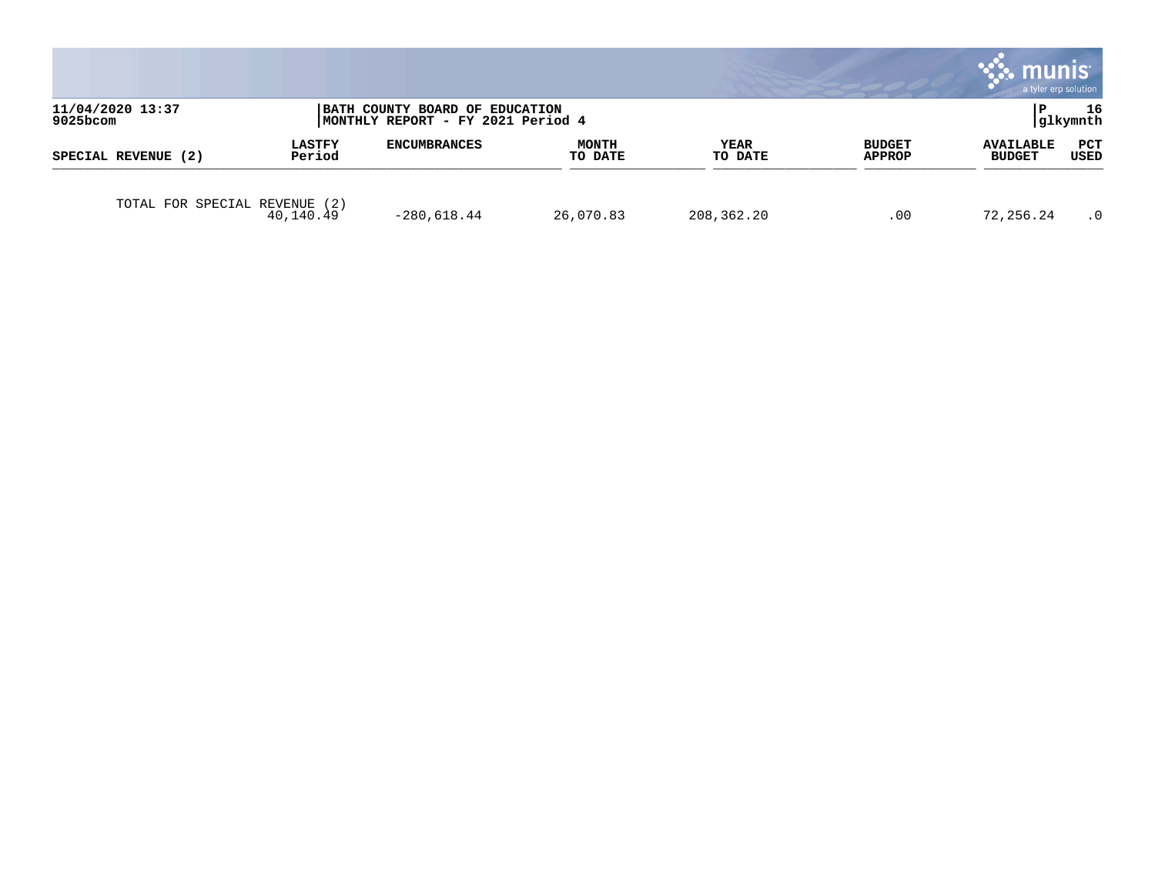|                                 |                         |                                                                     |                  |                 |                         | munis<br>a tyler erp solution     |                    |
|---------------------------------|-------------------------|---------------------------------------------------------------------|------------------|-----------------|-------------------------|-----------------------------------|--------------------|
| 11/04/2020 13:37<br>$9025$ bcom |                         | BATH COUNTY BOARD OF EDUCATION<br>MONTHLY REPORT - FY 2021 Period 4 |                  |                 |                         |                                   | 16<br> glkymnth    |
| SPECIAL REVENUE (2)             | <b>LASTFY</b><br>Period | <b>ENCUMBRANCES</b>                                                 | MONTH<br>TO DATE | YEAR<br>TO DATE | <b>BUDGET</b><br>APPROP | <b>AVAILABLE</b><br><b>BUDGET</b> | PCT<br><b>USED</b> |
| TOTAL FOR SPECIAL REVENUE       | (2)<br>40,140.49        | $-280,618.44$                                                       | 26,070.83        | 208,362.20      | .00                     | 72,256.24                         | $\cdot$ 0          |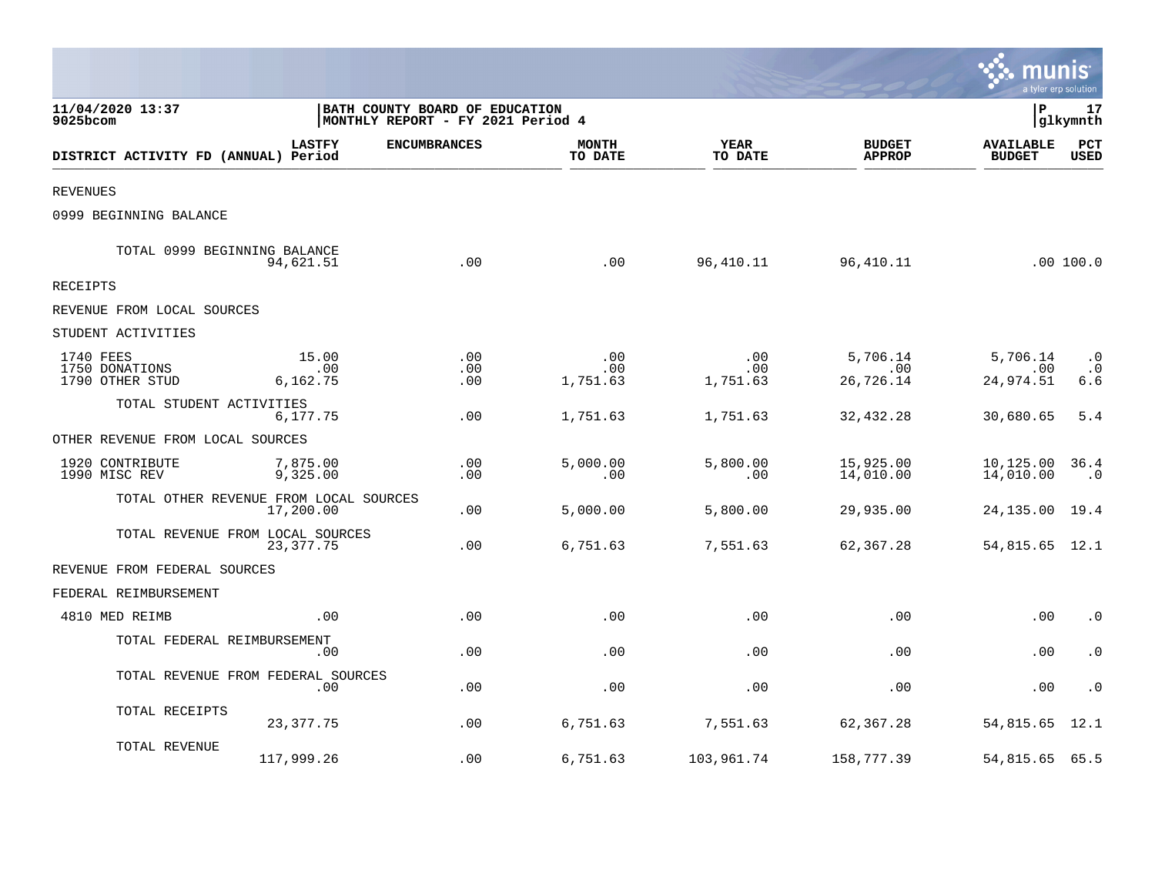|                                                |                          |                                                                     |                         |                        |                                | munis<br>a tyler erp solution     |                               |
|------------------------------------------------|--------------------------|---------------------------------------------------------------------|-------------------------|------------------------|--------------------------------|-----------------------------------|-------------------------------|
| 11/04/2020 13:37<br>9025bcom                   |                          | BATH COUNTY BOARD OF EDUCATION<br>MONTHLY REPORT - FY 2021 Period 4 |                         |                        |                                | lР                                | 17<br>glkymnth                |
| DISTRICT ACTIVITY FD (ANNUAL) Period           | <b>LASTFY</b>            | <b>ENCUMBRANCES</b>                                                 | <b>MONTH</b><br>TO DATE | <b>YEAR</b><br>TO DATE | <b>BUDGET</b><br><b>APPROP</b> | <b>AVAILABLE</b><br><b>BUDGET</b> | PCT<br><b>USED</b>            |
| <b>REVENUES</b>                                |                          |                                                                     |                         |                        |                                |                                   |                               |
| 0999 BEGINNING BALANCE                         |                          |                                                                     |                         |                        |                                |                                   |                               |
| TOTAL 0999 BEGINNING BALANCE                   | 94,621.51                | .00                                                                 | .00                     | 96,410.11              | 96,410.11                      |                                   | .00 100.0                     |
| <b>RECEIPTS</b>                                |                          |                                                                     |                         |                        |                                |                                   |                               |
| REVENUE FROM LOCAL SOURCES                     |                          |                                                                     |                         |                        |                                |                                   |                               |
| STUDENT ACTIVITIES                             |                          |                                                                     |                         |                        |                                |                                   |                               |
| 1740 FEES<br>1750 DONATIONS<br>1790 OTHER STUD | 15.00<br>.00<br>6,162.75 | .00<br>.00<br>.00                                                   | .00<br>.00<br>1,751.63  | .00<br>.00<br>1,751.63 | 5,706.14<br>.00<br>26,726.14   | 5,706.14<br>.00<br>24,974.51      | $\cdot$ 0<br>$\cdot$ 0<br>6.6 |
| TOTAL STUDENT ACTIVITIES                       | 6,177.75                 | .00                                                                 | 1,751.63                | 1,751.63               | 32,432.28                      | 30,680.65                         | 5.4                           |
| OTHER REVENUE FROM LOCAL SOURCES               |                          |                                                                     |                         |                        |                                |                                   |                               |
| 1920 CONTRIBUTE<br>1990 MISC REV               | 7,875.00<br>9,325.00     | .00<br>.00                                                          | 5,000.00<br>.00         | 5,800.00<br>.00        | 15,925.00<br>14,010.00         | 10,125.00<br>14,010.00            | 36.4<br>$\cdot$ 0             |
| TOTAL OTHER REVENUE FROM LOCAL SOURCES         | 17,200.00                | .00                                                                 | 5,000.00                | 5,800.00               | 29,935.00                      | 24,135.00                         | 19.4                          |
| TOTAL REVENUE FROM LOCAL SOURCES               | 23, 377. 75              | .00                                                                 | 6,751.63                | 7,551.63               | 62,367.28                      | 54,815.65 12.1                    |                               |
| REVENUE FROM FEDERAL SOURCES                   |                          |                                                                     |                         |                        |                                |                                   |                               |
| FEDERAL REIMBURSEMENT                          |                          |                                                                     |                         |                        |                                |                                   |                               |
| 4810 MED REIMB                                 | .00                      | .00                                                                 | .00                     | .00                    | .00                            | .00                               | $\cdot$ 0                     |
| TOTAL FEDERAL REIMBURSEMENT                    | .00                      | .00                                                                 | .00                     | .00                    | .00                            | .00                               | $\cdot$ 0                     |
| TOTAL REVENUE FROM FEDERAL SOURCES             | .00                      | .00                                                                 | .00                     | .00                    | .00                            | .00                               | $\cdot$ 0                     |
| TOTAL RECEIPTS                                 | 23, 377. 75              | .00                                                                 | 6,751.63                | 7,551.63               | 62,367.28                      | 54,815.65                         | 12.1                          |
| TOTAL REVENUE                                  | 117,999.26               | .00                                                                 | 6,751.63                | 103,961.74             | 158,777.39                     | 54,815.65 65.5                    |                               |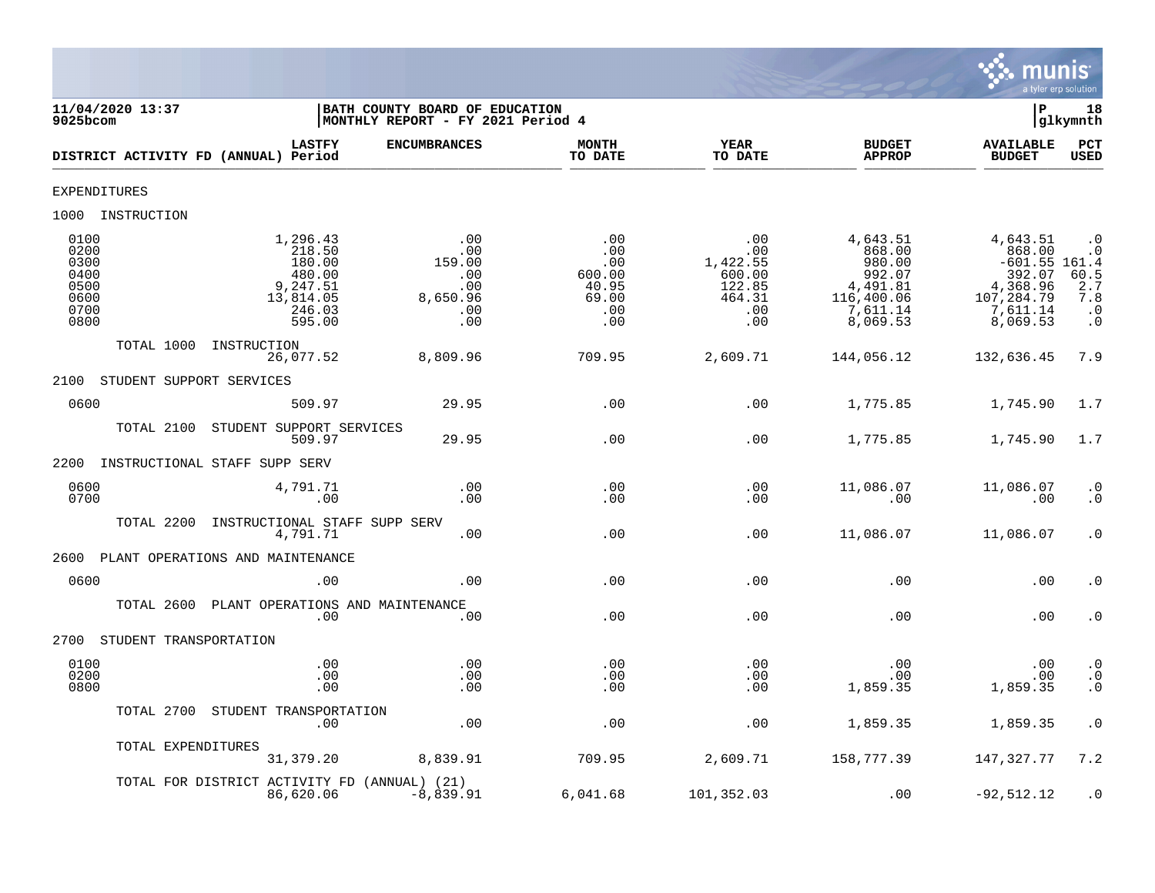

| 11/04/2020 13:37<br>9025bcom                                 |                                                                                     | BATH COUNTY BOARD OF EDUCATION<br>MONTHLY REPORT - FY 2021 Period 4 |                                                             |                                                                    |                                                                                          | ΙP                                                                                                | 18<br>glkymnth                                                            |
|--------------------------------------------------------------|-------------------------------------------------------------------------------------|---------------------------------------------------------------------|-------------------------------------------------------------|--------------------------------------------------------------------|------------------------------------------------------------------------------------------|---------------------------------------------------------------------------------------------------|---------------------------------------------------------------------------|
| DISTRICT ACTIVITY FD (ANNUAL) Period                         | <b>LASTFY</b>                                                                       | <b>ENCUMBRANCES</b>                                                 | <b>MONTH</b><br>TO DATE                                     | <b>YEAR</b><br>TO DATE                                             | <b>BUDGET</b><br><b>APPROP</b>                                                           | <b>AVAILABLE</b><br><b>BUDGET</b>                                                                 | PCT<br>USED                                                               |
| <b>EXPENDITURES</b>                                          |                                                                                     |                                                                     |                                                             |                                                                    |                                                                                          |                                                                                                   |                                                                           |
| 1000 INSTRUCTION                                             |                                                                                     |                                                                     |                                                             |                                                                    |                                                                                          |                                                                                                   |                                                                           |
| 0100<br>0200<br>0300<br>0400<br>0500<br>0600<br>0700<br>0800 | 1,296.43<br>218.50<br>180.00<br>480.00<br>9,247.51<br>13,814.05<br>246.03<br>595.00 | .00<br>.00<br>159.00<br>.00<br>.00<br>8,650.96<br>.00<br>.00        | .00<br>.00<br>.00<br>600.00<br>40.95<br>69.00<br>.00<br>.00 | .00<br>.00<br>1,422.55<br>600.00<br>122.85<br>464.31<br>.00<br>.00 | 4,643.51<br>868.00<br>980.00<br>992.07<br>4,491.81<br>116,400.06<br>7,611.14<br>8,069.53 | 4,643.51<br>868.00<br>$-601.55$ 161.4<br>392.07<br>4,368.96<br>107,284.79<br>7,611.14<br>8,069.53 | $\cdot$ 0<br>$\cdot$ 0<br>$60.5$<br>2.7<br>7.8<br>$\cdot$ 0<br>$\ddot{0}$ |
| TOTAL 1000                                                   | INSTRUCTION<br>26,077.52                                                            | 8,809.96                                                            | 709.95                                                      | 2,609.71                                                           | 144,056.12                                                                               | 132,636.45                                                                                        | 7.9                                                                       |
| 2100<br>STUDENT SUPPORT SERVICES                             |                                                                                     |                                                                     |                                                             |                                                                    |                                                                                          |                                                                                                   |                                                                           |
| 0600                                                         | 509.97                                                                              | 29.95                                                               | .00                                                         | .00                                                                | 1,775.85                                                                                 | 1,745.90                                                                                          | 1.7                                                                       |
| TOTAL 2100                                                   | STUDENT SUPPORT SERVICES<br>509.97                                                  | 29.95                                                               | .00                                                         | .00                                                                | 1,775.85                                                                                 | 1,745.90                                                                                          | 1.7                                                                       |
| 2200                                                         | INSTRUCTIONAL STAFF SUPP SERV                                                       |                                                                     |                                                             |                                                                    |                                                                                          |                                                                                                   |                                                                           |
| 0600<br>0700                                                 | 4,791.71<br>.00                                                                     | .00<br>.00                                                          | .00<br>.00                                                  | .00<br>.00                                                         | 11,086.07<br>.00                                                                         | 11,086.07<br>.00                                                                                  | $\cdot$ 0<br>$\cdot$ 0                                                    |
| TOTAL 2200                                                   | INSTRUCTIONAL STAFF SUPP SERV<br>4,791.71                                           | .00                                                                 | .00                                                         | .00                                                                | 11,086.07                                                                                | 11,086.07                                                                                         | $\cdot$ 0                                                                 |
| 2600                                                         | PLANT OPERATIONS AND MAINTENANCE                                                    |                                                                     |                                                             |                                                                    |                                                                                          |                                                                                                   |                                                                           |
| 0600                                                         | .00                                                                                 | .00.                                                                | .00                                                         | .00                                                                | .00                                                                                      | .00                                                                                               | $\cdot$ 0                                                                 |
| TOTAL 2600                                                   | PLANT OPERATIONS AND MAINTENANCE<br>.00                                             | .00                                                                 | .00                                                         | .00                                                                | .00                                                                                      | .00                                                                                               | $\cdot$ 0                                                                 |
| 2700 STUDENT TRANSPORTATION                                  |                                                                                     |                                                                     |                                                             |                                                                    |                                                                                          |                                                                                                   |                                                                           |
| 0100<br>0200<br>0800                                         | .00<br>.00<br>.00                                                                   | .00<br>.00<br>.00                                                   | .00<br>.00<br>.00                                           | .00<br>.00<br>.00                                                  | .00<br>.00<br>1,859.35                                                                   | $.00 \,$<br>.00<br>1,859.35                                                                       | $\cdot$ 0<br>$\cdot$ 0<br>$\cdot$ 0                                       |
|                                                              | TOTAL 2700 STUDENT TRANSPORTATION<br>.00                                            | .00                                                                 | .00                                                         | .00                                                                | 1,859.35                                                                                 | 1,859.35                                                                                          | $\cdot$ 0                                                                 |
| TOTAL EXPENDITURES                                           | 31,379.20                                                                           | 8,839.91                                                            | 709.95                                                      | 2,609.71                                                           | 158,777.39                                                                               | 147,327.77                                                                                        | 7.2                                                                       |
|                                                              | TOTAL FOR DISTRICT ACTIVITY FD (ANNUAL) (21)<br>86,620.06                           | $-8,839.91$                                                         | 6,041.68                                                    | 101,352.03                                                         | .00                                                                                      | $-92,512.12$                                                                                      | $\cdot$ 0                                                                 |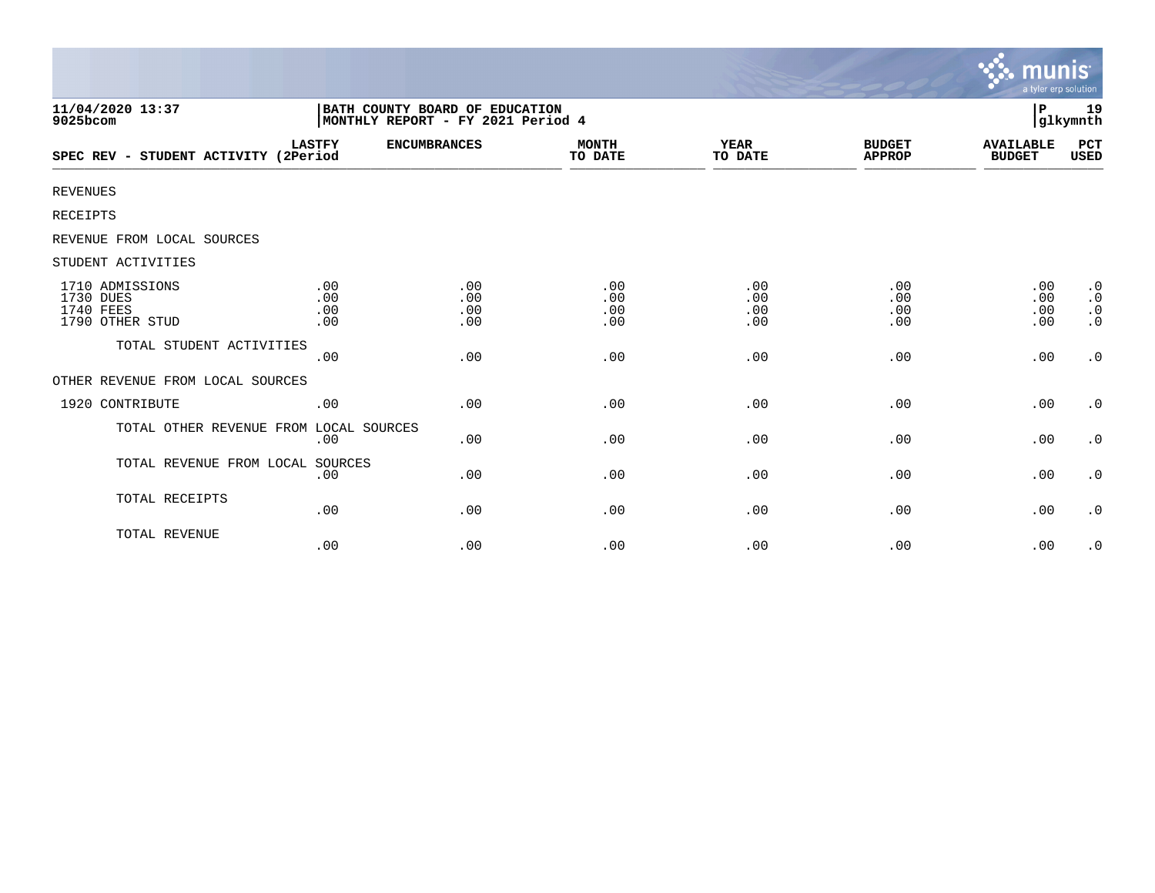|                                                                     |                                                                     |                          |                          |                          |                                | <u>munis'</u><br>a tyler erp solution |                                                               |
|---------------------------------------------------------------------|---------------------------------------------------------------------|--------------------------|--------------------------|--------------------------|--------------------------------|---------------------------------------|---------------------------------------------------------------|
| 11/04/2020 13:37<br>9025bcom                                        | BATH COUNTY BOARD OF EDUCATION<br>MONTHLY REPORT - FY 2021 Period 4 |                          |                          |                          |                                | ∣P                                    | 19<br> glkymnth                                               |
| SPEC REV - STUDENT ACTIVITY (2Period                                | <b>LASTFY</b>                                                       | <b>ENCUMBRANCES</b>      | <b>MONTH</b><br>TO DATE  | <b>YEAR</b><br>TO DATE   | <b>BUDGET</b><br><b>APPROP</b> | <b>AVAILABLE</b><br><b>BUDGET</b>     | PCT<br><b>USED</b>                                            |
| <b>REVENUES</b>                                                     |                                                                     |                          |                          |                          |                                |                                       |                                                               |
| RECEIPTS                                                            |                                                                     |                          |                          |                          |                                |                                       |                                                               |
| REVENUE FROM LOCAL SOURCES                                          |                                                                     |                          |                          |                          |                                |                                       |                                                               |
| STUDENT ACTIVITIES                                                  |                                                                     |                          |                          |                          |                                |                                       |                                                               |
| 1710 ADMISSIONS<br>1730 DUES<br><b>1740 FEES</b><br>1790 OTHER STUD | .00<br>.00<br>.00<br>.00                                            | .00<br>.00<br>.00<br>.00 | .00<br>.00<br>.00<br>.00 | .00<br>.00<br>.00<br>.00 | .00<br>.00<br>.00<br>.00       | .00<br>.00<br>.00<br>.00              | $\cdot$ 0<br>$\boldsymbol{\cdot}$ 0<br>$\cdot$ 0<br>$\cdot$ 0 |
| TOTAL STUDENT ACTIVITIES                                            | .00                                                                 | .00                      | .00                      | .00                      | .00                            | .00                                   | $\cdot$ 0                                                     |
| OTHER REVENUE FROM LOCAL SOURCES                                    |                                                                     |                          |                          |                          |                                |                                       |                                                               |
| 1920 CONTRIBUTE                                                     | .00                                                                 | .00                      | .00                      | .00                      | .00                            | .00                                   | $\cdot$ 0                                                     |
| TOTAL OTHER REVENUE FROM LOCAL SOURCES                              | .00                                                                 | .00                      | .00                      | .00                      | .00                            | .00                                   | $\cdot$ 0                                                     |
| TOTAL REVENUE FROM LOCAL SOURCES                                    | .00                                                                 | .00                      | .00                      | .00                      | .00                            | .00                                   | $\cdot$ 0                                                     |
| TOTAL RECEIPTS                                                      | .00                                                                 | .00                      | .00                      | .00                      | .00                            | .00                                   | $\cdot$ 0                                                     |
| TOTAL REVENUE                                                       | .00                                                                 | .00                      | .00                      | .00                      | .00                            | .00                                   | $\cdot$ 0                                                     |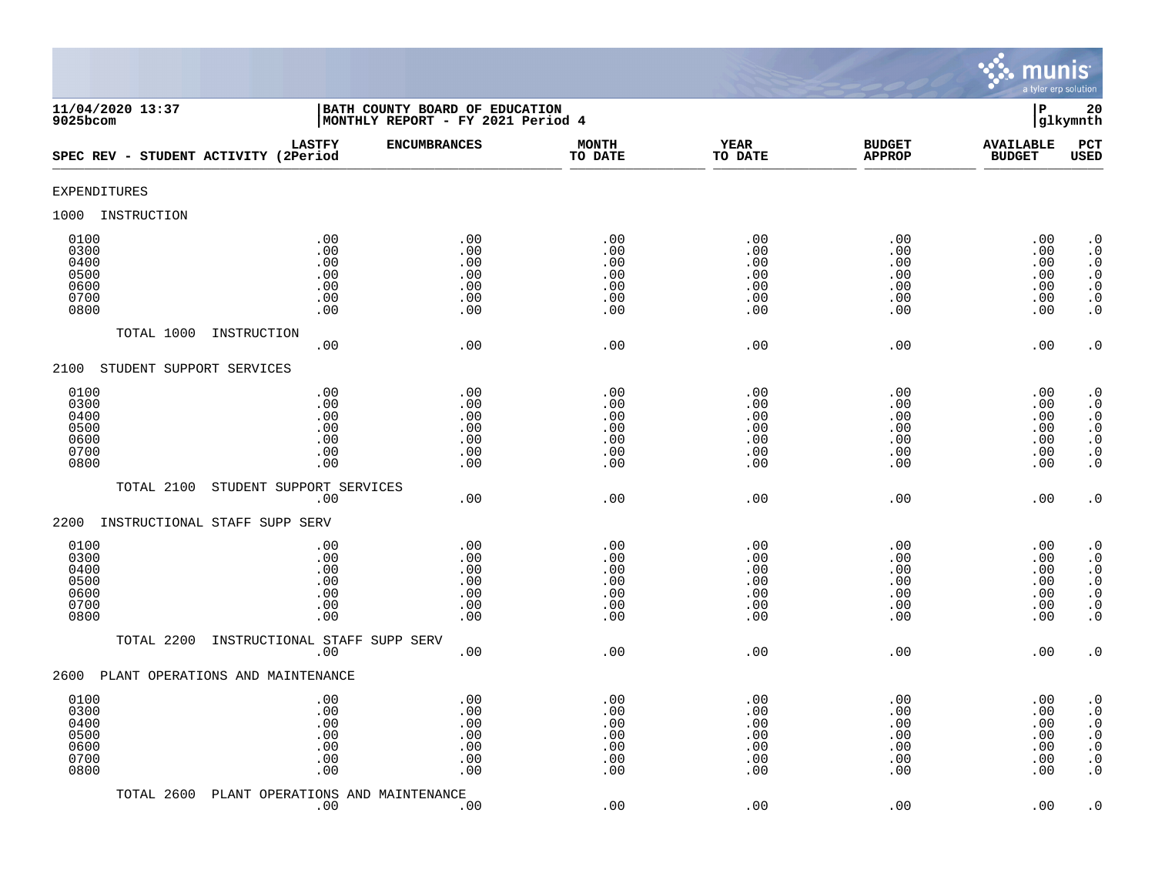

| 11/04/2020 13:37<br>$9025$ bcom                      |                                                 | BATH COUNTY BOARD OF EDUCATION<br>MONTHLY REPORT - FY 2021 Period 4 |                                               |                                               |                                               | $\mathbf P$                                   | 20<br>glkymnth                                                                                                                                    |
|------------------------------------------------------|-------------------------------------------------|---------------------------------------------------------------------|-----------------------------------------------|-----------------------------------------------|-----------------------------------------------|-----------------------------------------------|---------------------------------------------------------------------------------------------------------------------------------------------------|
| SPEC REV - STUDENT ACTIVITY (2Period                 | <b>LASTFY</b>                                   | <b>ENCUMBRANCES</b>                                                 | <b>MONTH</b><br>TO DATE                       | <b>YEAR</b><br>TO DATE                        | <b>BUDGET</b><br><b>APPROP</b>                | <b>AVAILABLE</b><br><b>BUDGET</b>             | PCT<br><b>USED</b>                                                                                                                                |
| <b>EXPENDITURES</b>                                  |                                                 |                                                                     |                                               |                                               |                                               |                                               |                                                                                                                                                   |
| 1000<br>INSTRUCTION                                  |                                                 |                                                                     |                                               |                                               |                                               |                                               |                                                                                                                                                   |
| 0100<br>0300<br>0400<br>0500<br>0600<br>0700<br>0800 | .00<br>.00<br>.00<br>$.00$<br>.00<br>.00<br>.00 | .00<br>.00<br>.00<br>.00<br>.00<br>.00<br>.00                       | .00<br>.00<br>.00<br>.00<br>.00<br>.00<br>.00 | .00<br>.00<br>.00<br>.00<br>.00<br>.00<br>.00 | .00<br>.00<br>.00<br>.00<br>.00<br>.00<br>.00 | .00<br>.00<br>.00<br>.00<br>.00<br>.00<br>.00 | $\cdot$ 0<br>$\boldsymbol{\cdot}$ 0<br>$\cdot$ 0<br>$\begin{smallmatrix} . & 0 \\ . & 0 \end{smallmatrix}$<br>$\boldsymbol{\cdot}$ 0<br>$\cdot$ 0 |
| TOTAL 1000                                           | INSTRUCTION<br>.00                              | .00                                                                 | .00                                           | .00                                           | .00                                           | .00                                           | $\cdot$ 0                                                                                                                                         |
| STUDENT SUPPORT SERVICES<br>2100                     |                                                 |                                                                     |                                               |                                               |                                               |                                               |                                                                                                                                                   |
| 0100<br>0300<br>0400<br>0500<br>0600<br>0700<br>0800 | .00<br>.00<br>.00<br>.00<br>.00<br>.00<br>.00   | .00<br>.00<br>.00<br>.00<br>.00<br>.00<br>.00                       | .00<br>.00<br>.00<br>.00<br>.00<br>.00<br>.00 | .00<br>.00<br>.00<br>.00<br>.00<br>.00<br>.00 | .00<br>.00<br>.00<br>.00<br>.00<br>.00<br>.00 | .00<br>.00<br>.00<br>.00<br>.00<br>.00<br>.00 | $\cdot$ 0<br>$\cdot$ 0<br>$\cdot$ 0<br>$\begin{array}{c} 0 \\ 0 \\ 0 \\ 0 \end{array}$<br>$\cdot$ 0                                               |
| TOTAL 2100                                           | STUDENT SUPPORT SERVICES                        |                                                                     |                                               |                                               |                                               |                                               |                                                                                                                                                   |
| 2200<br>INSTRUCTIONAL STAFF SUPP SERV                | .00                                             | .00                                                                 | .00                                           | .00                                           | .00                                           | .00                                           | $\cdot$ 0                                                                                                                                         |
| 0100<br>0300<br>0400<br>0500<br>0600<br>0700<br>0800 | .00<br>.00<br>.00<br>.00<br>.00<br>.00<br>.00   | .00<br>.00<br>.00<br>.00<br>.00<br>.00<br>.00                       | .00<br>.00<br>.00<br>.00<br>.00<br>.00<br>.00 | .00<br>.00<br>.00<br>.00<br>.00<br>.00<br>.00 | .00<br>.00<br>.00<br>.00<br>.00<br>.00<br>.00 | .00<br>.00<br>.00<br>.00<br>.00<br>.00<br>.00 | $\cdot$ 0<br>$\cdot$ 0<br>$\begin{smallmatrix} 0.1 \\ 0.1 \end{smallmatrix}$<br>$\ddot{0}$<br>$\boldsymbol{\cdot}$ 0<br>$\overline{0}$            |
| TOTAL 2200                                           | INSTRUCTIONAL STAFF SUPP SERV<br>.00            | .00                                                                 | .00                                           | .00                                           | .00                                           | .00                                           | $\cdot$ 0                                                                                                                                         |
| PLANT OPERATIONS AND MAINTENANCE<br>2600             |                                                 |                                                                     |                                               |                                               |                                               |                                               |                                                                                                                                                   |
| 0100<br>0300<br>0400<br>0500<br>0600<br>0700<br>0800 | .00<br>.00<br>.00<br>.00<br>$.00$<br>.00<br>.00 | .00<br>.00<br>.00<br>.00<br>.00<br>.00<br>.00                       | .00<br>.00<br>.00<br>.00<br>.00<br>.00<br>.00 | .00<br>.00<br>.00<br>.00<br>.00<br>.00<br>.00 | .00<br>.00<br>.00<br>.00<br>.00<br>.00<br>.00 | .00<br>.00<br>.00<br>.00<br>.00<br>.00<br>.00 | $\cdot$ 0<br>$\cdot$ 0<br>$\boldsymbol{\cdot}$ 0<br>$\ddot{0}$<br>$\boldsymbol{\cdot}$ 0<br>$\boldsymbol{\cdot}$ 0<br>$\cdot$ 0                   |
| TOTAL 2600                                           | PLANT OPERATIONS AND MAINTENANCE<br>.00         | .00                                                                 | .00                                           | .00                                           | .00                                           | .00                                           | $\cdot$ 0                                                                                                                                         |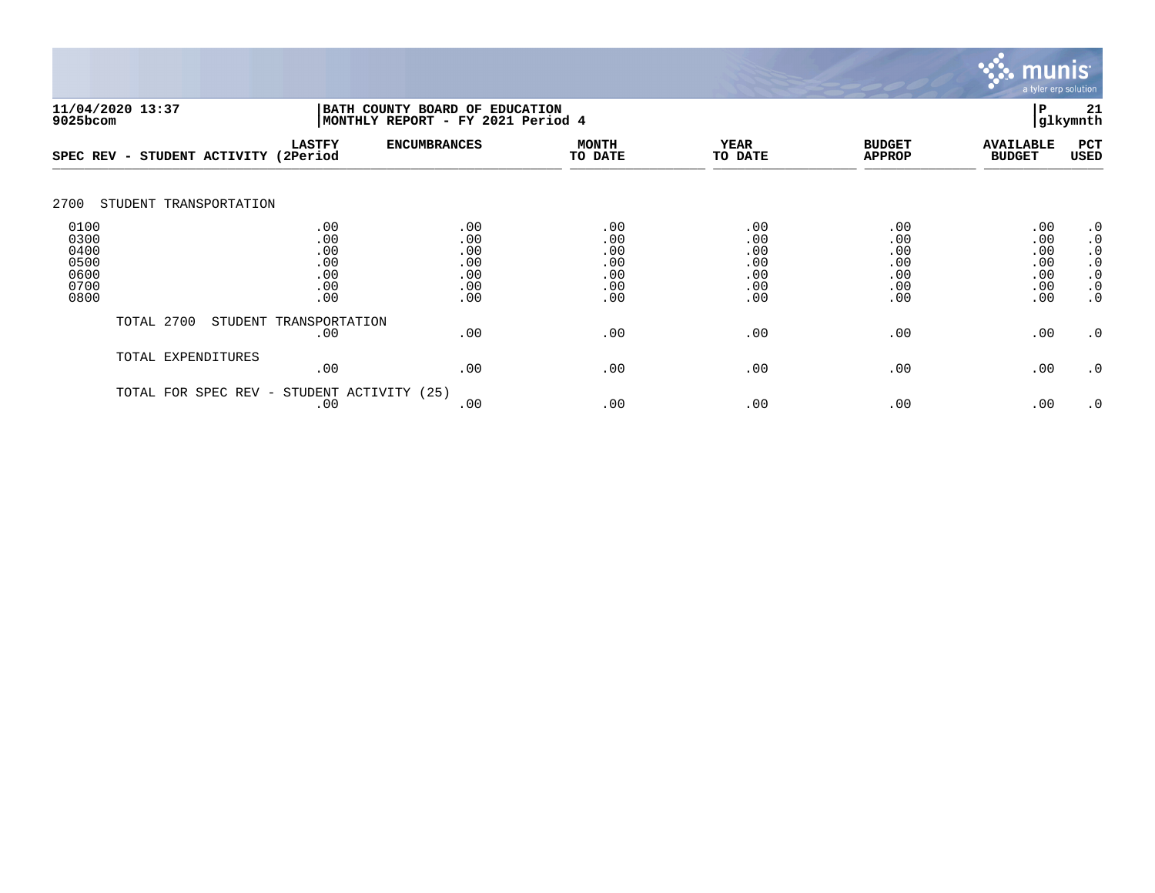

| 9025bcom                                             | 11/04/2020 13:37          | BATH COUNTY BOARD OF EDUCATION<br> MONTHLY REPORT - FY 2021 Period 4 | Р                                             | 21<br> glkymnth                               |                                               |                                               |                                               |                                                                                         |
|------------------------------------------------------|---------------------------|----------------------------------------------------------------------|-----------------------------------------------|-----------------------------------------------|-----------------------------------------------|-----------------------------------------------|-----------------------------------------------|-----------------------------------------------------------------------------------------|
| SPEC REV -                                           | STUDENT ACTIVITY (2Period | <b>LASTFY</b>                                                        | <b>ENCUMBRANCES</b>                           | <b>MONTH</b><br>TO DATE                       | <b>YEAR</b><br>TO DATE                        | <b>BUDGET</b><br><b>APPROP</b>                | <b>AVAILABLE</b><br><b>BUDGET</b>             | PCT<br>USED                                                                             |
| 2700                                                 | STUDENT TRANSPORTATION    |                                                                      |                                               |                                               |                                               |                                               |                                               |                                                                                         |
| 0100<br>0300<br>0400<br>0500<br>0600<br>0700<br>0800 |                           | .00<br>.00<br>.00<br>.00<br>.00<br>.00<br>.00                        | .00<br>.00<br>.00<br>.00<br>.00<br>.00<br>.00 | .00<br>.00<br>.00<br>.00<br>.00<br>.00<br>.00 | .00<br>.00<br>.00<br>.00<br>.00<br>.00<br>.00 | .00<br>.00<br>.00<br>.00<br>.00<br>.00<br>.00 | .00<br>.00<br>.00<br>.00<br>.00<br>.00<br>.00 | $\cdot$ 0<br>$\cdot$ 0<br>$\cdot$ 0<br>$\cdot$ 0<br>$\cdot$ 0<br>$\cdot$ 0<br>$\cdot$ 0 |
|                                                      | TOTAL 2700                | STUDENT TRANSPORTATION<br>.00                                        | .00                                           | .00                                           | .00                                           | .00                                           | .00                                           | $\cdot$ 0                                                                               |
|                                                      | TOTAL EXPENDITURES        | .00                                                                  | .00                                           | .00                                           | .00                                           | .00                                           | .00                                           | .0                                                                                      |
|                                                      | TOTAL FOR SPEC REV -      | STUDENT ACTIVITY (25)<br>.00                                         | .00                                           | .00                                           | .00                                           | .00                                           | .00                                           | $\cdot$ 0                                                                               |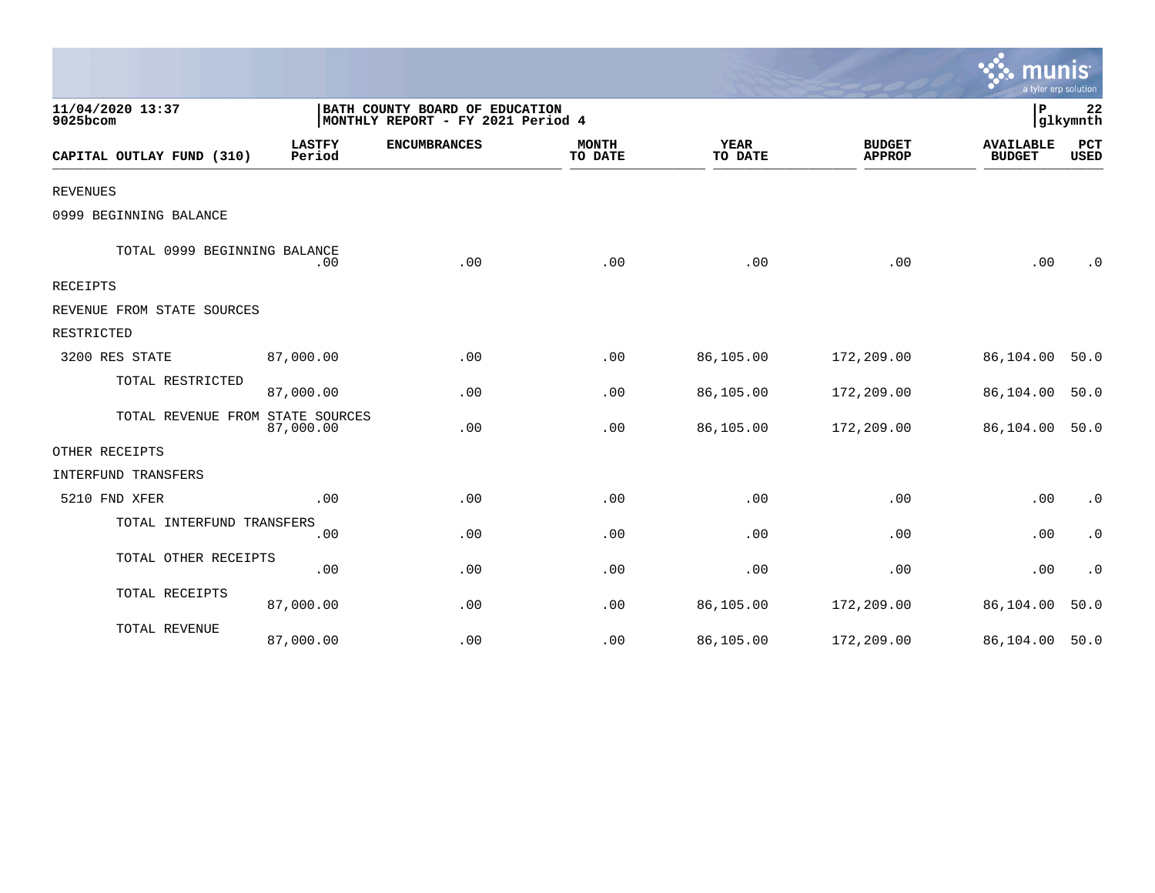|                                  |                                                                     |                     |                         |                        |                                | mu<br>a tyler erp solution        |                        |
|----------------------------------|---------------------------------------------------------------------|---------------------|-------------------------|------------------------|--------------------------------|-----------------------------------|------------------------|
| 11/04/2020 13:37<br>9025bcom     | BATH COUNTY BOARD OF EDUCATION<br>MONTHLY REPORT - FY 2021 Period 4 |                     |                         |                        |                                | ΙP                                | 22<br>glkymnth         |
| CAPITAL OUTLAY FUND (310)        | <b>LASTFY</b><br>Period                                             | <b>ENCUMBRANCES</b> | <b>MONTH</b><br>TO DATE | <b>YEAR</b><br>TO DATE | <b>BUDGET</b><br><b>APPROP</b> | <b>AVAILABLE</b><br><b>BUDGET</b> | PCT<br><b>USED</b>     |
| <b>REVENUES</b>                  |                                                                     |                     |                         |                        |                                |                                   |                        |
| 0999 BEGINNING BALANCE           |                                                                     |                     |                         |                        |                                |                                   |                        |
| TOTAL 0999 BEGINNING BALANCE     | .00                                                                 | .00                 | .00                     | .00                    | .00                            | .00                               | $\cdot$ 0              |
| RECEIPTS                         |                                                                     |                     |                         |                        |                                |                                   |                        |
| REVENUE FROM STATE SOURCES       |                                                                     |                     |                         |                        |                                |                                   |                        |
| RESTRICTED                       |                                                                     |                     |                         |                        |                                |                                   |                        |
| 3200 RES STATE                   | 87,000.00                                                           | .00                 | .00                     | 86,105.00              | 172,209.00                     | 86,104.00                         | 50.0                   |
| TOTAL RESTRICTED                 | 87,000.00                                                           | .00                 | .00                     | 86,105.00              | 172,209.00                     | 86,104.00                         | 50.0                   |
| TOTAL REVENUE FROM STATE SOURCES | 87,000.00                                                           | .00                 | .00                     | 86,105.00              | 172,209.00                     | 86,104.00                         | 50.0                   |
| OTHER RECEIPTS                   |                                                                     |                     |                         |                        |                                |                                   |                        |
| INTERFUND TRANSFERS              |                                                                     |                     |                         |                        |                                |                                   |                        |
| 5210 FND XFER                    | .00                                                                 | .00                 | .00                     | .00                    | .00                            | .00                               | $\cdot$ 0              |
| TOTAL INTERFUND TRANSFERS        | .00                                                                 | .00                 | .00                     | .00                    | .00                            | .00                               | $\boldsymbol{\cdot}$ 0 |
| TOTAL OTHER RECEIPTS             | .00                                                                 | .00                 | .00                     | .00                    | .00                            | .00                               | $\cdot$ 0              |
| TOTAL RECEIPTS                   | 87,000.00                                                           | .00                 | .00                     | 86,105.00              | 172,209.00                     | 86,104.00                         | 50.0                   |
| TOTAL REVENUE                    | 87,000.00                                                           | .00                 | .00                     | 86,105.00              | 172,209.00                     | 86,104.00                         | 50.0                   |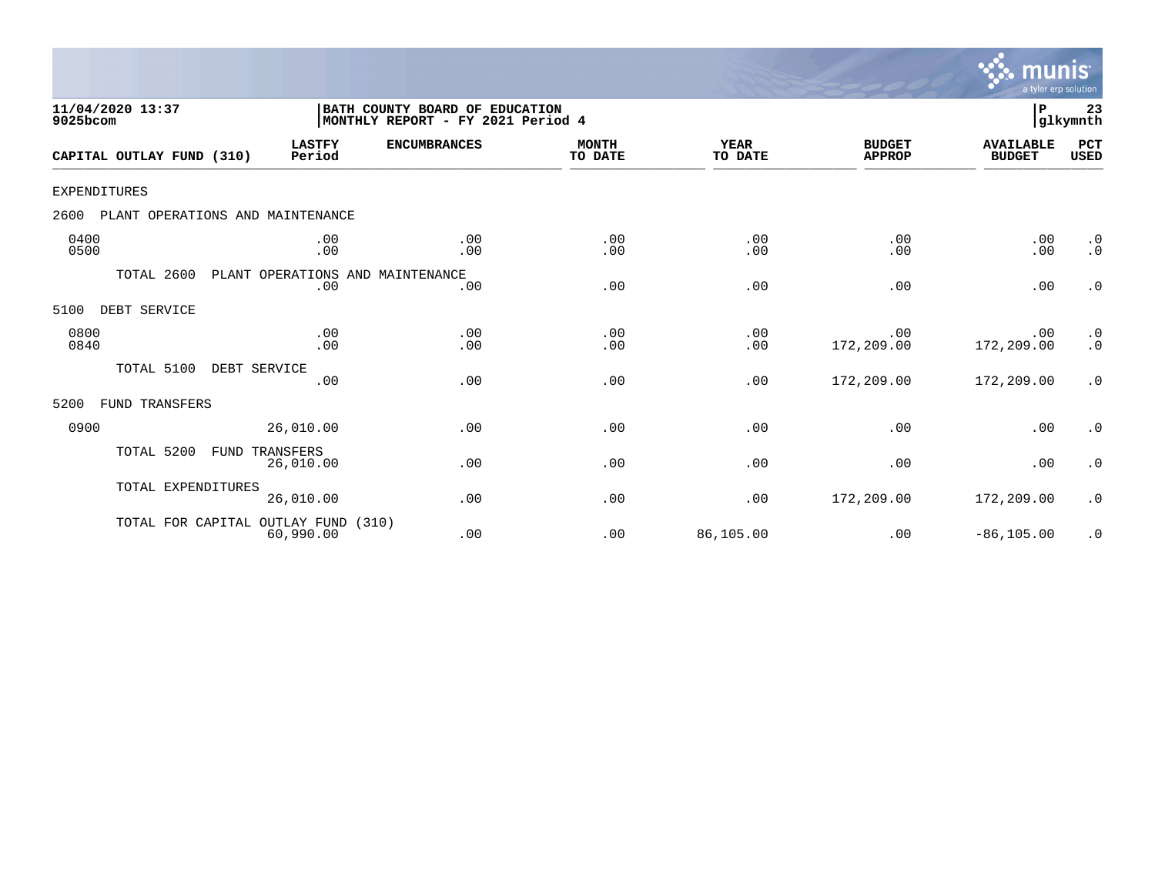

| 11/04/2020 13:37<br>9025bcom |                                  |                         | BATH COUNTY BOARD OF EDUCATION<br>MONTHLY REPORT - FY 2021 Period 4 |                         |                        |                                | $\mathbf P$                       | 23<br>glkymnth         |
|------------------------------|----------------------------------|-------------------------|---------------------------------------------------------------------|-------------------------|------------------------|--------------------------------|-----------------------------------|------------------------|
| CAPITAL OUTLAY FUND (310)    |                                  | <b>LASTFY</b><br>Period | <b>ENCUMBRANCES</b>                                                 | <b>MONTH</b><br>TO DATE | <b>YEAR</b><br>TO DATE | <b>BUDGET</b><br><b>APPROP</b> | <b>AVAILABLE</b><br><b>BUDGET</b> | PCT<br><b>USED</b>     |
| <b>EXPENDITURES</b>          |                                  |                         |                                                                     |                         |                        |                                |                                   |                        |
| 2600                         | PLANT OPERATIONS AND MAINTENANCE |                         |                                                                     |                         |                        |                                |                                   |                        |
| 0400<br>0500                 |                                  | .00<br>.00              | .00<br>.00                                                          | .00<br>.00              | .00<br>.00             | .00<br>.00                     | .00<br>.00                        | $\cdot$ 0<br>$\cdot$ 0 |
|                              | TOTAL 2600                       | .00                     | PLANT OPERATIONS AND MAINTENANCE<br>.00                             | .00                     | .00                    | .00                            | .00                               | $\cdot$ 0              |
| 5100<br>DEBT SERVICE         |                                  |                         |                                                                     |                         |                        |                                |                                   |                        |
| 0800<br>0840                 |                                  | .00<br>.00              | .00<br>.00                                                          | .00<br>.00              | .00<br>.00             | .00<br>172,209.00              | .00<br>172,209.00                 | $\cdot$ 0<br>$\cdot$ 0 |
|                              | TOTAL 5100<br>DEBT SERVICE       | .00                     | .00                                                                 | .00                     | .00                    | 172,209.00                     | 172,209.00                        | .0                     |
| 5200                         | FUND TRANSFERS                   |                         |                                                                     |                         |                        |                                |                                   |                        |
| 0900                         |                                  | 26,010.00               | .00                                                                 | .00                     | .00                    | .00                            | .00                               | $\cdot$ 0              |
|                              | TOTAL 5200<br>FUND TRANSFERS     | 26,010.00               | .00                                                                 | .00                     | .00                    | .00                            | .00                               | $\cdot$ 0              |
|                              | TOTAL EXPENDITURES               | 26,010.00               | .00                                                                 | .00                     | .00                    | 172,209.00                     | 172,209.00                        | $\cdot$ 0              |
|                              | TOTAL FOR CAPITAL OUTLAY FUND    | 60,990.00               | (310)<br>.00                                                        | .00                     | 86,105.00              | .00                            | $-86, 105.00$                     | $\cdot$ 0              |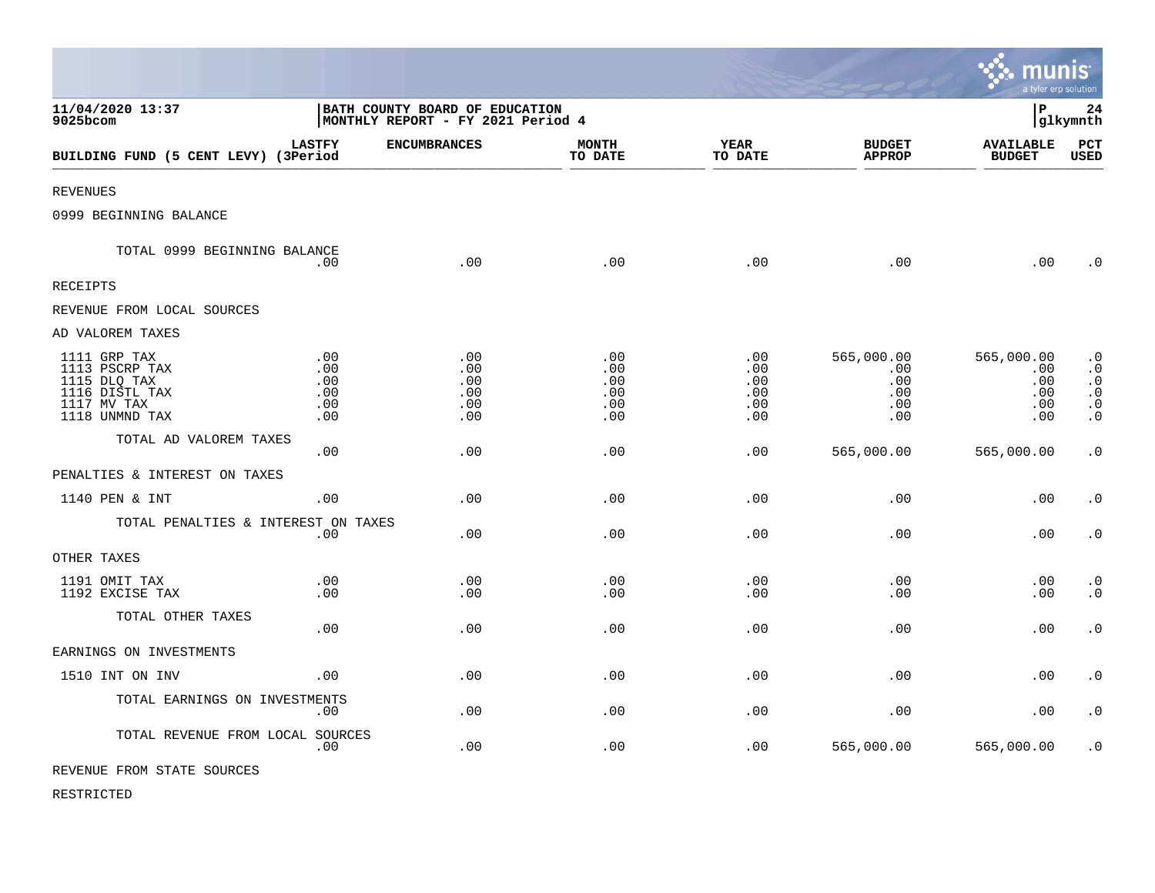|                                                                                                   |                                                                     |                                        |                                        |                                             |                                               | munis<br>a tyler erp solution                 |                                                                            |
|---------------------------------------------------------------------------------------------------|---------------------------------------------------------------------|----------------------------------------|----------------------------------------|---------------------------------------------|-----------------------------------------------|-----------------------------------------------|----------------------------------------------------------------------------|
| 11/04/2020 13:37<br>9025bcom                                                                      | BATH COUNTY BOARD OF EDUCATION<br>MONTHLY REPORT - FY 2021 Period 4 |                                        |                                        |                                             |                                               | l P<br>24<br> glkymnth                        |                                                                            |
| BUILDING FUND (5 CENT LEVY) (3Period                                                              | <b>LASTFY</b>                                                       | <b>ENCUMBRANCES</b>                    | <b>MONTH</b><br>TO DATE                | <b>YEAR</b><br>TO DATE                      | <b>BUDGET</b><br><b>APPROP</b>                | <b>AVAILABLE</b><br><b>BUDGET</b>             | PCT<br>USED                                                                |
| <b>REVENUES</b>                                                                                   |                                                                     |                                        |                                        |                                             |                                               |                                               |                                                                            |
| 0999 BEGINNING BALANCE                                                                            |                                                                     |                                        |                                        |                                             |                                               |                                               |                                                                            |
| TOTAL 0999 BEGINNING BALANCE                                                                      | .00                                                                 | .00                                    | .00                                    | .00                                         | .00                                           | .00                                           | $\cdot$ 0                                                                  |
| <b>RECEIPTS</b>                                                                                   |                                                                     |                                        |                                        |                                             |                                               |                                               |                                                                            |
| REVENUE FROM LOCAL SOURCES                                                                        |                                                                     |                                        |                                        |                                             |                                               |                                               |                                                                            |
| AD VALOREM TAXES                                                                                  |                                                                     |                                        |                                        |                                             |                                               |                                               |                                                                            |
| 1111 GRP TAX<br>1113 PSCRP TAX<br>1115 DLQ TAX<br>1116 DISTL TAX<br>1117 MV TAX<br>1118 UNMND TAX | .00<br>.00<br>.00<br>.00<br>.00<br>.00                              | .00<br>.00<br>.00<br>.00<br>.00<br>.00 | .00<br>.00<br>.00<br>.00<br>.00<br>.00 | $.00 \,$<br>.00<br>.00<br>.00<br>.00<br>.00 | 565,000.00<br>.00<br>.00<br>.00<br>.00<br>.00 | 565,000.00<br>.00<br>.00<br>.00<br>.00<br>.00 | $\cdot$ 0<br>$\cdot$ 0<br>$\cdot$ 0<br>$\cdot$ 0<br>$\cdot$ 0<br>$\cdot$ 0 |
| TOTAL AD VALOREM TAXES                                                                            | .00                                                                 | .00                                    | .00                                    | .00                                         | 565,000.00                                    | 565,000.00                                    | $\cdot$ 0                                                                  |
| PENALTIES & INTEREST ON TAXES                                                                     |                                                                     |                                        |                                        |                                             |                                               |                                               |                                                                            |
| 1140 PEN & INT                                                                                    | .00                                                                 | .00                                    | .00                                    | .00                                         | .00                                           | .00                                           | $\cdot$ 0                                                                  |
| TOTAL PENALTIES & INTEREST ON TAXES                                                               | .00                                                                 | .00                                    | .00                                    | .00                                         | .00                                           | .00                                           | $\boldsymbol{\cdot}$ 0                                                     |
| OTHER TAXES                                                                                       |                                                                     |                                        |                                        |                                             |                                               |                                               |                                                                            |
| 1191 OMIT TAX<br>1192 EXCISE TAX                                                                  | .00<br>.00                                                          | .00<br>.00                             | .00<br>.00                             | .00<br>.00                                  | .00<br>.00                                    | .00<br>.00                                    | $\cdot$ 0<br>$\cdot$ 0                                                     |
| TOTAL OTHER TAXES                                                                                 | .00                                                                 | .00                                    | .00                                    | .00                                         | .00                                           | .00                                           | $\boldsymbol{\cdot}$ 0                                                     |
| EARNINGS ON INVESTMENTS                                                                           |                                                                     |                                        |                                        |                                             |                                               |                                               |                                                                            |
| 1510 INT ON INV                                                                                   | .00                                                                 | .00                                    | .00                                    | .00                                         | .00                                           | .00                                           | $\cdot$ 0                                                                  |
| TOTAL EARNINGS ON INVESTMENTS                                                                     | .00                                                                 | .00.                                   | .00                                    | .00                                         | .00                                           | .00                                           | $\cdot$ 0                                                                  |
| TOTAL REVENUE FROM LOCAL SOURCES                                                                  | .00                                                                 | .00                                    | .00                                    | .00                                         | 565,000.00                                    | 565,000.00                                    | $\cdot$ 0                                                                  |
| REVENUE FROM STATE SOURCES                                                                        |                                                                     |                                        |                                        |                                             |                                               |                                               |                                                                            |

 $\bullet$ 

RESTRICTED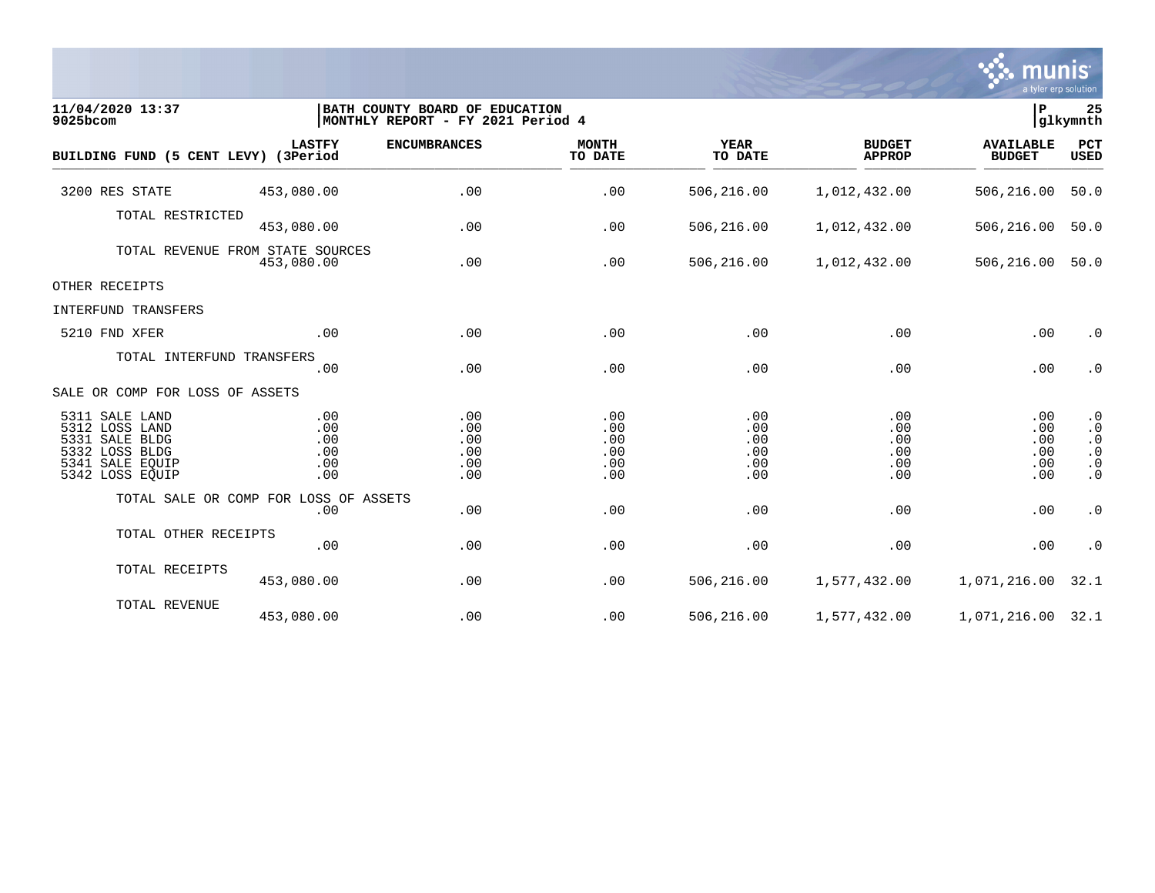

| 11/04/2020 13:37<br>9025bcom                                                                               |                                                | BATH COUNTY BOARD OF EDUCATION<br>MONTHLY REPORT - FY 2021 Period 4 |                                        |                                        |                                        | ∣P<br>glkymnth                         |                                                                            |
|------------------------------------------------------------------------------------------------------------|------------------------------------------------|---------------------------------------------------------------------|----------------------------------------|----------------------------------------|----------------------------------------|----------------------------------------|----------------------------------------------------------------------------|
| BUILDING FUND (5 CENT LEVY) (3Period                                                                       | <b>LASTFY</b>                                  | <b>ENCUMBRANCES</b>                                                 | <b>MONTH</b><br>TO DATE                | <b>YEAR</b><br>TO DATE                 | <b>BUDGET</b><br><b>APPROP</b>         | <b>AVAILABLE</b><br><b>BUDGET</b>      | PCT<br>USED                                                                |
| 3200 RES STATE                                                                                             | 453,080.00                                     | .00                                                                 | .00                                    | 506,216.00                             | 1,012,432.00                           | 506,216.00                             | 50.0                                                                       |
| TOTAL RESTRICTED                                                                                           | 453,080.00                                     | .00                                                                 | .00                                    | 506,216.00                             | 1,012,432.00                           | 506,216.00                             | 50.0                                                                       |
|                                                                                                            | TOTAL REVENUE FROM STATE SOURCES<br>453,080.00 | .00                                                                 | .00                                    | 506,216.00                             | 1,012,432.00                           | 506,216.00                             | 50.0                                                                       |
| OTHER RECEIPTS                                                                                             |                                                |                                                                     |                                        |                                        |                                        |                                        |                                                                            |
| INTERFUND TRANSFERS                                                                                        |                                                |                                                                     |                                        |                                        |                                        |                                        |                                                                            |
| 5210 FND XFER                                                                                              | .00                                            | .00                                                                 | .00                                    | .00                                    | .00                                    | .00                                    | $\cdot$ 0                                                                  |
| TOTAL INTERFUND TRANSFERS                                                                                  | .00                                            | .00                                                                 | .00                                    | .00                                    | .00                                    | .00                                    | $\cdot$ 0                                                                  |
| SALE OR COMP FOR LOSS OF ASSETS                                                                            |                                                |                                                                     |                                        |                                        |                                        |                                        |                                                                            |
| 5311 SALE LAND<br>5312 LOSS LAND<br>5331 SALE BLDG<br>5332 LOSS BLDG<br>5341 SALE EQUIP<br>5342 LOSS EQUIP | .00<br>.00<br>.00<br>.00<br>.00<br>.00         | .00<br>.00<br>.00<br>.00<br>.00<br>.00                              | .00<br>.00<br>.00<br>.00<br>.00<br>.00 | .00<br>.00<br>.00<br>.00<br>.00<br>.00 | .00<br>.00<br>.00<br>.00<br>.00<br>.00 | .00<br>.00<br>.00<br>.00<br>.00<br>.00 | $\cdot$ 0<br>$\cdot$ 0<br>$\cdot$ 0<br>$\cdot$ 0<br>$\cdot$ 0<br>$\cdot$ 0 |
|                                                                                                            | TOTAL SALE OR COMP FOR LOSS OF ASSETS<br>.00   | .00                                                                 | .00                                    | .00                                    | .00                                    | .00                                    | $\cdot$ 0                                                                  |
| TOTAL OTHER RECEIPTS                                                                                       | .00                                            | .00                                                                 | .00                                    | .00                                    | .00                                    | .00                                    | $\cdot$ 0                                                                  |
| TOTAL RECEIPTS                                                                                             | 453,080.00                                     | .00                                                                 | .00                                    | 506,216.00                             | 1,577,432.00                           | 1,071,216.00                           | 32.1                                                                       |
| TOTAL REVENUE                                                                                              | 453,080.00                                     | .00                                                                 | .00                                    | 506,216.00                             | 1,577,432.00                           | 1,071,216.00 32.1                      |                                                                            |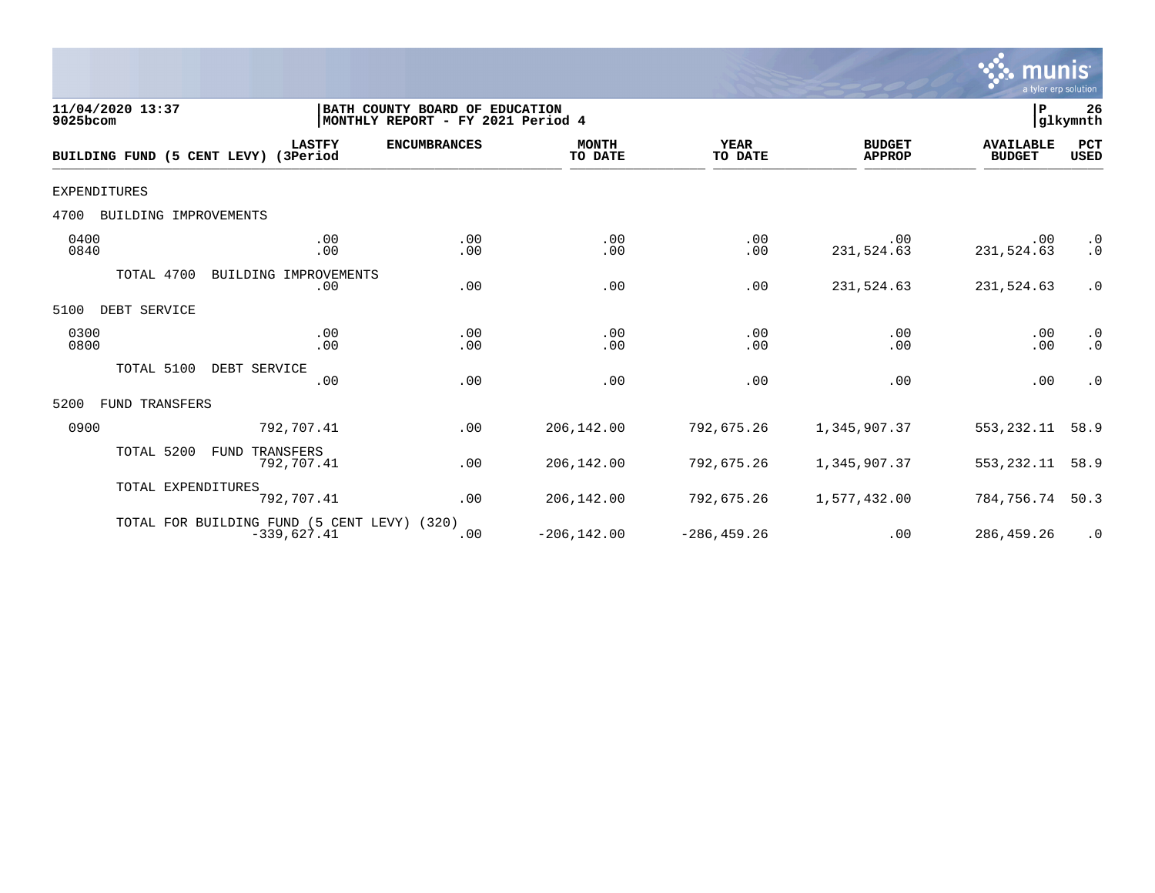

| 11/04/2020 13:37<br>9025bcom         |                                                              | BATH COUNTY BOARD OF EDUCATION<br>MONTHLY REPORT - FY 2021 Period 4 |                         |                        |                                | P                                 | 26<br>glkymnth                      |
|--------------------------------------|--------------------------------------------------------------|---------------------------------------------------------------------|-------------------------|------------------------|--------------------------------|-----------------------------------|-------------------------------------|
| BUILDING FUND (5 CENT LEVY) (3Period | <b>LASTFY</b>                                                | <b>ENCUMBRANCES</b>                                                 | <b>MONTH</b><br>TO DATE | <b>YEAR</b><br>TO DATE | <b>BUDGET</b><br><b>APPROP</b> | <b>AVAILABLE</b><br><b>BUDGET</b> | PCT<br><b>USED</b>                  |
| <b>EXPENDITURES</b>                  |                                                              |                                                                     |                         |                        |                                |                                   |                                     |
| BUILDING IMPROVEMENTS<br>4700        |                                                              |                                                                     |                         |                        |                                |                                   |                                     |
| 0400<br>0840                         | .00<br>.00                                                   | .00<br>.00                                                          | .00<br>.00              | .00<br>.00             | .00<br>231,524.63              | .00<br>231,524.63                 | $\cdot$ 0<br>$\cdot$ 0              |
| TOTAL 4700                           | BUILDING IMPROVEMENTS<br>.00                                 | .00                                                                 | .00                     | .00                    | 231,524.63                     | 231,524.63                        | $\cdot$ 0                           |
| DEBT SERVICE<br>5100                 |                                                              |                                                                     |                         |                        |                                |                                   |                                     |
| 0300<br>0800                         | .00<br>.00                                                   | .00<br>.00                                                          | .00<br>.00              | .00<br>.00             | .00<br>.00                     | .00<br>.00                        | $\cdot$ 0<br>$\boldsymbol{\cdot}$ 0 |
| TOTAL 5100                           | DEBT SERVICE<br>.00                                          | .00                                                                 | .00                     | .00                    | .00                            | .00                               | $\cdot$ 0                           |
| 5200<br>FUND TRANSFERS               |                                                              |                                                                     |                         |                        |                                |                                   |                                     |
| 0900                                 | 792,707.41                                                   | .00                                                                 | 206,142.00              | 792,675.26             | 1,345,907.37                   | 553, 232.11                       | 58.9                                |
| TOTAL 5200                           | <b>FUND</b><br>TRANSFERS<br>792,707.41                       | .00                                                                 | 206,142.00              | 792,675.26             | 1,345,907.37                   | 553,232.11                        | 58.9                                |
| TOTAL EXPENDITURES                   | 792,707.41                                                   | .00                                                                 | 206,142.00              | 792,675.26             | 1,577,432.00                   | 784,756.74                        | 50.3                                |
|                                      | TOTAL FOR BUILDING FUND (5 CENT LEVY) (320)<br>$-339,627.41$ | .00                                                                 | $-206, 142.00$          | $-286, 459.26$         | .00                            | 286,459.26                        | $\cdot$ 0                           |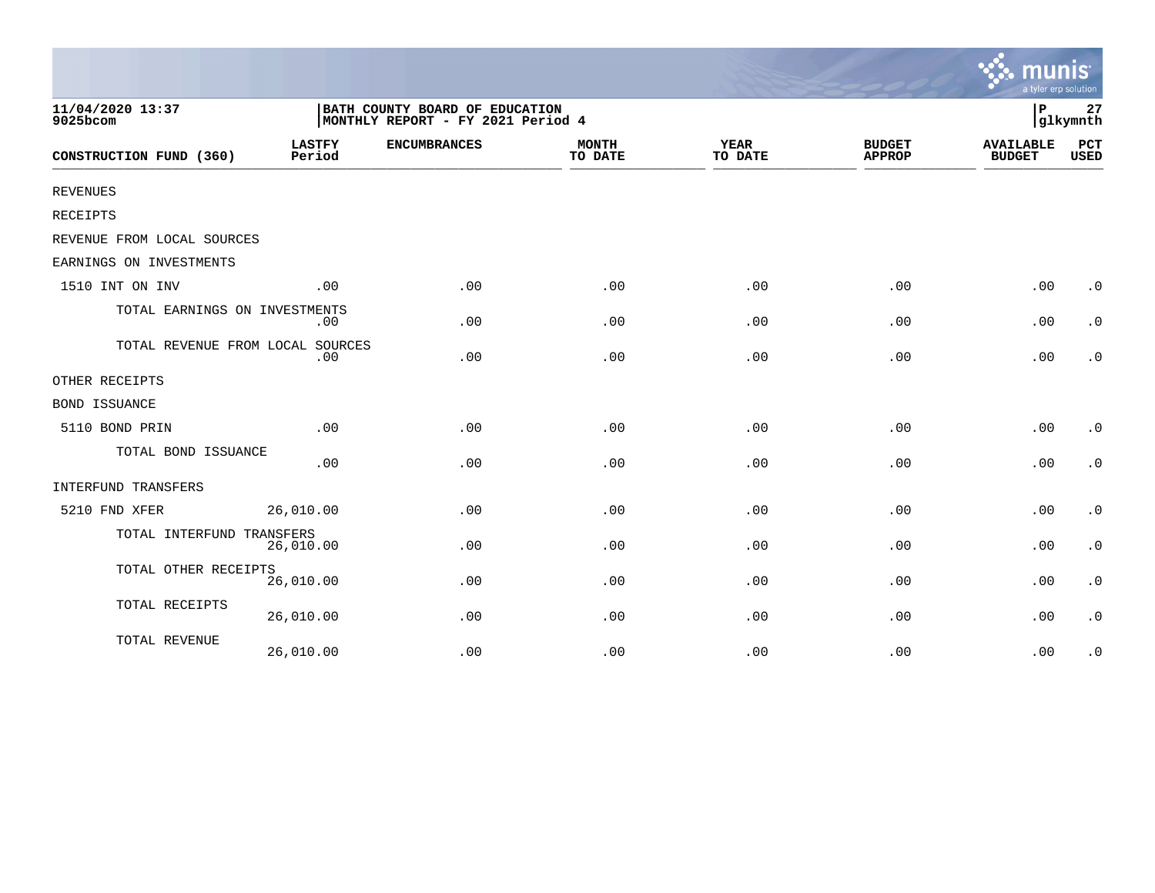|                                  |                         |                                                                     |                         |                        |                                | a tyler erp solution              |                        |
|----------------------------------|-------------------------|---------------------------------------------------------------------|-------------------------|------------------------|--------------------------------|-----------------------------------|------------------------|
| 11/04/2020 13:37<br>9025bcom     |                         | BATH COUNTY BOARD OF EDUCATION<br>MONTHLY REPORT - FY 2021 Period 4 |                         |                        |                                | P                                 | 27<br>glkymnth         |
| CONSTRUCTION FUND (360)          | <b>LASTFY</b><br>Period | <b>ENCUMBRANCES</b>                                                 | <b>MONTH</b><br>TO DATE | <b>YEAR</b><br>TO DATE | <b>BUDGET</b><br><b>APPROP</b> | <b>AVAILABLE</b><br><b>BUDGET</b> | PCT<br><b>USED</b>     |
| <b>REVENUES</b>                  |                         |                                                                     |                         |                        |                                |                                   |                        |
| RECEIPTS                         |                         |                                                                     |                         |                        |                                |                                   |                        |
| REVENUE FROM LOCAL SOURCES       |                         |                                                                     |                         |                        |                                |                                   |                        |
| EARNINGS ON INVESTMENTS          |                         |                                                                     |                         |                        |                                |                                   |                        |
| 1510 INT ON INV                  | .00                     | .00                                                                 | .00                     | .00                    | .00                            | .00                               | $\cdot$ 0              |
| TOTAL EARNINGS ON INVESTMENTS    | .00                     | .00                                                                 | .00                     | .00                    | .00                            | .00                               | $\cdot$ 0              |
| TOTAL REVENUE FROM LOCAL SOURCES | .00                     | .00                                                                 | .00                     | .00                    | .00                            | .00                               | $\cdot$ 0              |
| OTHER RECEIPTS                   |                         |                                                                     |                         |                        |                                |                                   |                        |
| <b>BOND ISSUANCE</b>             |                         |                                                                     |                         |                        |                                |                                   |                        |
| 5110 BOND PRIN                   | .00                     | .00                                                                 | .00                     | .00                    | .00                            | .00                               | $\cdot$ 0              |
| TOTAL BOND ISSUANCE              | .00                     | .00                                                                 | .00                     | .00                    | .00                            | .00                               | $\cdot$ 0              |
| INTERFUND TRANSFERS              |                         |                                                                     |                         |                        |                                |                                   |                        |
| 5210 FND XFER                    | 26,010.00               | .00                                                                 | .00                     | .00                    | .00                            | .00                               | $\boldsymbol{\cdot}$ 0 |
| TOTAL INTERFUND TRANSFERS        | 26,010.00               | .00                                                                 | .00                     | .00                    | .00                            | .00                               | $\boldsymbol{\cdot}$ 0 |
| TOTAL OTHER RECEIPTS             | 26,010.00               | .00                                                                 | .00                     | .00                    | .00                            | .00                               | $\boldsymbol{\cdot}$ 0 |
| TOTAL RECEIPTS                   | 26,010.00               | .00                                                                 | .00                     | .00                    | .00                            | .00                               | $\cdot$ 0              |
| TOTAL REVENUE                    | 26,010.00               | .00                                                                 | .00                     | .00                    | .00                            | .00                               | $\cdot$ 0              |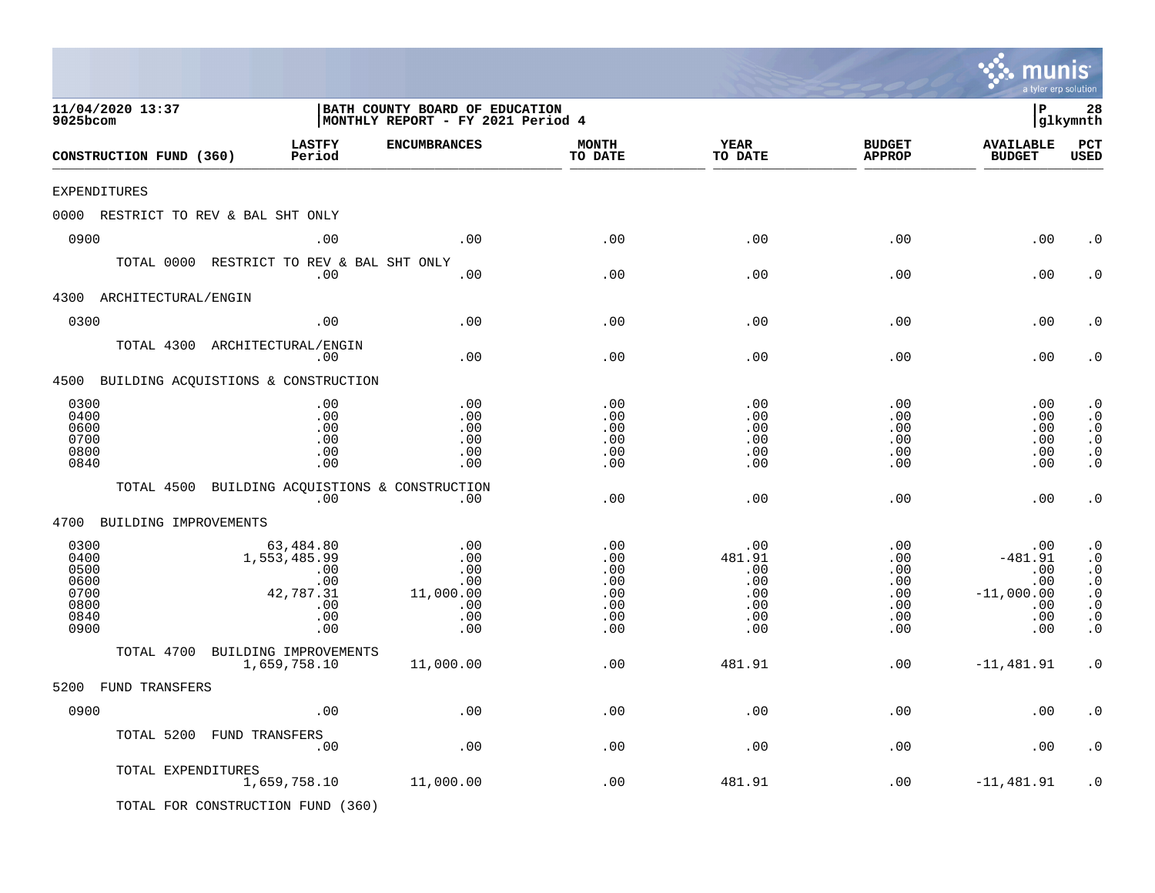|                                                              |                                                                           |                                                                     |                                                      |                                                              |                                                                | m<br>a tyler erp solution                                           |                                                                                                      |
|--------------------------------------------------------------|---------------------------------------------------------------------------|---------------------------------------------------------------------|------------------------------------------------------|--------------------------------------------------------------|----------------------------------------------------------------|---------------------------------------------------------------------|------------------------------------------------------------------------------------------------------|
| 11/04/2020 13:37<br>9025bcom                                 |                                                                           | BATH COUNTY BOARD OF EDUCATION<br>MONTHLY REPORT - FY 2021 Period 4 |                                                      |                                                              |                                                                | l P                                                                 | 28<br> glkymnth                                                                                      |
| CONSTRUCTION FUND (360)                                      | <b>LASTFY</b><br>Period                                                   | <b>ENCUMBRANCES</b>                                                 | <b>MONTH</b><br>TO DATE                              | YEAR<br>TO DATE                                              | <b>BUDGET</b><br><b>APPROP</b>                                 | <b>AVAILABLE</b><br><b>BUDGET</b>                                   | PCT<br><b>USED</b>                                                                                   |
| EXPENDITURES                                                 |                                                                           |                                                                     |                                                      |                                                              |                                                                |                                                                     |                                                                                                      |
| 0000 RESTRICT TO REV & BAL SHT ONLY                          |                                                                           |                                                                     |                                                      |                                                              |                                                                |                                                                     |                                                                                                      |
| 0900                                                         | .00                                                                       | .00                                                                 | .00                                                  | .00                                                          | .00                                                            | .00                                                                 | . 0                                                                                                  |
| TOTAL 0000 RESTRICT TO REV & BAL SHT ONLY                    | .00                                                                       | .00                                                                 | .00                                                  | .00                                                          | .00                                                            | .00                                                                 | $\cdot$ 0                                                                                            |
| ARCHITECTURAL/ENGIN<br>4300                                  |                                                                           |                                                                     |                                                      |                                                              |                                                                |                                                                     |                                                                                                      |
| 0300                                                         | .00                                                                       | .00                                                                 | .00                                                  | .00                                                          | .00                                                            | .00                                                                 | . 0                                                                                                  |
| TOTAL 4300 ARCHITECTURAL/ENGIN                               | .00                                                                       | .00                                                                 | .00                                                  | .00                                                          | .00                                                            | .00                                                                 | . 0                                                                                                  |
| 4500 BUILDING ACQUISTIONS & CONSTRUCTION                     |                                                                           |                                                                     |                                                      |                                                              |                                                                |                                                                     |                                                                                                      |
| 0300<br>0400<br>0600<br>0700<br>0800<br>0840                 | .00<br>.00<br>.00<br>.00<br>.00<br>.00                                    | .00<br>.00<br>.00<br>.00<br>.00<br>.00                              | .00<br>.00<br>.00<br>.00<br>.00<br>.00               | .00<br>.00<br>.00<br>.00<br>.00<br>.00                       | .00<br>.00<br>.00<br>.00<br>.00<br>.00                         | .00<br>.00<br>.00<br>.00<br>.00<br>.00                              | $\cdot$ 0<br>$\cdot$ 0<br>$\cdot$ 0<br>$\cdot$ 0<br>$\boldsymbol{\cdot}$ 0<br>$\cdot$ 0              |
| TOTAL 4500                                                   | .00                                                                       | BUILDING ACQUISTIONS & CONSTRUCTION<br>.00                          | .00                                                  | .00                                                          | .00                                                            | .00                                                                 | $\cdot$ 0                                                                                            |
| 4700<br>BUILDING IMPROVEMENTS                                |                                                                           |                                                                     |                                                      |                                                              |                                                                |                                                                     |                                                                                                      |
| 0300<br>0400<br>0500<br>0600<br>0700<br>0800<br>0840<br>0900 | 63,484.80<br>1,553,485.99<br>.00<br>.00<br>42,787.31<br>.00<br>.00<br>.00 | .00<br>.00<br>.00<br>.00<br>11,000.00<br>.00<br>.00<br>.00          | .00<br>.00<br>.00<br>.00<br>.00<br>.00<br>.00<br>.00 | .00<br>481.91<br>.00<br>$.00 \,$<br>.00<br>.00<br>.00<br>.00 | .00<br>.00<br>.00<br>$.00 \,$<br>.00<br>.00<br>$.00 \,$<br>.00 | .00<br>$-481.91$<br>.00<br>.00<br>$-11,000.00$<br>.00<br>.00<br>.00 | $\cdot$ 0<br>$\cdot$ 0<br>$\cdot$ 0<br>$\cdot$ 0<br>$\cdot$ 0<br>$\cdot$ 0<br>$\cdot$ 0<br>$\cdot$ 0 |
| TOTAL 4700                                                   | BUILDING IMPROVEMENTS                                                     |                                                                     |                                                      |                                                              |                                                                |                                                                     |                                                                                                      |
|                                                              | 1,659,758.10                                                              | 11,000.00                                                           | .00                                                  | 481.91                                                       | .00                                                            | $-11,481.91$                                                        | $\cdot$ 0                                                                                            |
| 5200 FUND TRANSFERS                                          |                                                                           |                                                                     |                                                      |                                                              |                                                                |                                                                     |                                                                                                      |
| 0900                                                         | .00                                                                       | $.00$                                                               | .00                                                  | .00                                                          | .00                                                            | .00                                                                 | . $\boldsymbol{0}$                                                                                   |
| TOTAL 5200 FUND TRANSFERS                                    | .00                                                                       | $.00$                                                               | .00                                                  | .00                                                          | .00                                                            | .00                                                                 | $\cdot$ 0                                                                                            |
| TOTAL EXPENDITURES                                           | 1,659,758.10                                                              | 11,000.00                                                           | .00                                                  | 481.91                                                       | .00                                                            | $-11,481.91$                                                        | $\cdot$ 0                                                                                            |
| TOTAL FOR CONSTRUCTION FUND (360)                            |                                                                           |                                                                     |                                                      |                                                              |                                                                |                                                                     |                                                                                                      |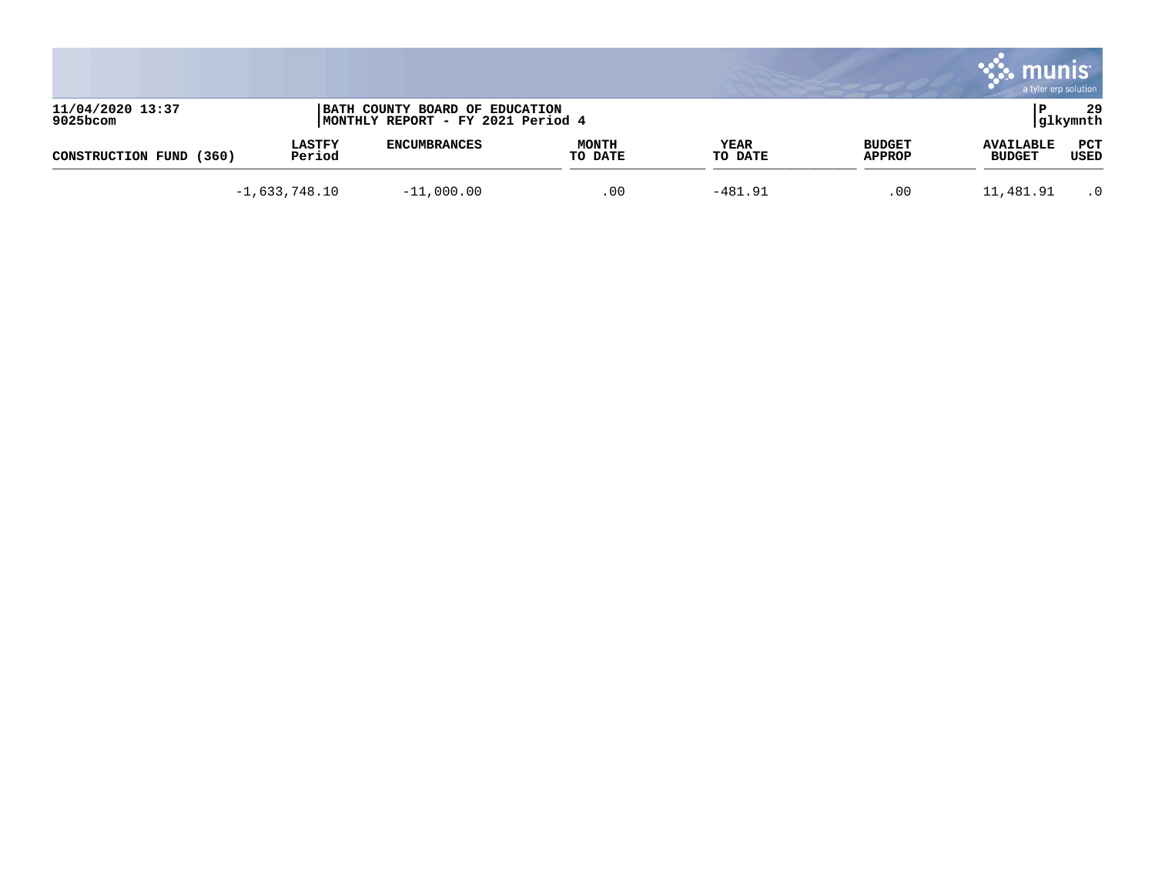|                              |                         |                                                                     |                         |                 |                                | munis<br>a tyler erp solution     |                 |
|------------------------------|-------------------------|---------------------------------------------------------------------|-------------------------|-----------------|--------------------------------|-----------------------------------|-----------------|
| 11/04/2020 13:37<br>9025bcom |                         | BATH COUNTY BOARD OF EDUCATION<br>MONTHLY REPORT - FY 2021 Period 4 |                         |                 |                                |                                   | 29<br> glkymnth |
| (360)<br>CONSTRUCTION FUND   | <b>LASTFY</b><br>Period | <b>ENCUMBRANCES</b>                                                 | <b>MONTH</b><br>TO DATE | YEAR<br>TO DATE | <b>BUDGET</b><br><b>APPROP</b> | <b>AVAILABLE</b><br><b>BUDGET</b> | PCT<br>USED     |
|                              | $-1,633,748.10$         | $-11,000.00$                                                        | .00                     | $-481.91$       | .00                            | 11,481.91                         | $\cdot$ 0       |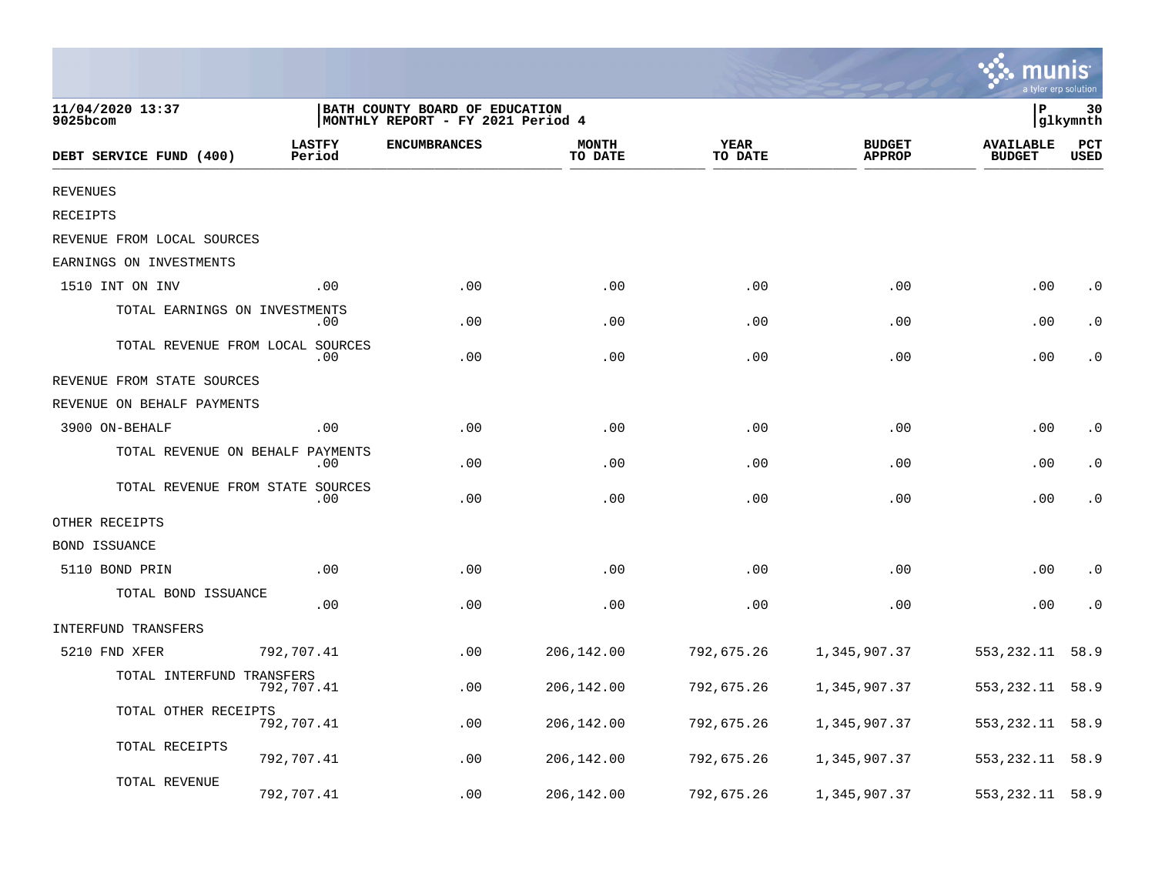|                                  |                         |                                                                      |                         |                        |                                |                                   | a tyler erp solutior |
|----------------------------------|-------------------------|----------------------------------------------------------------------|-------------------------|------------------------|--------------------------------|-----------------------------------|----------------------|
| 11/04/2020 13:37<br>9025bcom     |                         | BATH COUNTY BOARD OF EDUCATION<br> MONTHLY REPORT - FY 2021 Period 4 |                         |                        |                                | P                                 | 30<br>glkymnth       |
| DEBT SERVICE FUND (400)          | <b>LASTFY</b><br>Period | <b>ENCUMBRANCES</b>                                                  | <b>MONTH</b><br>TO DATE | <b>YEAR</b><br>TO DATE | <b>BUDGET</b><br><b>APPROP</b> | <b>AVAILABLE</b><br><b>BUDGET</b> | PCT<br>USED          |
| <b>REVENUES</b>                  |                         |                                                                      |                         |                        |                                |                                   |                      |
| RECEIPTS                         |                         |                                                                      |                         |                        |                                |                                   |                      |
| REVENUE FROM LOCAL SOURCES       |                         |                                                                      |                         |                        |                                |                                   |                      |
| EARNINGS ON INVESTMENTS          |                         |                                                                      |                         |                        |                                |                                   |                      |
| 1510 INT ON INV                  | .00                     | .00                                                                  | .00                     | .00                    | .00                            | .00                               | $\cdot$ 0            |
| TOTAL EARNINGS ON INVESTMENTS    | $.00 \,$                | .00                                                                  | .00                     | .00                    | .00                            | .00                               | $\cdot$ 0            |
| TOTAL REVENUE FROM LOCAL SOURCES | $.00 \,$                | .00                                                                  | .00                     | .00                    | .00                            | .00                               | $\cdot$ 0            |
| REVENUE FROM STATE SOURCES       |                         |                                                                      |                         |                        |                                |                                   |                      |
| REVENUE ON BEHALF PAYMENTS       |                         |                                                                      |                         |                        |                                |                                   |                      |
| 3900 ON-BEHALF                   | .00                     | .00                                                                  | .00                     | .00                    | .00                            | .00                               | $\cdot$ 0            |
| TOTAL REVENUE ON BEHALF          | PAYMENTS<br>.00         | .00                                                                  | .00                     | .00                    | .00                            | .00                               | $\cdot$ 0            |
| TOTAL REVENUE FROM STATE SOURCES | .00                     | .00                                                                  | .00                     | .00                    | .00                            | .00                               | $\cdot$ 0            |
| OTHER RECEIPTS                   |                         |                                                                      |                         |                        |                                |                                   |                      |
| <b>BOND ISSUANCE</b>             |                         |                                                                      |                         |                        |                                |                                   |                      |
| 5110 BOND PRIN                   | .00                     | .00                                                                  | .00                     | .00                    | .00                            | .00                               | $\cdot$ 0            |
| TOTAL BOND ISSUANCE              | .00                     | .00                                                                  | .00                     | .00                    | .00                            | .00                               | $\cdot$ 0            |
| INTERFUND TRANSFERS              |                         |                                                                      |                         |                        |                                |                                   |                      |
| 5210 FND XFER                    | 792,707.41              | .00                                                                  | 206,142.00              | 792,675.26             | 1,345,907.37                   | 553, 232.11                       | 58.9                 |
| TOTAL INTERFUND TRANSFERS        | 792,707.41              | .00                                                                  | 206,142.00              | 792,675.26             | 1,345,907.37                   | 553, 232.11                       | 58.9                 |
| TOTAL OTHER RECEIPTS             | 792,707.41              | .00                                                                  | 206,142.00              | 792,675.26             | 1,345,907.37                   | 553, 232.11                       | 58.9                 |
| TOTAL RECEIPTS                   | 792,707.41              | .00                                                                  | 206,142.00              | 792,675.26             | 1,345,907.37                   | 553, 232. 11                      | 58.9                 |
| TOTAL REVENUE                    | 792,707.41              | .00                                                                  | 206,142.00              | 792,675.26             | 1,345,907.37                   | 553, 232.11                       | 58.9                 |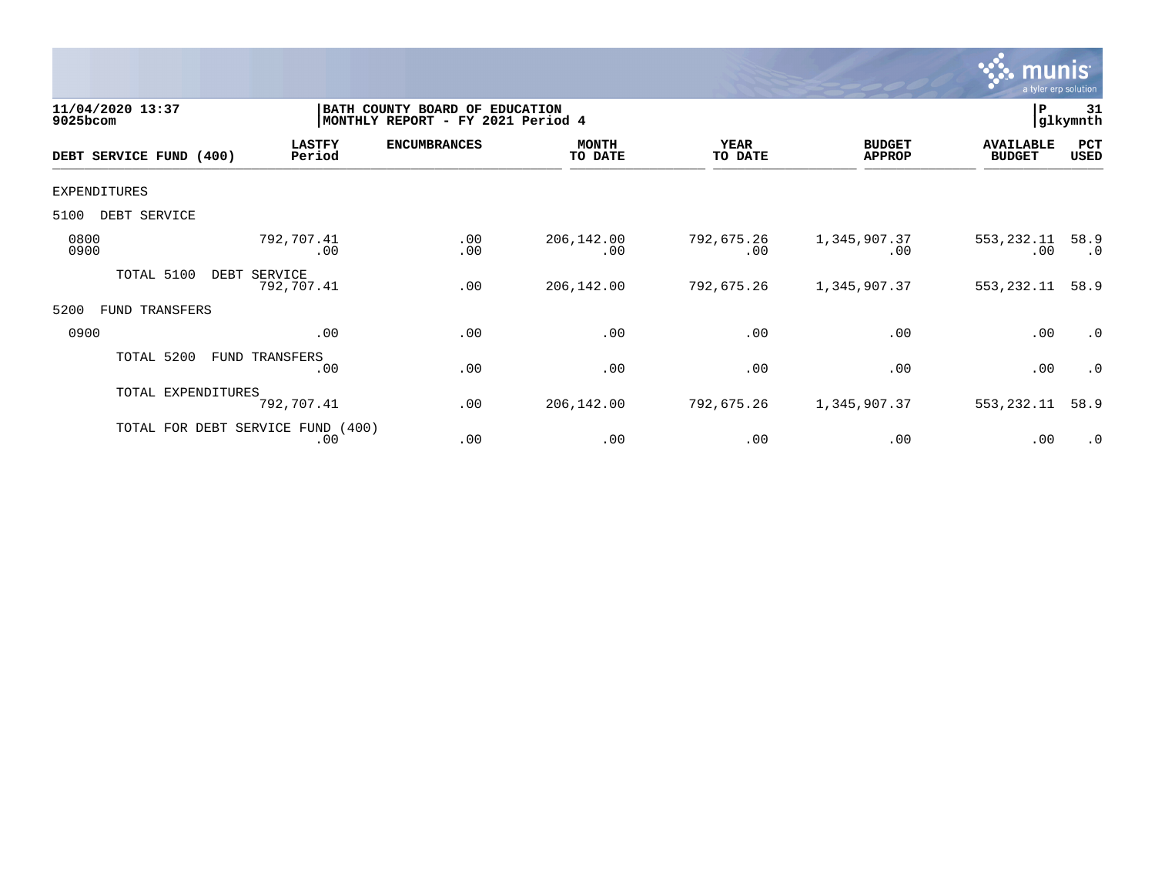

| 11/04/2020 13:37<br>9025bcom |                                          | BATH COUNTY BOARD OF<br>MONTHLY REPORT - FY 2021 Period 4 | <b>EDUCATION</b>        |                        |                                | P                                 | 31<br> glkymnth   |
|------------------------------|------------------------------------------|-----------------------------------------------------------|-------------------------|------------------------|--------------------------------|-----------------------------------|-------------------|
| DEBT SERVICE FUND (400)      | <b>LASTFY</b><br>Period                  | <b>ENCUMBRANCES</b>                                       | <b>MONTH</b><br>TO DATE | <b>YEAR</b><br>TO DATE | <b>BUDGET</b><br><b>APPROP</b> | <b>AVAILABLE</b><br><b>BUDGET</b> | PCT<br>USED       |
| <b>EXPENDITURES</b>          |                                          |                                                           |                         |                        |                                |                                   |                   |
| DEBT SERVICE<br>5100         |                                          |                                                           |                         |                        |                                |                                   |                   |
| 0800<br>0900                 | 792,707.41<br>.00                        | .00<br>.00                                                | 206,142.00<br>.00       | 792,675.26<br>.00      | 1,345,907.37<br>.00            | 553,232.11<br>.00                 | 58.9<br>$\cdot$ 0 |
| TOTAL 5100                   | DEBT<br>SERVICE<br>792,707.41            | .00                                                       | 206,142.00              | 792,675.26             | 1,345,907.37                   | 553, 232.11                       | 58.9              |
| 5200<br>TRANSFERS<br>FUND    |                                          |                                                           |                         |                        |                                |                                   |                   |
| 0900                         | .00                                      | .00                                                       | .00                     | .00                    | .00                            | .00                               | .0                |
| TOTAL 5200                   | FUND TRANSFERS<br>.00                    | .00                                                       | .00                     | .00                    | .00                            | .00                               | $\cdot$ 0         |
| TOTAL EXPENDITURES           | 792,707.41                               | .00                                                       | 206,142.00              | 792,675.26             | 1,345,907.37                   | 553, 232.11                       | 58.9              |
|                              | TOTAL FOR DEBT SERVICE FUND (400)<br>.00 | .00                                                       | .00                     | .00                    | .00                            | .00                               | $\cdot$ 0         |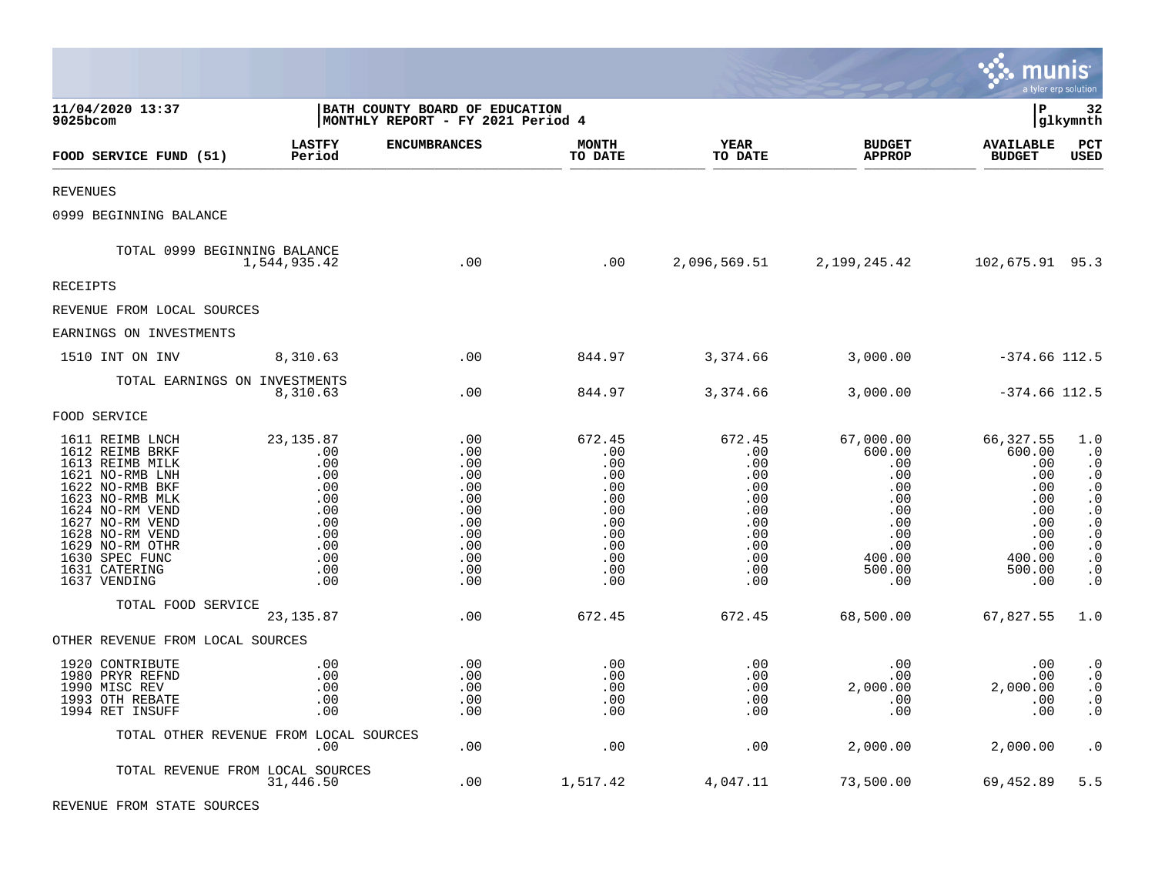|                                                                                                                                                                                                                                               |                                                                                                |                                                                                         |                                                                                            |                                                                                                        |                                                                                                                  | munis                                                                                                  | a tyler erp solution                                                                                                                                                   |
|-----------------------------------------------------------------------------------------------------------------------------------------------------------------------------------------------------------------------------------------------|------------------------------------------------------------------------------------------------|-----------------------------------------------------------------------------------------|--------------------------------------------------------------------------------------------|--------------------------------------------------------------------------------------------------------|------------------------------------------------------------------------------------------------------------------|--------------------------------------------------------------------------------------------------------|------------------------------------------------------------------------------------------------------------------------------------------------------------------------|
| 11/04/2020 13:37<br>$9025$ bcom                                                                                                                                                                                                               |                                                                                                | BATH COUNTY BOARD OF EDUCATION<br>MONTHLY REPORT - FY 2021 Period 4                     |                                                                                            |                                                                                                        |                                                                                                                  | l P                                                                                                    | 32<br> glkymnth                                                                                                                                                        |
| FOOD SERVICE FUND (51)                                                                                                                                                                                                                        | <b>LASTFY</b><br>Period                                                                        | <b>ENCUMBRANCES</b>                                                                     | <b>MONTH</b><br>TO DATE                                                                    | <b>YEAR</b><br>TO DATE                                                                                 | <b>BUDGET</b><br><b>APPROP</b>                                                                                   | <b>AVAILABLE</b><br><b>BUDGET</b>                                                                      | PCT<br><b>USED</b>                                                                                                                                                     |
| <b>REVENUES</b>                                                                                                                                                                                                                               |                                                                                                |                                                                                         |                                                                                            |                                                                                                        |                                                                                                                  |                                                                                                        |                                                                                                                                                                        |
| 0999 BEGINNING BALANCE                                                                                                                                                                                                                        |                                                                                                |                                                                                         |                                                                                            |                                                                                                        |                                                                                                                  |                                                                                                        |                                                                                                                                                                        |
| TOTAL 0999 BEGINNING BALANCE                                                                                                                                                                                                                  | 1,544,935.42                                                                                   | .00                                                                                     | .00                                                                                        |                                                                                                        | 2,096,569.51 2,199,245.42                                                                                        | 102,675.91 95.3                                                                                        |                                                                                                                                                                        |
| <b>RECEIPTS</b>                                                                                                                                                                                                                               |                                                                                                |                                                                                         |                                                                                            |                                                                                                        |                                                                                                                  |                                                                                                        |                                                                                                                                                                        |
| REVENUE FROM LOCAL SOURCES                                                                                                                                                                                                                    |                                                                                                |                                                                                         |                                                                                            |                                                                                                        |                                                                                                                  |                                                                                                        |                                                                                                                                                                        |
| EARNINGS ON INVESTMENTS                                                                                                                                                                                                                       |                                                                                                |                                                                                         |                                                                                            |                                                                                                        |                                                                                                                  |                                                                                                        |                                                                                                                                                                        |
| 1510 INT ON INV                                                                                                                                                                                                                               | 8,310.63                                                                                       | .00                                                                                     | 844.97                                                                                     | 3,374.66                                                                                               | 3,000.00                                                                                                         | $-374.66$ 112.5                                                                                        |                                                                                                                                                                        |
| TOTAL EARNINGS ON INVESTMENTS                                                                                                                                                                                                                 | 8,310.63                                                                                       | .00                                                                                     | 844.97                                                                                     | 3,374.66                                                                                               | 3,000.00                                                                                                         | $-374.66$ 112.5                                                                                        |                                                                                                                                                                        |
| FOOD SERVICE                                                                                                                                                                                                                                  |                                                                                                |                                                                                         |                                                                                            |                                                                                                        |                                                                                                                  |                                                                                                        |                                                                                                                                                                        |
| 1611 REIMB LNCH<br>1612 REIMB BRKF<br>1613 REIMB MILK<br>1621 NO-RMB LNH<br>1622 NO-RMB BKF<br>1623 NO-RMB MLK<br>1624 NO-RM VEND<br>1627 NO-RM VEND<br>1628 NO-RM VEND<br>1629 NO-RM OTHR<br>1630 SPEC FUNC<br>1631 CATERING<br>1637 VENDING | 23, 135.87<br>.00<br>.00<br>.00<br>.00<br>.00<br>.00<br>.00<br>.00<br>.00<br>.00<br>.00<br>.00 | .00<br>.00<br>.00<br>.00<br>.00<br>.00<br>.00<br>.00<br>.00<br>.00<br>.00<br>.00<br>.00 | 672.45<br>.00<br>.00<br>.00<br>.00<br>.00<br>.00<br>.00<br>.00<br>.00<br>.00<br>.00<br>.00 | 672.45<br>.00<br>.00<br>.00<br>$.00 \,$<br>.00<br>.00<br>.00<br>.00<br>.00<br>.00<br>.00<br>$.00 \ \,$ | 67,000.00<br>600.00<br>.00<br>.00<br>.00<br>.00<br>$.00 \,$<br>.00<br>.00<br>.00<br>400.00<br>500.00<br>$.00 \,$ | 66,327.55<br>600.00<br>.00<br>.00<br>.00<br>.00<br>.00<br>.00<br>.00<br>.00<br>400.00<br>500.00<br>.00 | 1.0<br>$\cdot$ 0<br>$\cdot$ 0<br>$\cdot$ 0<br>$\cdot$ 0<br>$\cdot$ 0<br>$\cdot$ 0<br>$\cdot$ 0<br>$\boldsymbol{\cdot}$ 0<br>$\cdot$ 0<br>$\cdot$ 0<br>$\cdot$ 0<br>. 0 |
| TOTAL FOOD SERVICE                                                                                                                                                                                                                            | 23, 135.87                                                                                     | .00                                                                                     | 672.45                                                                                     | 672.45                                                                                                 | 68,500.00                                                                                                        | 67,827.55                                                                                              | 1.0                                                                                                                                                                    |
| OTHER REVENUE FROM LOCAL SOURCES                                                                                                                                                                                                              |                                                                                                |                                                                                         |                                                                                            |                                                                                                        |                                                                                                                  |                                                                                                        |                                                                                                                                                                        |
| 1920 CONTRIBUTE<br>1980 PRYR REFND<br>1990 MISC REV<br>1993 OTH REBATE<br>1994 RET INSUFF                                                                                                                                                     | .00<br>.00<br>.00<br>.00<br>.00                                                                | .00<br>.00<br>.00<br>.00<br>.00                                                         | .00<br>.00<br>.00<br>.00<br>.00                                                            | .00<br>.00<br>.00<br>.00<br>$.00 \,$                                                                   | $.00 \,$<br>$.00\,$<br>2,000.00<br>.00<br>$.00 \,$                                                               | .00<br>.00<br>2,000.00<br>.00<br>.00                                                                   | $\cdot$ 0<br>$\cdot$ 0<br>$\cdot$ 0<br>$\cdot$ 0<br>$\cdot$ 0                                                                                                          |
|                                                                                                                                                                                                                                               | TOTAL OTHER REVENUE FROM LOCAL SOURCES<br>$.00 \,$                                             | .00                                                                                     | .00                                                                                        | .00                                                                                                    | 2,000.00                                                                                                         | 2,000.00                                                                                               | $\cdot$ 0                                                                                                                                                              |
| TOTAL REVENUE FROM LOCAL SOURCES                                                                                                                                                                                                              | 31,446.50                                                                                      | .00                                                                                     | 1,517.42                                                                                   | 4,047.11                                                                                               | 73,500.00                                                                                                        | 69,452.89                                                                                              | 5.5                                                                                                                                                                    |

 $\bullet$ 

REVENUE FROM STATE SOURCES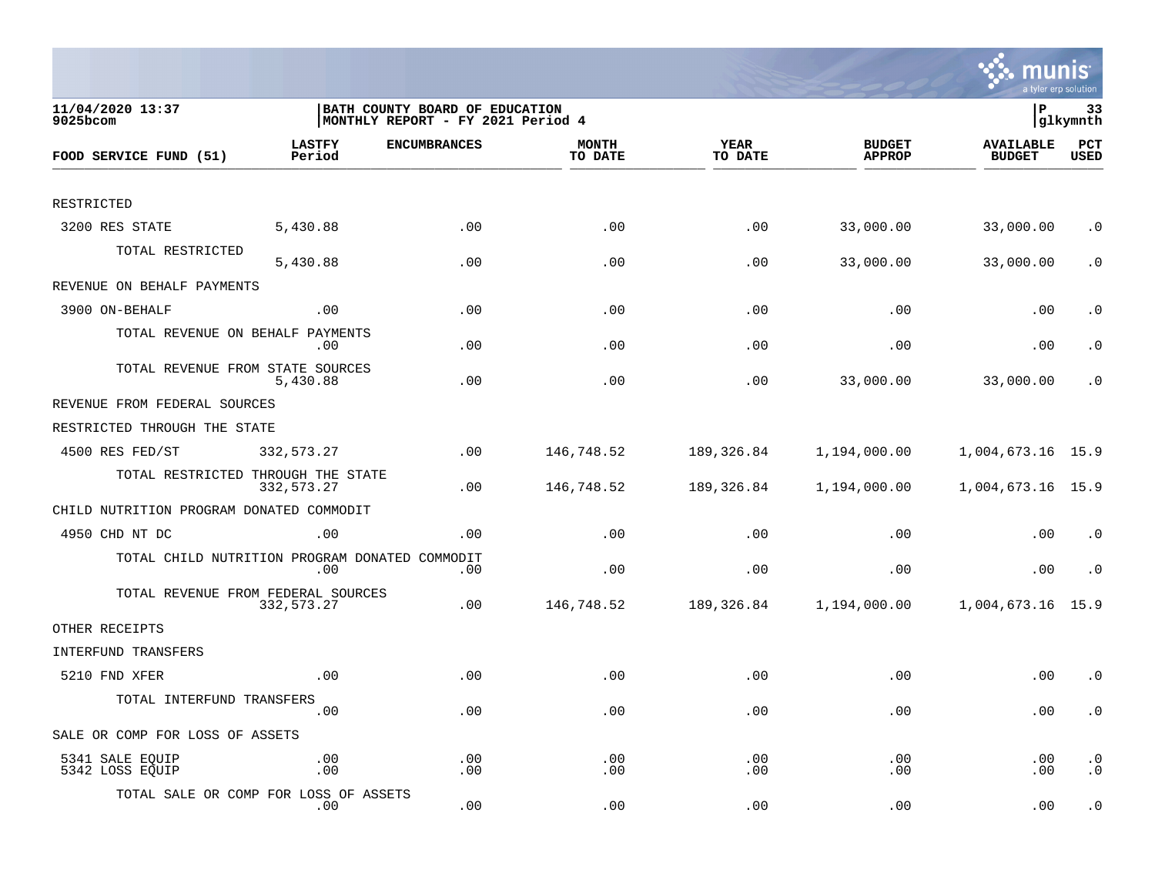

| 11/04/2020 13:37<br>9025bcom                   | BATH COUNTY BOARD OF EDUCATION<br> MONTHLY REPORT - FY 2021 Period 4 |                     |                         |                        |                                | lР<br>33<br> glkymnth      |                        |  |
|------------------------------------------------|----------------------------------------------------------------------|---------------------|-------------------------|------------------------|--------------------------------|----------------------------|------------------------|--|
| FOOD SERVICE FUND (51)                         | <b>LASTFY</b><br>Period                                              | <b>ENCUMBRANCES</b> | <b>MONTH</b><br>TO DATE | <b>YEAR</b><br>TO DATE | <b>BUDGET</b><br><b>APPROP</b> | AVAILABLE<br><b>BUDGET</b> | PCT<br>USED            |  |
|                                                |                                                                      |                     |                         |                        |                                |                            |                        |  |
| RESTRICTED                                     |                                                                      |                     |                         |                        |                                |                            |                        |  |
| 3200 RES STATE                                 | 5,430.88                                                             | .00                 | .00                     | .00                    | 33,000.00                      | 33,000.00                  | $\cdot$ 0              |  |
| TOTAL RESTRICTED                               | 5,430.88                                                             | .00                 | .00                     | .00                    | 33,000.00                      | 33,000.00                  | $\cdot$ 0              |  |
| REVENUE ON BEHALF PAYMENTS                     |                                                                      |                     |                         |                        |                                |                            |                        |  |
| 3900 ON-BEHALF                                 | .00                                                                  | .00                 | .00                     | .00                    | .00                            | .00                        | $\cdot$ 0              |  |
| TOTAL REVENUE ON BEHALF PAYMENTS               | $.00 \,$                                                             | .00                 | .00                     | .00                    | .00                            | .00                        | $\cdot$ 0              |  |
| TOTAL REVENUE FROM STATE SOURCES               | 5,430.88                                                             | .00                 | .00                     | .00                    | 33,000.00                      | 33,000.00                  | $\cdot$ 0              |  |
| REVENUE FROM FEDERAL SOURCES                   |                                                                      |                     |                         |                        |                                |                            |                        |  |
| RESTRICTED THROUGH THE STATE                   |                                                                      |                     |                         |                        |                                |                            |                        |  |
| 4500 RES FED/ST                                | 332,573.27                                                           | .00                 | 146,748.52              | 189,326.84             | 1,194,000.00                   | 1,004,673.16 15.9          |                        |  |
| TOTAL RESTRICTED THROUGH THE STATE             | 332,573.27                                                           | .00                 | 146,748.52              | 189,326.84             | 1,194,000.00                   | 1,004,673.16 15.9          |                        |  |
| CHILD NUTRITION PROGRAM DONATED COMMODIT       |                                                                      |                     |                         |                        |                                |                            |                        |  |
| 4950 CHD NT DC                                 | .00                                                                  | .00                 | .00                     | .00                    | .00                            | .00                        | $\cdot$ 0              |  |
| TOTAL CHILD NUTRITION PROGRAM DONATED COMMODIT | .00                                                                  | .00                 | .00                     | .00                    | .00                            | .00                        | $\cdot$ 0              |  |
| TOTAL REVENUE FROM FEDERAL SOURCES             | 332,573.27                                                           | .00                 | 146,748.52              | 189,326.84             | 1,194,000.00                   | 1,004,673.16 15.9          |                        |  |
| OTHER RECEIPTS                                 |                                                                      |                     |                         |                        |                                |                            |                        |  |
| <b>INTERFUND TRANSFERS</b>                     |                                                                      |                     |                         |                        |                                |                            |                        |  |
| 5210 FND XFER                                  | .00                                                                  | .00                 | .00                     | .00                    | .00                            | .00                        | $\cdot$ 0              |  |
| TOTAL INTERFUND TRANSFERS                      | .00                                                                  | .00                 | .00                     | .00                    | .00                            | .00                        | $\cdot$ 0              |  |
| SALE OR COMP FOR LOSS OF ASSETS                |                                                                      |                     |                         |                        |                                |                            |                        |  |
| 5341 SALE EQUIP<br>5342 LOSS EQUIP             | .00<br>.00                                                           | .00<br>.00          | .00<br>.00              | .00<br>.00             | .00<br>.00                     | .00<br>.00                 | $\cdot$ 0<br>$\cdot$ 0 |  |
| TOTAL SALE OR COMP FOR LOSS OF ASSETS          | $.00 \,$                                                             | .00                 | .00                     | .00                    | .00                            | .00                        | $\cdot$ 0              |  |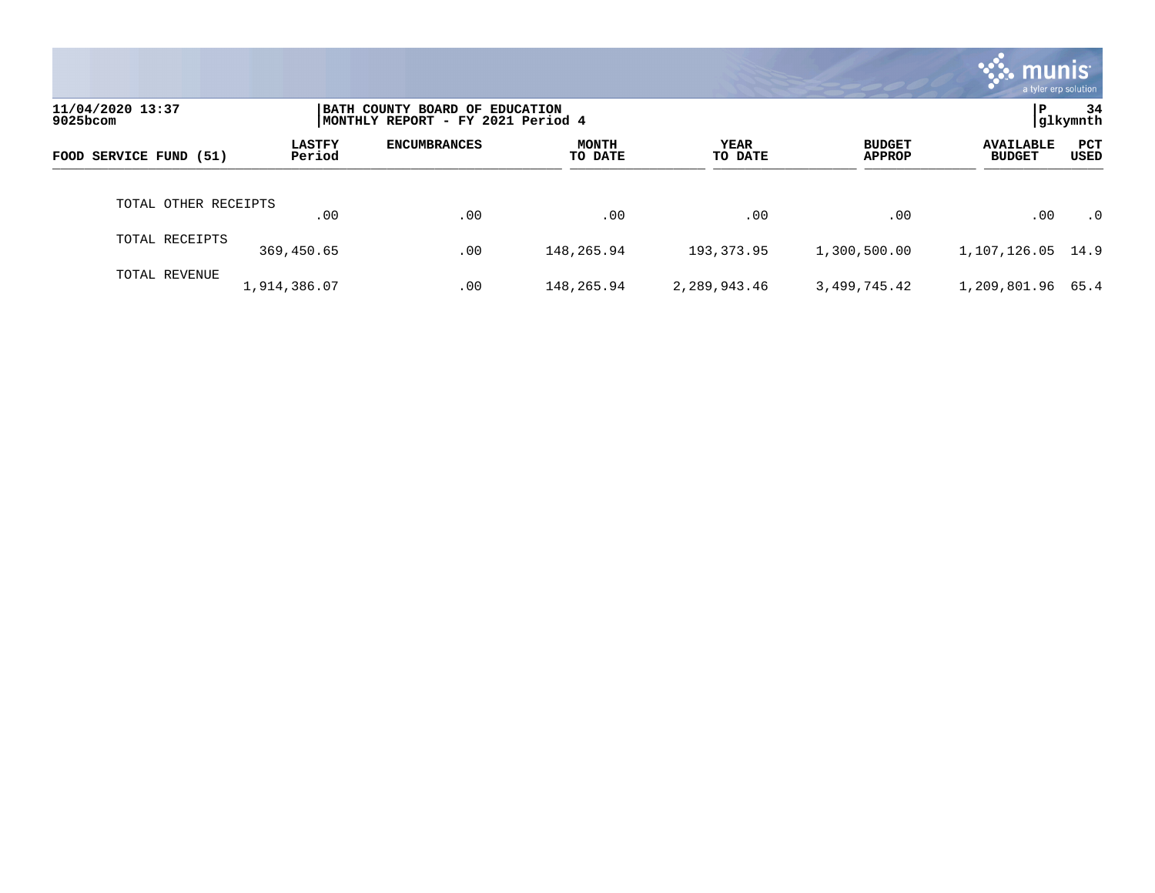|                              |                         |                                                                      |                         |                 |                                | <b>munis</b>                      | a tyler erp solution |
|------------------------------|-------------------------|----------------------------------------------------------------------|-------------------------|-----------------|--------------------------------|-----------------------------------|----------------------|
| 11/04/2020 13:37<br>9025bcom |                         | BATH COUNTY BOARD OF EDUCATION<br> MONTHLY REPORT - FY 2021 Period 4 |                         |                 |                                | P                                 | 34<br> glkymnth      |
| FOOD SERVICE FUND (51)       | <b>LASTFY</b><br>Period | <b>ENCUMBRANCES</b>                                                  | <b>MONTH</b><br>TO DATE | YEAR<br>TO DATE | <b>BUDGET</b><br><b>APPROP</b> | <b>AVAILABLE</b><br><b>BUDGET</b> | <b>PCT</b><br>USED   |
| TOTAL OTHER RECEIPTS         | .00                     | .00                                                                  | .00                     | .00             | .00                            | .00                               | $\cdot$ 0            |
| TOTAL RECEIPTS               | 369,450.65              | .00                                                                  | 148,265.94              | 193,373.95      | 1,300,500.00                   | 1, 107, 126.05 14.9               |                      |
| TOTAL REVENUE                | 1,914,386.07            | .00                                                                  | 148,265.94              | 2,289,943.46    | 3,499,745.42                   | 1,209,801.96                      | 65.4                 |

the property of the control of

a sa mga magaalang na mga magaalang ng mga magaalang ng mga magaalang ng magaalang ng magaalang ng magaalang n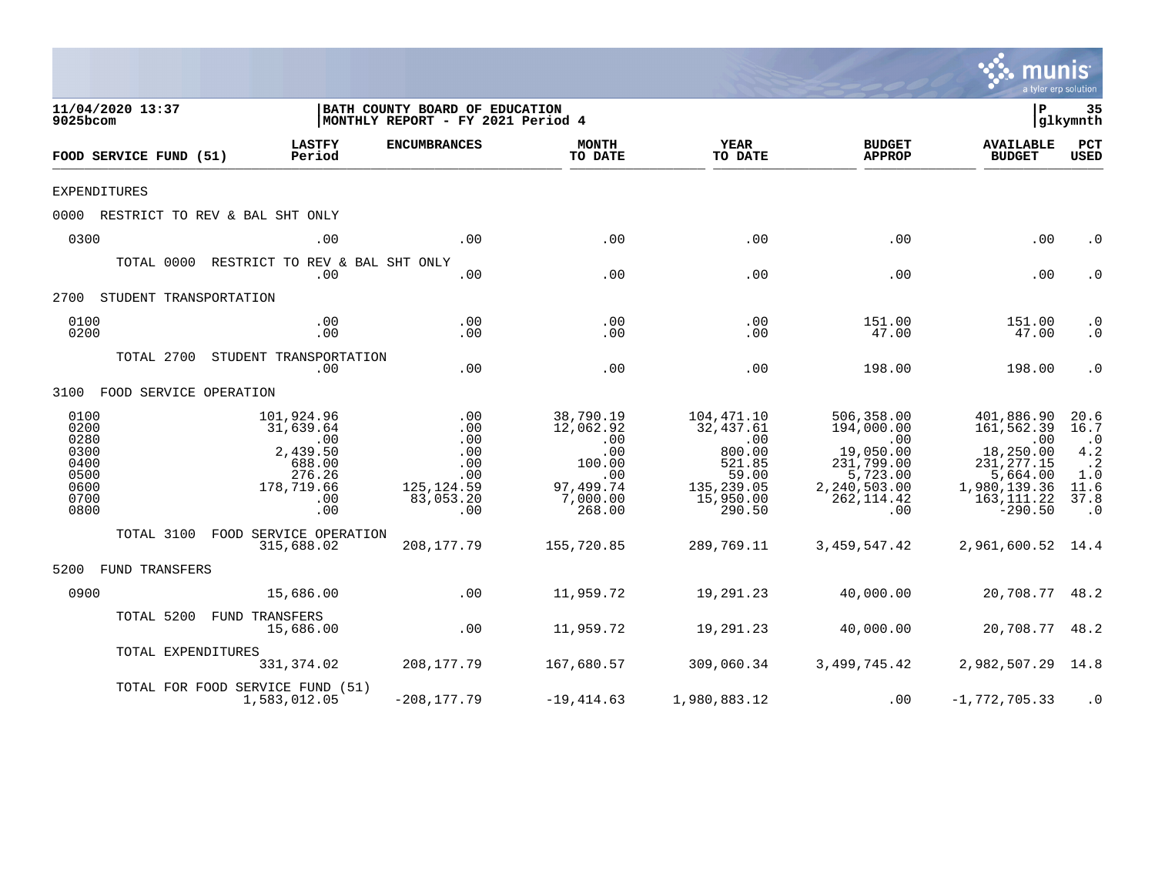|                                                                      |                    |                                                                                                        |                                                                                                           |                                                                                                                   |                                                                                                  |                                                                                                                          | mu<br>a tyler erp solution                                                                                                |                                                                                  |
|----------------------------------------------------------------------|--------------------|--------------------------------------------------------------------------------------------------------|-----------------------------------------------------------------------------------------------------------|-------------------------------------------------------------------------------------------------------------------|--------------------------------------------------------------------------------------------------|--------------------------------------------------------------------------------------------------------------------------|---------------------------------------------------------------------------------------------------------------------------|----------------------------------------------------------------------------------|
| 11/04/2020 13:37<br>9025bcom                                         |                    |                                                                                                        | BATH COUNTY BOARD OF EDUCATION<br>MONTHLY REPORT - FY 2021 Period 4                                       |                                                                                                                   |                                                                                                  |                                                                                                                          | l P                                                                                                                       | 35<br> glkymnth                                                                  |
| FOOD SERVICE FUND (51)                                               |                    | <b>LASTFY</b><br>Period                                                                                | <b>ENCUMBRANCES</b>                                                                                       | <b>MONTH</b><br>TO DATE                                                                                           | YEAR<br>TO DATE                                                                                  | <b>BUDGET</b><br><b>APPROP</b>                                                                                           | <b>AVAILABLE</b><br><b>BUDGET</b>                                                                                         | PCT<br><b>USED</b>                                                               |
| <b>EXPENDITURES</b>                                                  |                    |                                                                                                        |                                                                                                           |                                                                                                                   |                                                                                                  |                                                                                                                          |                                                                                                                           |                                                                                  |
|                                                                      |                    | 0000 RESTRICT TO REV & BAL SHT ONLY                                                                    |                                                                                                           |                                                                                                                   |                                                                                                  |                                                                                                                          |                                                                                                                           |                                                                                  |
| 0300                                                                 |                    | .00                                                                                                    | .00                                                                                                       | .00                                                                                                               | .00                                                                                              | .00                                                                                                                      | .00                                                                                                                       | $\cdot$ 0                                                                        |
|                                                                      |                    | TOTAL 0000 RESTRICT TO REV & BAL SHT ONLY<br>.00                                                       | .00                                                                                                       | .00                                                                                                               | .00                                                                                              | .00                                                                                                                      | .00                                                                                                                       | $\cdot$ 0                                                                        |
| 2700 STUDENT TRANSPORTATION                                          |                    |                                                                                                        |                                                                                                           |                                                                                                                   |                                                                                                  |                                                                                                                          |                                                                                                                           |                                                                                  |
| 0100<br>0200                                                         |                    | .00<br>.00                                                                                             | .00<br>.00                                                                                                | .00<br>.00                                                                                                        | .00<br>.00                                                                                       | 151.00<br>47.00                                                                                                          | 151.00<br>47.00                                                                                                           | $\cdot$ 0<br>$\cdot$ 0                                                           |
|                                                                      |                    | TOTAL 2700 STUDENT TRANSPORTATION<br>.00                                                               | .00                                                                                                       | .00                                                                                                               | .00                                                                                              | 198.00                                                                                                                   | 198.00                                                                                                                    | $\cdot$ 0                                                                        |
| 3100 FOOD SERVICE OPERATION                                          |                    |                                                                                                        |                                                                                                           |                                                                                                                   |                                                                                                  |                                                                                                                          |                                                                                                                           |                                                                                  |
| 0100<br>0200<br>0280<br>0300<br>0400<br>0500<br>0600<br>0700<br>0800 |                    | 101,924.96<br>31,639.64<br>$\overline{00}$<br>2,439.50<br>688.00<br>276.26<br>178,719.66<br>.00<br>.00 | $\begin{array}{c} 0.00 \\ -0.0 \end{array}$<br>.00<br>.00<br>.00<br>.00<br>125,124.59<br>83,053.20<br>.00 | 38,790.19<br>12,062.92<br>.00<br>.00<br>100.00<br>$\overline{\phantom{0}}$ .00<br>97,499.74<br>7,000.00<br>268.00 | 104,471.10<br>32,437.61<br>.00<br>800.00<br>521.85<br>59.00<br>135,239.05<br>15,950.00<br>290.50 | 506,358.00<br>194,000.00<br>$\overline{00}$<br>19,050.00<br>231,799.00<br>5,723.00<br>2,240,503.00<br>262, 114.42<br>.00 | 401,886.90<br>161,562.39<br>$\sim 00$<br>18,250.00<br>231, 277.15<br>5,664.00<br>1,980,139.36<br>163, 111.22<br>$-290.50$ | 20.6<br>16.7<br>$\cdot$ 0<br>4.2<br>$\ddots$<br>1.0<br>11.6<br>37.8<br>$\cdot$ 0 |
|                                                                      |                    | TOTAL 3100 FOOD SERVICE OPERATION<br>315,688.02                                                        | 208,177.79                                                                                                | 155,720.85                                                                                                        | 289,769.11                                                                                       | 3,459,547.42                                                                                                             | 2,961,600.52 14.4                                                                                                         |                                                                                  |
| 5200 FUND TRANSFERS                                                  |                    |                                                                                                        |                                                                                                           |                                                                                                                   |                                                                                                  |                                                                                                                          |                                                                                                                           |                                                                                  |
| 0900                                                                 |                    | 15,686.00                                                                                              | $\sim 00$                                                                                                 | 11,959.72                                                                                                         | 19,291.23                                                                                        | 40,000.00                                                                                                                | 20,708.77 48.2                                                                                                            |                                                                                  |
|                                                                      |                    | TOTAL 5200 FUND TRANSFERS<br>15,686.00                                                                 | .00                                                                                                       | 11,959.72                                                                                                         | 19,291.23                                                                                        | 40,000.00                                                                                                                | 20,708.77 48.2                                                                                                            |                                                                                  |
|                                                                      | TOTAL EXPENDITURES | 331,374.02                                                                                             | 208,177.79                                                                                                | 167,680.57                                                                                                        | 309,060.34                                                                                       | 3,499,745.42                                                                                                             | 2,982,507.29 14.8                                                                                                         |                                                                                  |
|                                                                      |                    | TOTAL FOR FOOD SERVICE FUND (51)<br>1,583,012.05                                                       | $-208, 177.79$                                                                                            | $-19,414.63$                                                                                                      | 1,980,883.12                                                                                     | .00                                                                                                                      | $-1,772,705.33$                                                                                                           | $\cdot$ 0                                                                        |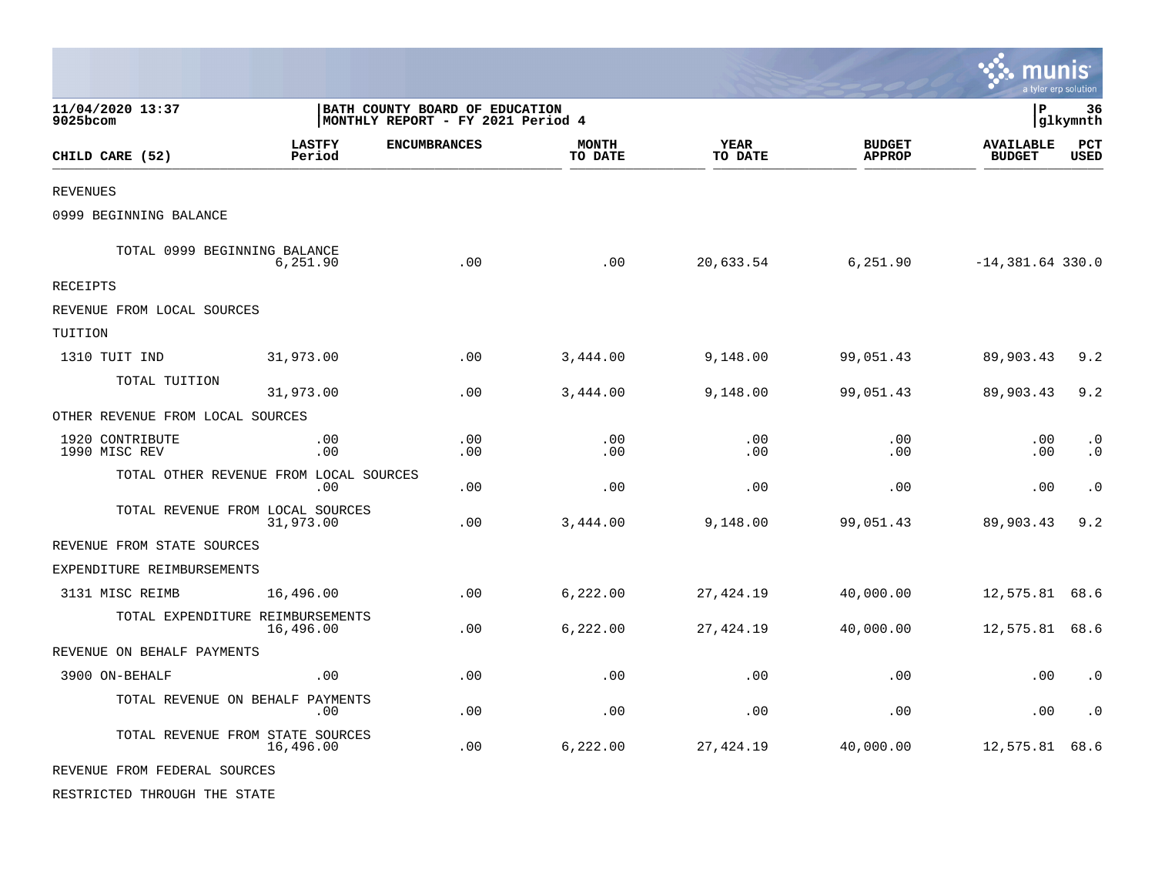|                                  |                                                                     |                     |                         |                        |                                | munis                             | a tyler erp solution   |
|----------------------------------|---------------------------------------------------------------------|---------------------|-------------------------|------------------------|--------------------------------|-----------------------------------|------------------------|
| 11/04/2020 13:37<br>9025bcom     | BATH COUNTY BOARD OF EDUCATION<br>MONTHLY REPORT - FY 2021 Period 4 |                     |                         |                        |                                | lР                                | 36<br> glkymnth        |
| CHILD CARE (52)                  | <b>LASTFY</b><br>Period                                             | <b>ENCUMBRANCES</b> | <b>MONTH</b><br>TO DATE | <b>YEAR</b><br>TO DATE | <b>BUDGET</b><br><b>APPROP</b> | <b>AVAILABLE</b><br><b>BUDGET</b> | PCT<br><b>USED</b>     |
| <b>REVENUES</b>                  |                                                                     |                     |                         |                        |                                |                                   |                        |
| 0999 BEGINNING BALANCE           |                                                                     |                     |                         |                        |                                |                                   |                        |
|                                  | TOTAL 0999 BEGINNING BALANCE<br>6,251.90                            | .00                 | .00                     | 20,633.54              | 6,251.90                       | $-14,381.64$ 330.0                |                        |
| RECEIPTS                         |                                                                     |                     |                         |                        |                                |                                   |                        |
| REVENUE FROM LOCAL SOURCES       |                                                                     |                     |                         |                        |                                |                                   |                        |
| TUITION                          |                                                                     |                     |                         |                        |                                |                                   |                        |
| 1310 TUIT IND                    | 31,973.00                                                           | .00                 | 3,444.00                | 9,148.00               | 99,051.43                      | 89,903.43                         | 9.2                    |
| TOTAL TUITION                    | 31,973.00                                                           | .00                 | 3,444.00                | 9,148.00               | 99,051.43                      | 89,903.43                         | 9.2                    |
| OTHER REVENUE FROM LOCAL SOURCES |                                                                     |                     |                         |                        |                                |                                   |                        |
| 1920 CONTRIBUTE<br>1990 MISC REV | .00<br>.00                                                          | .00<br>.00          | .00<br>.00              | .00<br>.00             | .00<br>.00                     | .00<br>.00                        | $\cdot$ 0<br>$\cdot$ 0 |
|                                  | TOTAL OTHER REVENUE FROM LOCAL SOURCES<br>.00                       | .00                 | .00                     | .00                    | .00                            | .00                               | $\cdot$ 0              |
|                                  | TOTAL REVENUE FROM LOCAL SOURCES<br>31,973.00                       | .00                 | 3,444.00                | 9,148.00               | 99,051.43                      | 89,903.43                         | 9.2                    |
| REVENUE FROM STATE SOURCES       |                                                                     |                     |                         |                        |                                |                                   |                        |
| EXPENDITURE REIMBURSEMENTS       |                                                                     |                     |                         |                        |                                |                                   |                        |
| 3131 MISC REIMB                  | 16,496.00                                                           | .00                 | 6,222.00                | 27,424.19              | 40,000.00                      | 12,575.81                         | 68.6                   |
|                                  | TOTAL EXPENDITURE REIMBURSEMENTS<br>16,496.00                       | .00                 | 6,222.00                | 27,424.19              | 40,000.00                      | 12,575.81                         | 68.6                   |
| REVENUE ON BEHALF PAYMENTS       |                                                                     |                     |                         |                        |                                |                                   |                        |
| 3900 ON-BEHALF                   | .00                                                                 | .00                 | .00                     | .00                    | .00                            | .00                               | $\cdot$ 0              |
|                                  | TOTAL REVENUE ON BEHALF PAYMENTS<br>.00                             | .00                 | .00                     | .00                    | .00                            | .00                               | $\cdot$ 0              |
|                                  | TOTAL REVENUE FROM STATE SOURCES<br>16,496.00                       | .00                 | 6,222.00                | 27,424.19              | 40,000.00                      | 12,575.81                         | 68.6                   |
| REVENUE FROM FEDERAL SOURCES     |                                                                     |                     |                         |                        |                                |                                   |                        |
| RESTRICTED THROUGH THE STATE     |                                                                     |                     |                         |                        |                                |                                   |                        |

**Contract**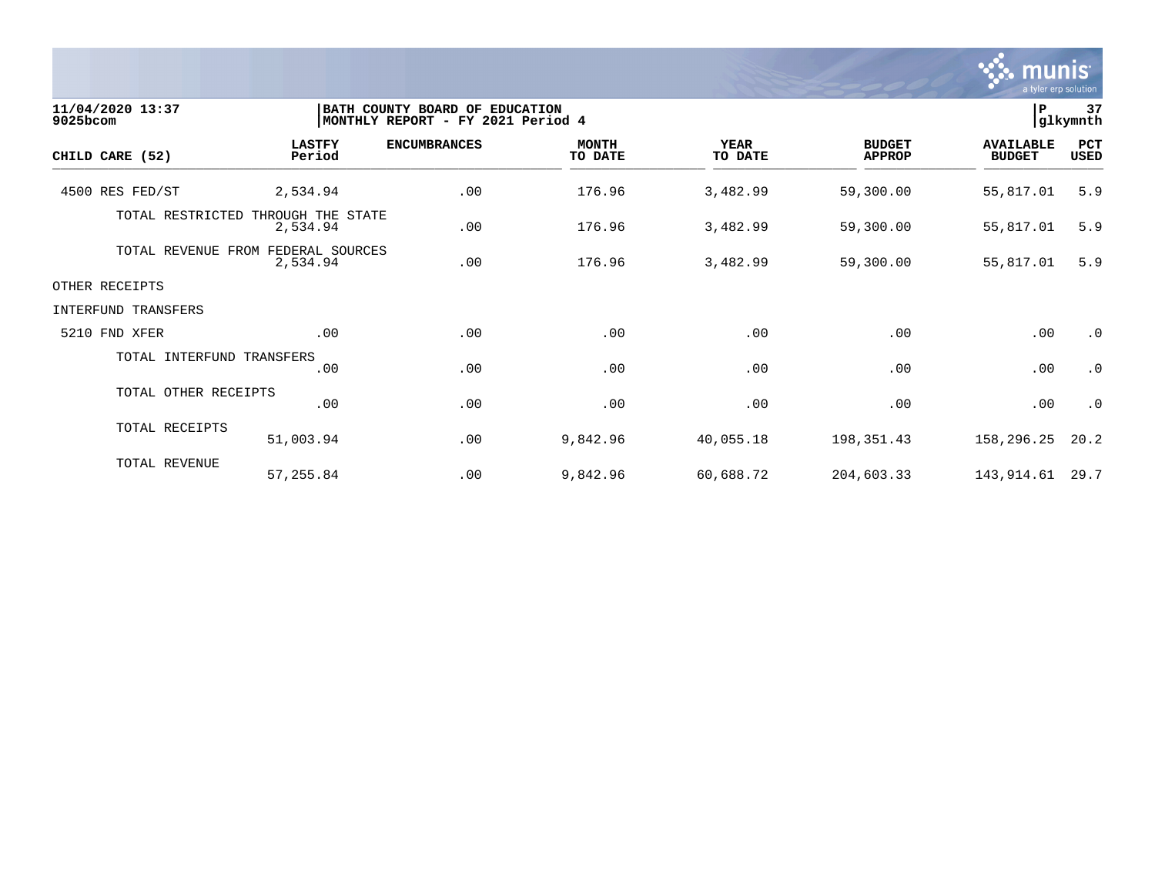

| 11/04/2020 13:37<br>9025bcom |                                     | BATH COUNTY BOARD OF EDUCATION<br>MONTHLY REPORT - FY 2021 Period 4 |                         |                        |                                | $\, {\bf P}$                      | 37<br> glkymnth    |
|------------------------------|-------------------------------------|---------------------------------------------------------------------|-------------------------|------------------------|--------------------------------|-----------------------------------|--------------------|
| CHILD CARE (52)              | <b>LASTFY</b><br>Period             | <b>ENCUMBRANCES</b>                                                 | <b>MONTH</b><br>TO DATE | <b>YEAR</b><br>TO DATE | <b>BUDGET</b><br><b>APPROP</b> | <b>AVAILABLE</b><br><b>BUDGET</b> | PCT<br><b>USED</b> |
| 4500 RES FED/ST              | 2,534.94                            | .00                                                                 | 176.96                  | 3,482.99               | 59,300.00                      | 55,817.01                         | 5.9                |
| TOTAL RESTRICTED             | THROUGH THE STATE<br>2,534.94       | .00                                                                 | 176.96                  | 3,482.99               | 59,300.00                      | 55,817.01                         | 5.9                |
| TOTAL REVENUE                | FEDERAL SOURCES<br>FROM<br>2,534.94 | .00                                                                 | 176.96                  | 3,482.99               | 59,300.00                      | 55,817.01                         | 5.9                |
| OTHER RECEIPTS               |                                     |                                                                     |                         |                        |                                |                                   |                    |
| INTERFUND TRANSFERS          |                                     |                                                                     |                         |                        |                                |                                   |                    |
| 5210 FND XFER                | .00                                 | .00                                                                 | .00                     | .00                    | .00                            | .00                               | $\cdot$ 0          |
| TOTAL INTERFUND TRANSFERS    | .00                                 | .00                                                                 | .00                     | .00                    | .00                            | .00                               | $\cdot$ 0          |
| TOTAL OTHER RECEIPTS         | .00                                 | .00                                                                 | .00                     | .00                    | .00                            | .00                               | $\cdot$ 0          |
| TOTAL RECEIPTS               | 51,003.94                           | .00                                                                 | 9,842.96                | 40,055.18              | 198,351.43                     | 158,296.25                        | 20.2               |
| TOTAL REVENUE                | 57,255.84                           | .00                                                                 | 9,842.96                | 60,688.72              | 204,603.33                     | 143,914.61                        | 29.7               |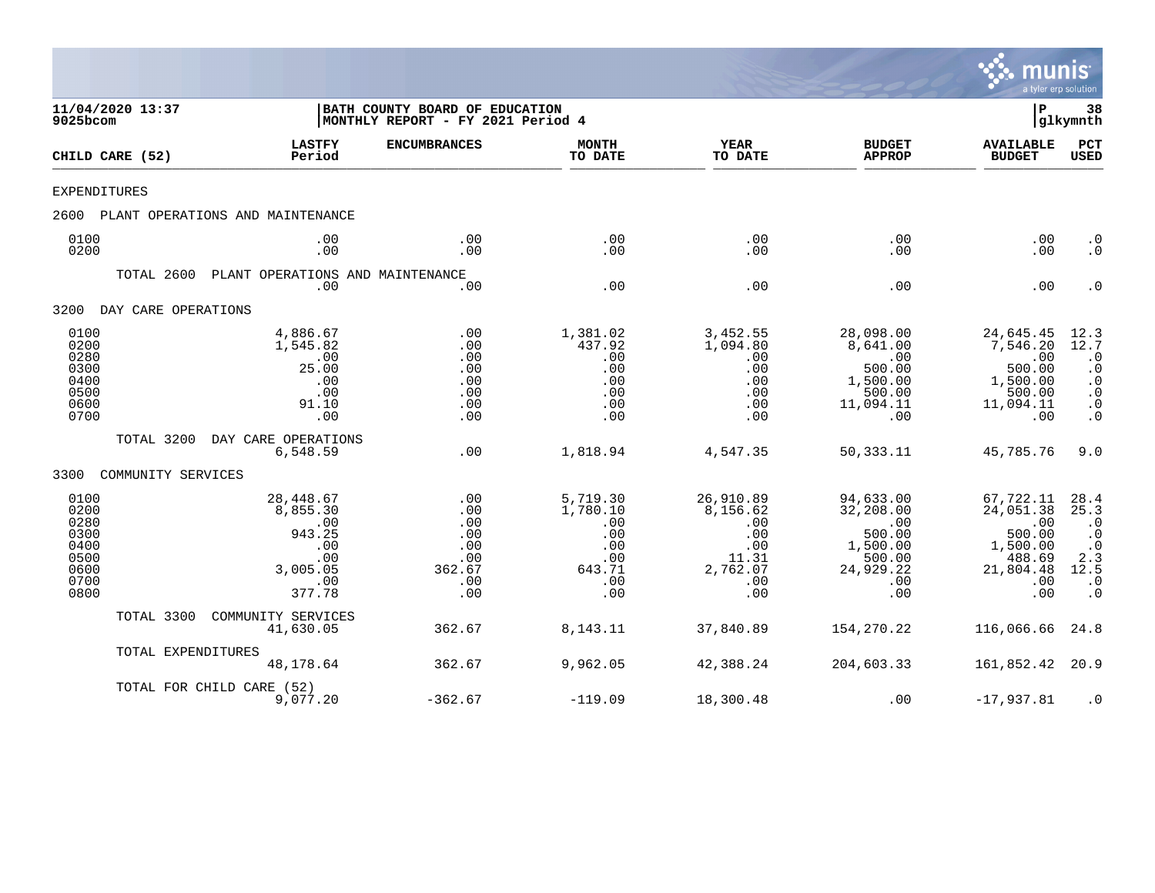

| 9025bcom                                                             | 11/04/2020 13:37    |                                                                                   | BATH COUNTY BOARD OF EDUCATION<br> MONTHLY REPORT - FY 2021 Period 4 |                                                                          |                                                                               |                                                                                           | P                                                                                        | 38<br> glkymnth                                                                                           |
|----------------------------------------------------------------------|---------------------|-----------------------------------------------------------------------------------|----------------------------------------------------------------------|--------------------------------------------------------------------------|-------------------------------------------------------------------------------|-------------------------------------------------------------------------------------------|------------------------------------------------------------------------------------------|-----------------------------------------------------------------------------------------------------------|
|                                                                      | CHILD CARE (52)     | <b>LASTFY</b><br>Period                                                           | <b>ENCUMBRANCES</b>                                                  | <b>MONTH</b><br>TO DATE                                                  | <b>YEAR</b><br>TO DATE                                                        | <b>BUDGET</b><br><b>APPROP</b>                                                            | <b>AVAILABLE</b><br><b>BUDGET</b>                                                        | PCT<br><b>USED</b>                                                                                        |
| EXPENDITURES                                                         |                     |                                                                                   |                                                                      |                                                                          |                                                                               |                                                                                           |                                                                                          |                                                                                                           |
| 2600                                                                 |                     | PLANT OPERATIONS AND MAINTENANCE                                                  |                                                                      |                                                                          |                                                                               |                                                                                           |                                                                                          |                                                                                                           |
| 0100<br>0200                                                         |                     | .00<br>.00                                                                        | .00<br>.00                                                           | .00<br>.00                                                               | .00<br>.00                                                                    | .00<br>.00.                                                                               | .00<br>.00                                                                               | $\cdot$ 0<br>$\cdot$ 0                                                                                    |
|                                                                      | TOTAL 2600          | PLANT OPERATIONS AND MAINTENANCE<br>.00                                           | .00                                                                  | .00                                                                      | .00                                                                           | .00                                                                                       | .00                                                                                      | $\cdot$ 0                                                                                                 |
| 3200                                                                 | DAY CARE OPERATIONS |                                                                                   |                                                                      |                                                                          |                                                                               |                                                                                           |                                                                                          |                                                                                                           |
| 0100<br>0200<br>0280<br>0300<br>0400<br>0500<br>0600<br>0700         |                     | 4,886.67<br>1,545.82<br>.00<br>25.00<br>.00<br>.00<br>91.10<br>.00                | .00<br>.00<br>.00<br>.00<br>.00<br>.00<br>.00<br>.00                 | 1,381.02<br>437.92<br>.00<br>.00<br>.00<br>.00<br>.00<br>.00             | 3,452.55<br>1,094.80<br>.00<br>.00<br>.00<br>.00<br>.00<br>.00                | 28,098.00<br>8,641.00<br>.00<br>500.00<br>1,500.00<br>500.00<br>11,094.11<br>.00          | 24,645.45<br>7,546.20<br>.00<br>500.00<br>1,500.00<br>500.00<br>11,094.11<br>.00         | $\frac{12.3}{12.7}$<br>$\cdot$ 0<br>$\cdot$ 0<br>$\cdot$ 0<br>$\cdot$ 0<br>$\cdot$ 0<br>$\cdot$ 0         |
|                                                                      | TOTAL 3200          | DAY CARE OPERATIONS<br>6,548.59                                                   | .00                                                                  | 1,818.94                                                                 | 4,547.35                                                                      | 50,333.11                                                                                 | 45,785.76                                                                                | 9.0                                                                                                       |
| 3300                                                                 | COMMUNITY SERVICES  |                                                                                   |                                                                      |                                                                          |                                                                               |                                                                                           |                                                                                          |                                                                                                           |
| 0100<br>0200<br>0280<br>0300<br>0400<br>0500<br>0600<br>0700<br>0800 |                     | 28,448.67<br>8,855.30<br>.00<br>943.25<br>.00<br>.00<br>3,005.05<br>.00<br>377.78 | .00<br>.00<br>.00<br>.00<br>.00<br>.00<br>362.67<br>.00<br>.00       | 5,719.30<br>1,780.10<br>.00<br>.00<br>.00<br>.00<br>643.71<br>.00<br>.00 | 26,910.89<br>8,156.62<br>.00<br>.00<br>.00<br>11.31<br>2,762.07<br>.00<br>.00 | 94,633.00<br>32,208.00<br>.00<br>500.00<br>1,500.00<br>500.00<br>24,929.22<br>.00.<br>.00 | 67,722.11<br>24,051.38<br>.00<br>500.00<br>1,500.00<br>488.69<br>21,804.48<br>.00<br>.00 | 28.4<br>25.3<br>$\cdot$ 0<br>$\cdot$ 0<br>$\cdot$ 0<br>2.3<br>12.5<br>$\boldsymbol{\cdot}$ 0<br>$\cdot$ 0 |
|                                                                      | TOTAL 3300          | COMMUNITY SERVICES<br>41,630.05                                                   | 362.67                                                               | 8, 143. 11                                                               | 37,840.89                                                                     | 154,270.22                                                                                | 116,066.66                                                                               | 24.8                                                                                                      |
|                                                                      | TOTAL EXPENDITURES  | 48,178.64                                                                         | 362.67                                                               | 9,962.05                                                                 | 42,388.24                                                                     | 204,603.33                                                                                | 161,852.42                                                                               | 20.9                                                                                                      |
|                                                                      |                     | TOTAL FOR CHILD CARE (52)<br>9,077.20                                             | $-362.67$                                                            | $-119.09$                                                                | 18,300.48                                                                     | .00                                                                                       | $-17,937.81$                                                                             | $\cdot$ 0                                                                                                 |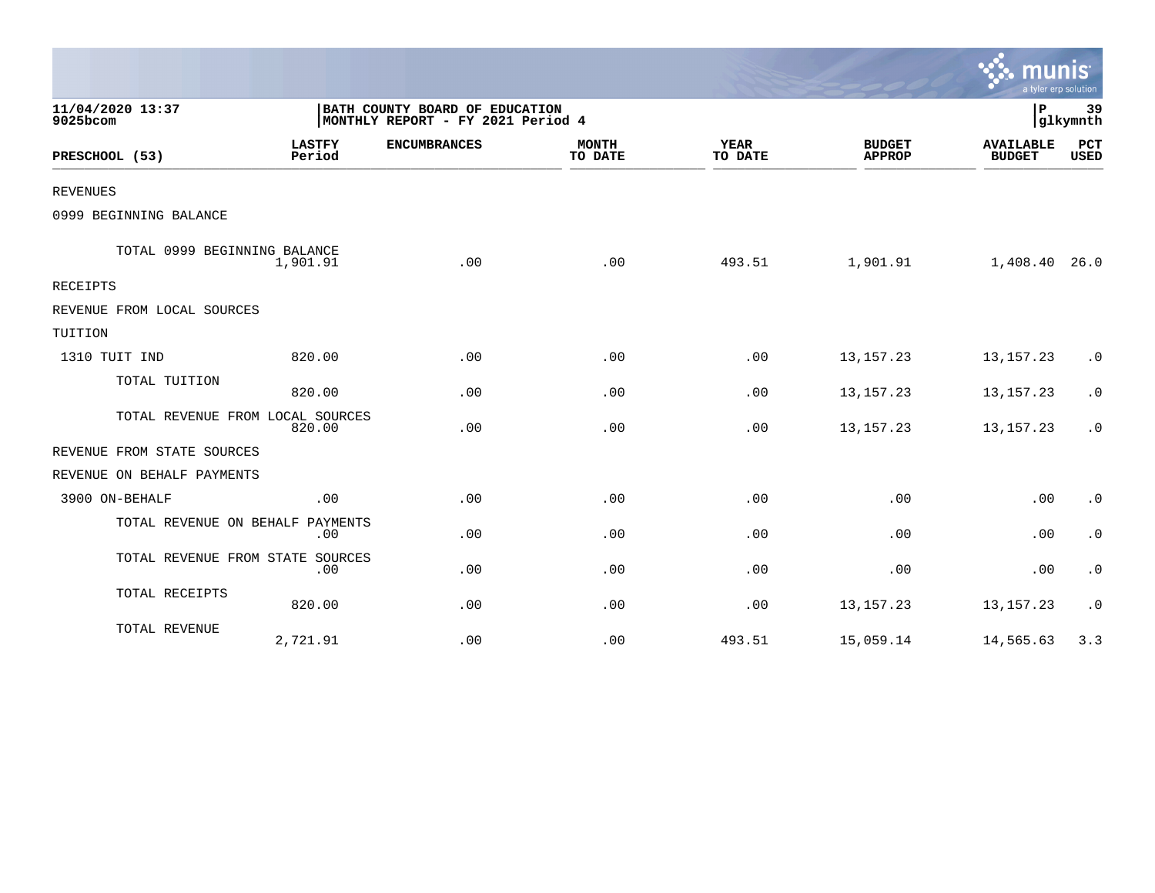|                                  |                         |                                                                     |                         |                        |                                | a tyler erp solution              |                    |
|----------------------------------|-------------------------|---------------------------------------------------------------------|-------------------------|------------------------|--------------------------------|-----------------------------------|--------------------|
| 11/04/2020 13:37<br>9025bcom     |                         | BATH COUNTY BOARD OF EDUCATION<br>MONTHLY REPORT - FY 2021 Period 4 |                         |                        |                                | P                                 | 39<br>glkymnth     |
| PRESCHOOL (53)                   | <b>LASTFY</b><br>Period | <b>ENCUMBRANCES</b>                                                 | <b>MONTH</b><br>TO DATE | <b>YEAR</b><br>TO DATE | <b>BUDGET</b><br><b>APPROP</b> | <b>AVAILABLE</b><br><b>BUDGET</b> | PCT<br><b>USED</b> |
| <b>REVENUES</b>                  |                         |                                                                     |                         |                        |                                |                                   |                    |
| 0999 BEGINNING BALANCE           |                         |                                                                     |                         |                        |                                |                                   |                    |
| TOTAL 0999 BEGINNING BALANCE     | 1,901.91                | .00                                                                 | .00                     | 493.51                 | 1,901.91                       | 1,408.40 26.0                     |                    |
| <b>RECEIPTS</b>                  |                         |                                                                     |                         |                        |                                |                                   |                    |
| REVENUE FROM LOCAL SOURCES       |                         |                                                                     |                         |                        |                                |                                   |                    |
| TUITION                          |                         |                                                                     |                         |                        |                                |                                   |                    |
| 1310 TUIT IND                    | 820.00                  | .00                                                                 | .00                     | .00                    | 13, 157. 23                    | 13, 157. 23                       | $\cdot$ 0          |
| TOTAL TUITION                    | 820.00                  | .00                                                                 | .00                     | .00                    | 13, 157. 23                    | 13, 157. 23                       | $\cdot$ 0          |
| TOTAL REVENUE FROM LOCAL SOURCES | 820.00                  | .00                                                                 | .00                     | .00                    | 13, 157. 23                    | 13, 157. 23                       | $\cdot$ 0          |
| REVENUE FROM STATE SOURCES       |                         |                                                                     |                         |                        |                                |                                   |                    |
| REVENUE ON BEHALF PAYMENTS       |                         |                                                                     |                         |                        |                                |                                   |                    |
| 3900 ON-BEHALF                   | .00                     | .00                                                                 | .00                     | .00                    | .00                            | .00                               | $\cdot$ 0          |
| TOTAL REVENUE ON BEHALF PAYMENTS | .00                     | .00                                                                 | .00                     | .00                    | .00                            | .00                               | $\cdot$ 0          |
| TOTAL REVENUE FROM STATE SOURCES | .00                     | .00                                                                 | .00                     | .00                    | .00                            | .00                               | $\cdot$ 0          |
| TOTAL RECEIPTS                   | 820.00                  | .00                                                                 | .00                     | .00                    | 13, 157. 23                    | 13, 157. 23                       | $\cdot$ 0          |
| TOTAL REVENUE                    | 2,721.91                | .00                                                                 | .00                     | 493.51                 | 15,059.14                      | 14,565.63                         | 3.3                |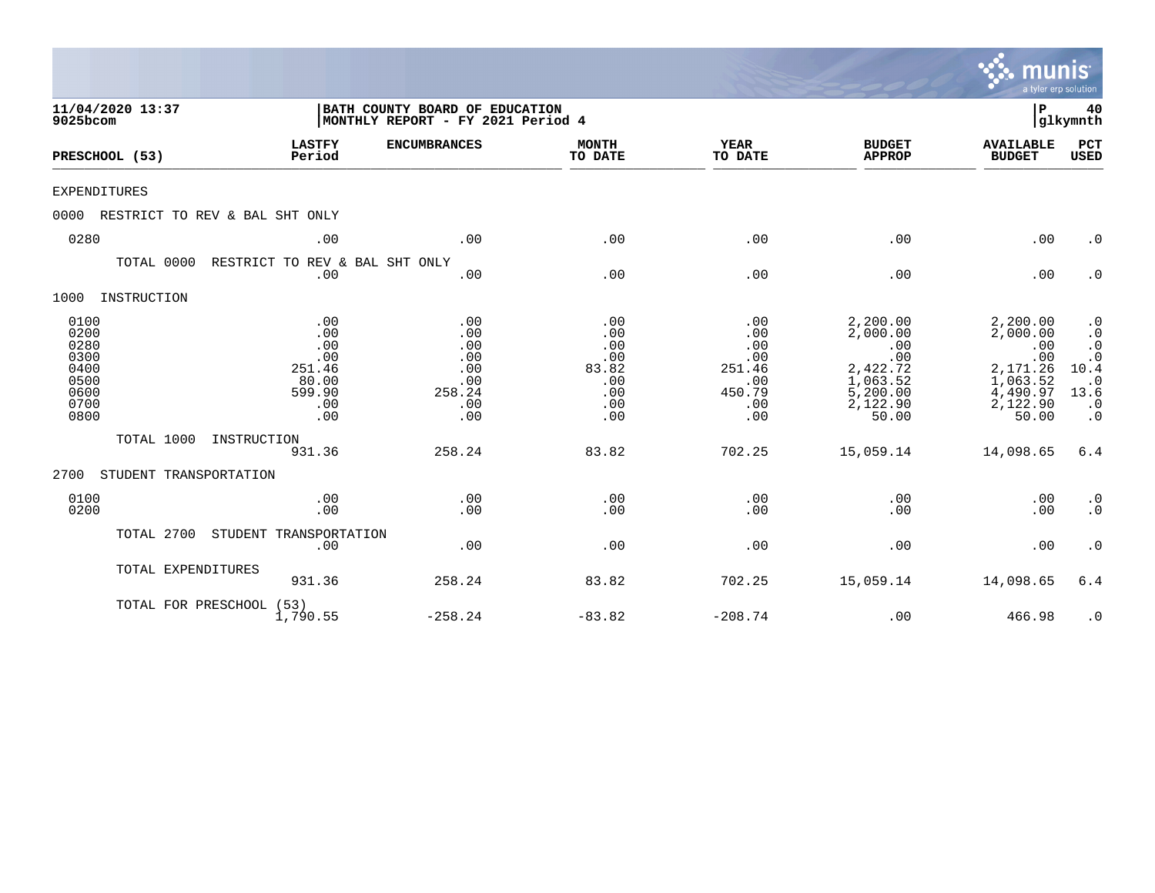|                                                                      |                                                                     |                                                                     |                                                               |                                                                   |                                                                                             | munis<br>a tyler erp solution                                                               |                                                                                                                      |
|----------------------------------------------------------------------|---------------------------------------------------------------------|---------------------------------------------------------------------|---------------------------------------------------------------|-------------------------------------------------------------------|---------------------------------------------------------------------------------------------|---------------------------------------------------------------------------------------------|----------------------------------------------------------------------------------------------------------------------|
| 11/04/2020 13:37<br>9025bcom                                         |                                                                     | BATH COUNTY BOARD OF EDUCATION<br>MONTHLY REPORT - FY 2021 Period 4 |                                                               |                                                                   |                                                                                             | l P                                                                                         | 40<br>glkymnth                                                                                                       |
| PRESCHOOL (53)                                                       | <b>LASTFY</b><br>Period                                             | <b>ENCUMBRANCES</b>                                                 | <b>MONTH</b><br>TO DATE                                       | <b>YEAR</b><br>TO DATE                                            | <b>BUDGET</b><br><b>APPROP</b>                                                              | <b>AVAILABLE</b><br><b>BUDGET</b>                                                           | PCT<br><b>USED</b>                                                                                                   |
| <b>EXPENDITURES</b>                                                  |                                                                     |                                                                     |                                                               |                                                                   |                                                                                             |                                                                                             |                                                                                                                      |
| 0000                                                                 | RESTRICT TO REV & BAL SHT ONLY                                      |                                                                     |                                                               |                                                                   |                                                                                             |                                                                                             |                                                                                                                      |
| 0280                                                                 | .00                                                                 | .00                                                                 | .00                                                           | .00                                                               | .00                                                                                         | .00                                                                                         | $\cdot$ 0                                                                                                            |
| TOTAL 0000                                                           | RESTRICT TO REV & BAL SHT ONLY<br>.00                               | .00                                                                 | .00                                                           | .00                                                               | .00                                                                                         | .00                                                                                         | $\cdot$ 0                                                                                                            |
| 1000<br>INSTRUCTION                                                  |                                                                     |                                                                     |                                                               |                                                                   |                                                                                             |                                                                                             |                                                                                                                      |
| 0100<br>0200<br>0280<br>0300<br>0400<br>0500<br>0600<br>0700<br>0800 | .00<br>.00<br>.00<br>.00<br>251.46<br>80.00<br>599.90<br>.00<br>.00 | .00<br>.00<br>.00<br>.00<br>.00<br>.00<br>258.24<br>.00<br>.00      | .00<br>.00<br>.00<br>.00<br>83.82<br>.00<br>.00<br>.00<br>.00 | .00<br>.00<br>.00<br>.00<br>251.46<br>.00<br>450.79<br>.00<br>.00 | 2,200.00<br>2,000.00<br>.00<br>.00<br>2,422.72<br>1,063.52<br>5,200.00<br>2,122.90<br>50.00 | 2,200.00<br>2,000.00<br>.00<br>.00<br>2,171.26<br>1,063.52<br>4,490.97<br>2,122.90<br>50.00 | $\cdot$ 0<br>$\cdot$ 0<br>$\boldsymbol{\cdot}$ 0<br>$\cdot$ 0<br>10.4<br>$\cdot$ 0<br>13.6<br>$\cdot$ 0<br>$\cdot$ 0 |
| TOTAL 1000                                                           | INSTRUCTION<br>931.36                                               | 258.24                                                              | 83.82                                                         | 702.25                                                            | 15,059.14                                                                                   | 14,098.65                                                                                   | 6.4                                                                                                                  |
| 2700<br>STUDENT TRANSPORTATION                                       |                                                                     |                                                                     |                                                               |                                                                   |                                                                                             |                                                                                             |                                                                                                                      |
| 0100<br>0200                                                         | .00<br>.00                                                          | .00<br>.00                                                          | .00<br>.00                                                    | .00<br>.00                                                        | .00<br>.00                                                                                  | .00<br>.00                                                                                  | $\cdot$ 0<br>$\cdot$ 0                                                                                               |
| TOTAL 2700                                                           | STUDENT TRANSPORTATION<br>.00                                       | .00                                                                 | .00                                                           | .00                                                               | .00                                                                                         | .00                                                                                         | $\cdot$ 0                                                                                                            |
| TOTAL EXPENDITURES                                                   | 931.36                                                              | 258.24                                                              | 83.82                                                         | 702.25                                                            | 15,059.14                                                                                   | 14,098.65                                                                                   | 6.4                                                                                                                  |
|                                                                      | TOTAL FOR PRESCHOOL (53)<br>1,790.55                                | $-258.24$                                                           | $-83.82$                                                      | $-208.74$                                                         | .00                                                                                         | 466.98                                                                                      | $\cdot$ 0                                                                                                            |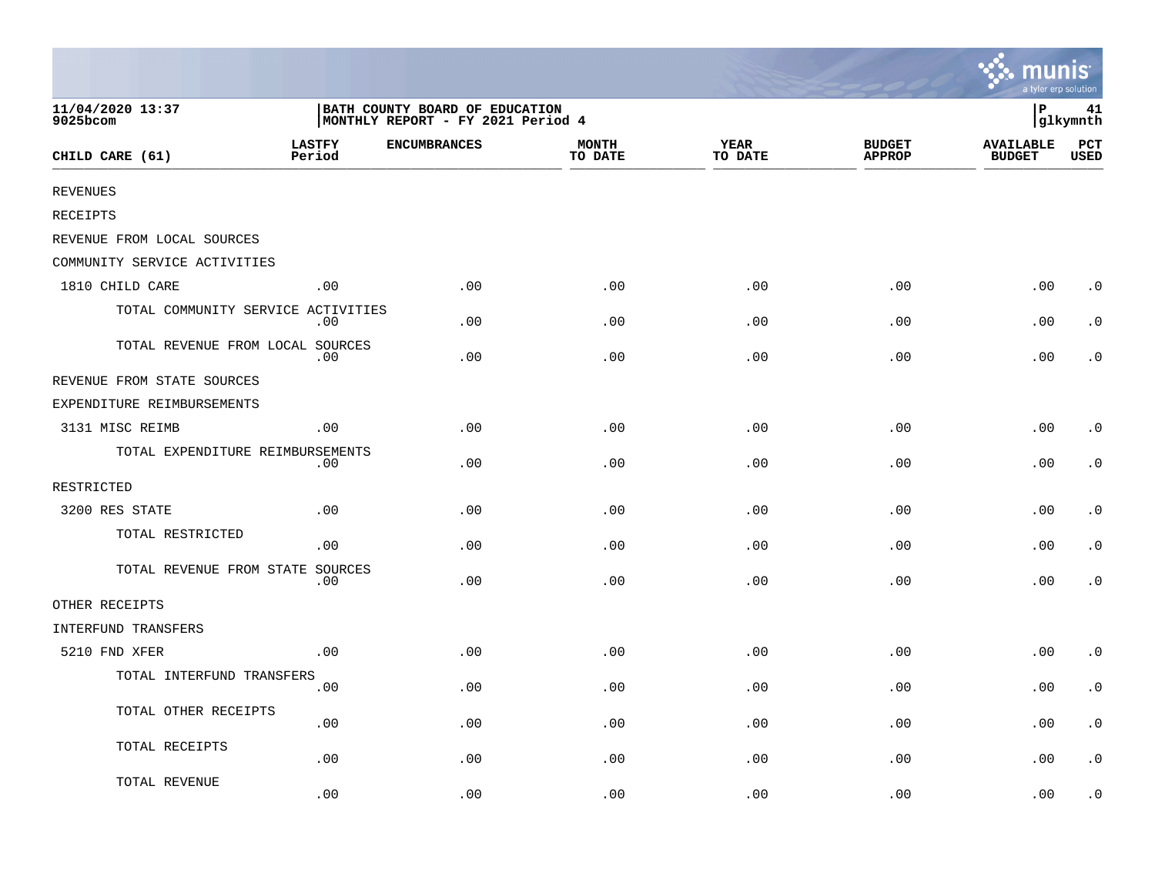|                                    |                         |                                                                     |                         |                        |                                | <b>A.</b> munis<br>a tyler erp solution |                    |
|------------------------------------|-------------------------|---------------------------------------------------------------------|-------------------------|------------------------|--------------------------------|-----------------------------------------|--------------------|
| 11/04/2020 13:37<br>9025bcom       |                         | BATH COUNTY BOARD OF EDUCATION<br>MONTHLY REPORT - FY 2021 Period 4 |                         |                        |                                | l P                                     | 41<br>glkymnth     |
| CHILD CARE (61)                    | <b>LASTFY</b><br>Period | <b>ENCUMBRANCES</b>                                                 | <b>MONTH</b><br>TO DATE | <b>YEAR</b><br>TO DATE | <b>BUDGET</b><br><b>APPROP</b> | <b>AVAILABLE</b><br><b>BUDGET</b>       | PCT<br><b>USED</b> |
| <b>REVENUES</b>                    |                         |                                                                     |                         |                        |                                |                                         |                    |
| <b>RECEIPTS</b>                    |                         |                                                                     |                         |                        |                                |                                         |                    |
| REVENUE FROM LOCAL SOURCES         |                         |                                                                     |                         |                        |                                |                                         |                    |
| COMMUNITY SERVICE ACTIVITIES       |                         |                                                                     |                         |                        |                                |                                         |                    |
| 1810 CHILD CARE                    | .00                     | .00                                                                 | .00                     | .00                    | .00                            | .00                                     | $\cdot$ 0          |
| TOTAL COMMUNITY SERVICE ACTIVITIES | .00                     | .00                                                                 | .00                     | .00                    | .00                            | .00                                     | $\cdot$ 0          |
| TOTAL REVENUE FROM LOCAL SOURCES   | .00                     | .00                                                                 | .00                     | .00                    | .00                            | .00                                     | $\cdot$ 0          |
| REVENUE FROM STATE SOURCES         |                         |                                                                     |                         |                        |                                |                                         |                    |
| EXPENDITURE REIMBURSEMENTS         |                         |                                                                     |                         |                        |                                |                                         |                    |
| 3131 MISC REIMB                    | .00                     | .00                                                                 | .00                     | .00                    | .00                            | .00                                     | $\cdot$ 0          |
| TOTAL EXPENDITURE REIMBURSEMENTS   | .00                     | .00                                                                 | .00                     | .00                    | .00                            | .00                                     | $\cdot$ 0          |
| RESTRICTED                         |                         |                                                                     |                         |                        |                                |                                         |                    |
| 3200 RES STATE                     | .00                     | .00                                                                 | .00                     | .00                    | .00                            | .00                                     | $\cdot$ 0          |
| TOTAL RESTRICTED                   | .00                     | .00                                                                 | .00                     | .00                    | .00                            | .00                                     | $\cdot$ 0          |
| TOTAL REVENUE FROM STATE SOURCES   | .00                     | .00                                                                 | .00                     | .00                    | .00                            | .00                                     | $\cdot$ 0          |
| OTHER RECEIPTS                     |                         |                                                                     |                         |                        |                                |                                         |                    |
| INTERFUND TRANSFERS                |                         |                                                                     |                         |                        |                                |                                         |                    |
| 5210 FND XFER                      | .00                     | .00                                                                 | .00                     | .00                    | .00                            | .00                                     | $\cdot$ 0          |
| TOTAL INTERFUND TRANSFERS          | .00                     | .00                                                                 | .00                     | .00                    | .00                            | .00                                     | $\cdot$ 0          |
| TOTAL OTHER RECEIPTS               | .00                     | .00                                                                 | .00                     | .00                    | .00                            | .00                                     | $\cdot$ 0          |
| TOTAL RECEIPTS                     | .00                     | .00                                                                 | .00                     | .00                    | .00                            | .00                                     | $\cdot$ 0          |
| TOTAL REVENUE                      | .00                     | .00                                                                 | .00                     | .00                    | .00                            | .00                                     | $\cdot$ 0          |

 $\sim$   $\sim$   $\sim$   $\sim$   $\sim$   $\sim$   $\sim$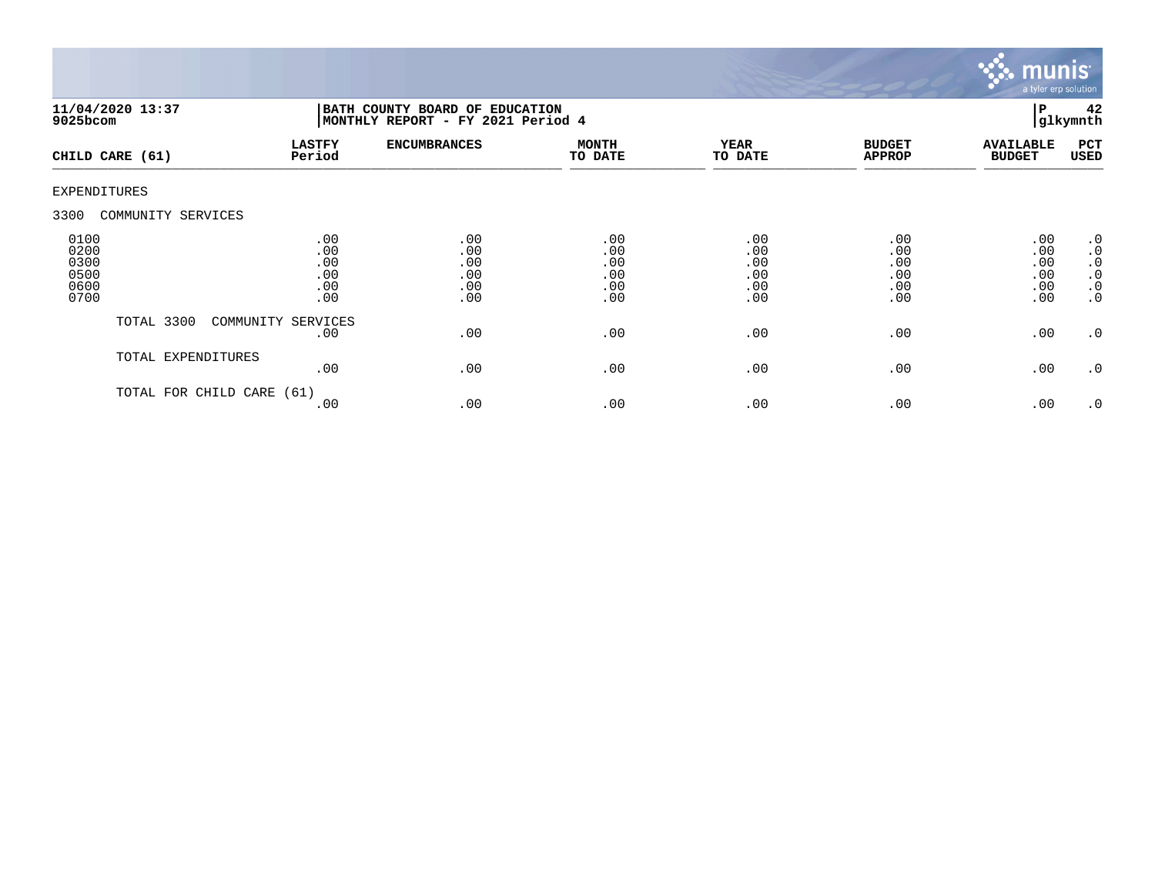

| $9025$ bcom                                  | 11/04/2020 13:37     | BATH COUNTY BOARD OF EDUCATION<br>MONTHLY REPORT - FY 2021 Period 4 |                                        |                                        |                                        |                                        |                                        | 42<br>glkymnth                                                                   |
|----------------------------------------------|----------------------|---------------------------------------------------------------------|----------------------------------------|----------------------------------------|----------------------------------------|----------------------------------------|----------------------------------------|----------------------------------------------------------------------------------|
|                                              | CHILD CARE (61)      | <b>LASTFY</b><br>Period                                             | <b>ENCUMBRANCES</b>                    | <b>MONTH</b><br>TO DATE                | <b>YEAR</b><br>TO DATE                 | <b>BUDGET</b><br><b>APPROP</b>         | <b>AVAILABLE</b><br><b>BUDGET</b>      | PCT<br>USED                                                                      |
| <b>EXPENDITURES</b>                          |                      |                                                                     |                                        |                                        |                                        |                                        |                                        |                                                                                  |
| 3300                                         | COMMUNITY SERVICES   |                                                                     |                                        |                                        |                                        |                                        |                                        |                                                                                  |
| 0100<br>0200<br>0300<br>0500<br>0600<br>0700 |                      | .00<br>.00<br>.00<br>.00<br>.00<br>.00                              | .00<br>.00<br>.00<br>.00<br>.00<br>.00 | .00<br>.00<br>.00<br>.00<br>.00<br>.00 | .00<br>.00<br>.00<br>.00<br>.00<br>.00 | .00<br>.00<br>.00<br>.00<br>.00<br>.00 | .00<br>.00<br>.00<br>.00<br>.00<br>.00 | .0<br>$\boldsymbol{\cdot}$ 0<br>$\cdot$ 0<br>$\cdot$ 0<br>$\cdot$ 0<br>$\cdot$ 0 |
|                                              | TOTAL 3300           | COMMUNITY SERVICES<br>.00                                           | .00                                    | .00                                    | .00                                    | .00                                    | .00                                    | $\cdot$ 0                                                                        |
|                                              | TOTAL EXPENDITURES   | .00                                                                 | .00                                    | .00                                    | .00                                    | .00                                    | .00                                    | $\cdot$ 0                                                                        |
|                                              | TOTAL FOR CHILD CARE | (61)<br>.00                                                         | .00                                    | .00                                    | .00                                    | .00                                    | .00                                    | .0                                                                               |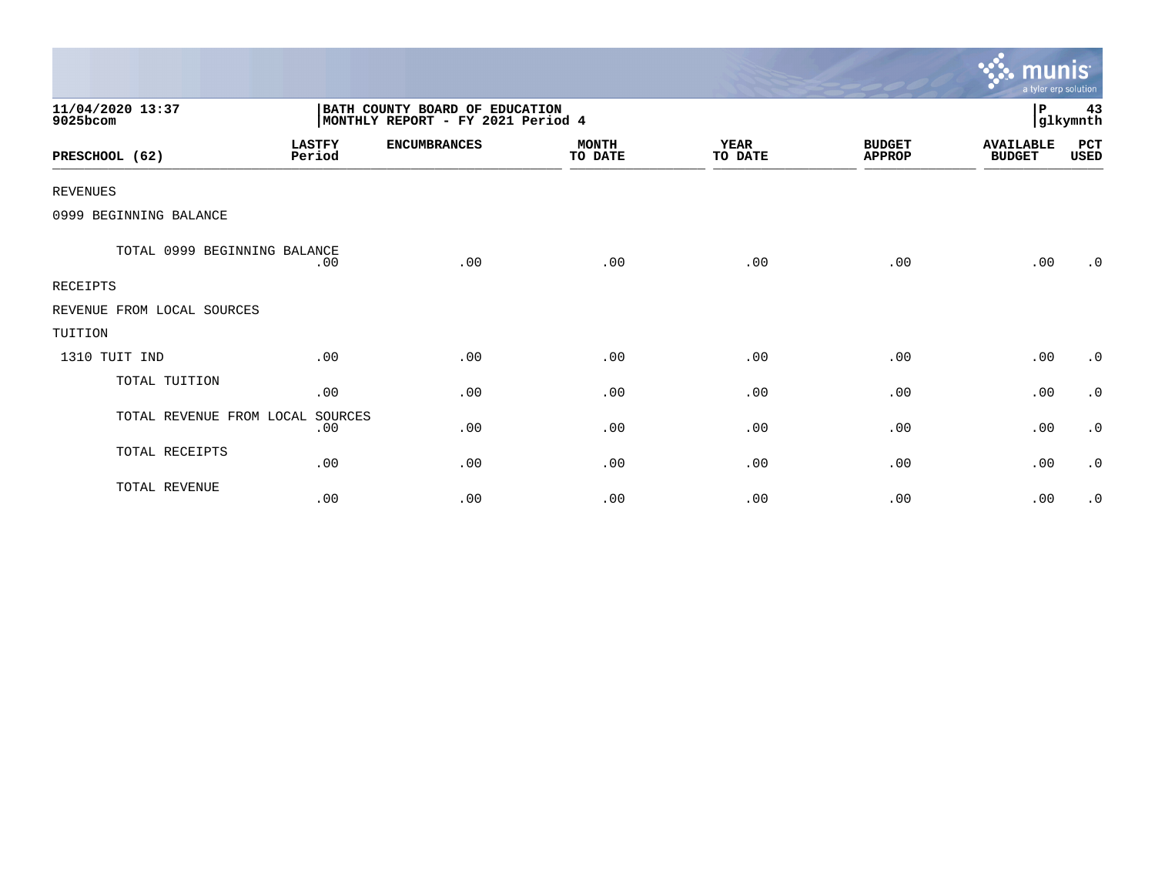|                              |                         |                                                                     |                         |                        |                                | munis <sup>.</sup><br>a tyler erp solution |                |
|------------------------------|-------------------------|---------------------------------------------------------------------|-------------------------|------------------------|--------------------------------|--------------------------------------------|----------------|
| 11/04/2020 13:37<br>9025bcom |                         | BATH COUNTY BOARD OF EDUCATION<br>MONTHLY REPORT - FY 2021 Period 4 |                         |                        |                                | P                                          | 43<br>glkymnth |
| PRESCHOOL (62)               | <b>LASTFY</b><br>Period | <b>ENCUMBRANCES</b>                                                 | <b>MONTH</b><br>TO DATE | <b>YEAR</b><br>TO DATE | <b>BUDGET</b><br><b>APPROP</b> | <b>AVAILABLE</b><br><b>BUDGET</b>          | PCT<br>USED    |
| <b>REVENUES</b>              |                         |                                                                     |                         |                        |                                |                                            |                |
| 0999 BEGINNING BALANCE       |                         |                                                                     |                         |                        |                                |                                            |                |
| TOTAL 0999 BEGINNING BALANCE | .00                     | .00                                                                 | .00                     | .00                    | .00                            | .00                                        | .0             |
| <b>RECEIPTS</b>              |                         |                                                                     |                         |                        |                                |                                            |                |
| REVENUE FROM LOCAL SOURCES   |                         |                                                                     |                         |                        |                                |                                            |                |
| TUITION                      |                         |                                                                     |                         |                        |                                |                                            |                |
| 1310 TUIT IND                | .00                     | .00                                                                 | .00                     | .00                    | .00                            | .00                                        | $\cdot$ 0      |
| TOTAL TUITION                | .00                     | .00                                                                 | .00                     | .00                    | .00                            | .00                                        | $\cdot$ 0      |
| TOTAL REVENUE FROM LOCAL     | SOURCES<br>.00          | .00                                                                 | .00                     | .00                    | .00                            | .00                                        | $\cdot$ 0      |
| TOTAL RECEIPTS               | .00                     | .00                                                                 | .00                     | .00                    | .00                            | .00                                        | $\cdot$ 0      |
| TOTAL REVENUE                | .00                     | .00                                                                 | .00                     | .00                    | .00                            | .00                                        | $\cdot$ 0      |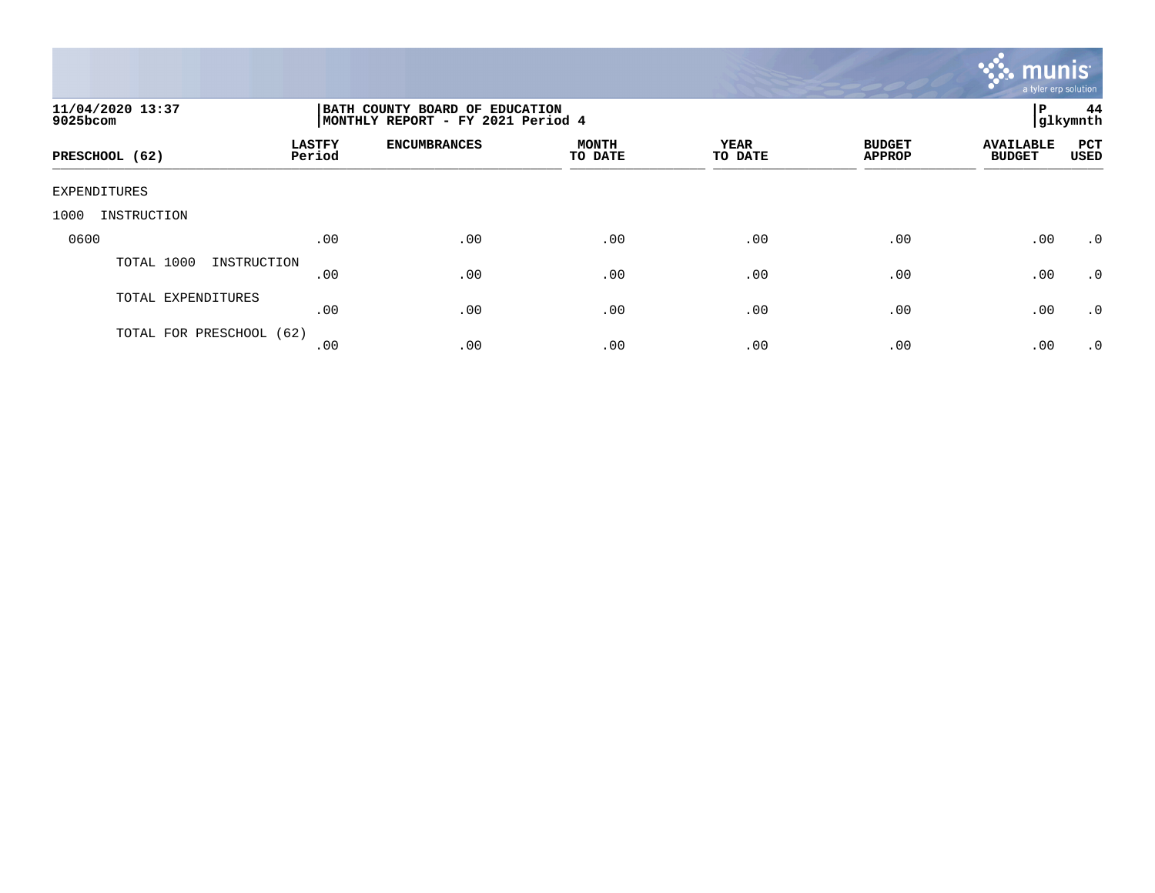

| 11/04/2020 13:37<br>9025bcom | 44<br>ï₽<br>BATH COUNTY BOARD OF EDUCATION<br>glkymnth<br> MONTHLY REPORT - FY 2021 Period 4 |                     |                         |                        |                                |                                   |                           |  |  |
|------------------------------|----------------------------------------------------------------------------------------------|---------------------|-------------------------|------------------------|--------------------------------|-----------------------------------|---------------------------|--|--|
| PRESCHOOL (62)               | <b>LASTFY</b><br>Period                                                                      | <b>ENCUMBRANCES</b> | <b>MONTH</b><br>TO DATE | <b>YEAR</b><br>TO DATE | <b>BUDGET</b><br><b>APPROP</b> | <b>AVAILABLE</b><br><b>BUDGET</b> | <b>PCT</b><br><b>USED</b> |  |  |
| EXPENDITURES                 |                                                                                              |                     |                         |                        |                                |                                   |                           |  |  |
| INSTRUCTION<br>1000          |                                                                                              |                     |                         |                        |                                |                                   |                           |  |  |
| 0600                         | .00                                                                                          | .00                 | .00                     | .00                    | .00                            | .00                               | $\cdot$ 0                 |  |  |
| TOTAL 1000<br>INSTRUCTION    | .00                                                                                          | .00                 | .00                     | .00                    | .00                            | .00                               | $\cdot$ 0                 |  |  |
| TOTAL EXPENDITURES           | .00                                                                                          | .00                 | .00                     | .00                    | .00                            | .00                               | .0                        |  |  |
| TOTAL FOR PRESCHOOL (62)     | .00                                                                                          | .00                 | .00                     | .00                    | .00                            | .00                               | $\cdot$ 0                 |  |  |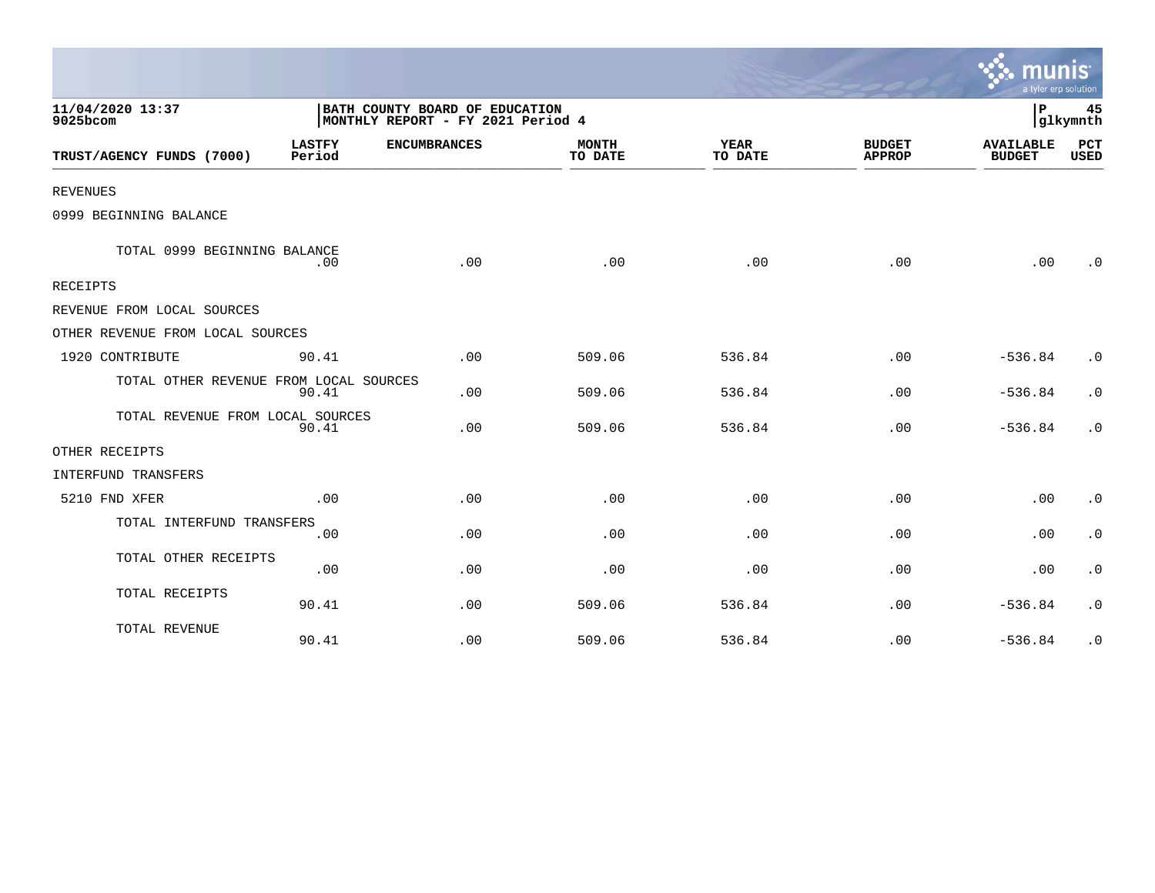|                                        |                         |                                                                     |                         |                 |                                | a tyler erp solution              |                    |
|----------------------------------------|-------------------------|---------------------------------------------------------------------|-------------------------|-----------------|--------------------------------|-----------------------------------|--------------------|
| 11/04/2020 13:37<br>9025bcom           |                         | BATH COUNTY BOARD OF EDUCATION<br>MONTHLY REPORT - FY 2021 Period 4 |                         |                 |                                | P                                 | 45<br>glkymnth     |
| TRUST/AGENCY FUNDS (7000)              | <b>LASTFY</b><br>Period | <b>ENCUMBRANCES</b>                                                 | <b>MONTH</b><br>TO DATE | YEAR<br>TO DATE | <b>BUDGET</b><br><b>APPROP</b> | <b>AVAILABLE</b><br><b>BUDGET</b> | PCT<br><b>USED</b> |
| <b>REVENUES</b>                        |                         |                                                                     |                         |                 |                                |                                   |                    |
| 0999 BEGINNING BALANCE                 |                         |                                                                     |                         |                 |                                |                                   |                    |
| TOTAL 0999 BEGINNING BALANCE           | .00                     | .00                                                                 | .00                     | .00             | .00.                           | .00                               | $\cdot$ 0          |
| RECEIPTS                               |                         |                                                                     |                         |                 |                                |                                   |                    |
| REVENUE FROM LOCAL SOURCES             |                         |                                                                     |                         |                 |                                |                                   |                    |
| OTHER REVENUE FROM LOCAL SOURCES       |                         |                                                                     |                         |                 |                                |                                   |                    |
| 1920 CONTRIBUTE                        | 90.41                   | .00                                                                 | 509.06                  | 536.84          | .00                            | $-536.84$                         | $\cdot$ 0          |
| TOTAL OTHER REVENUE FROM LOCAL SOURCES | 90.41                   | .00                                                                 | 509.06                  | 536.84          | .00                            | $-536.84$                         | $\cdot$ 0          |
| TOTAL REVENUE FROM LOCAL SOURCES       | 90.41                   | .00                                                                 | 509.06                  | 536.84          | .00                            | $-536.84$                         | $\cdot$ 0          |
| OTHER RECEIPTS                         |                         |                                                                     |                         |                 |                                |                                   |                    |
| INTERFUND TRANSFERS                    |                         |                                                                     |                         |                 |                                |                                   |                    |
| 5210 FND XFER                          | .00                     | .00                                                                 | .00                     | .00             | .00                            | .00                               | $\cdot$ 0          |
| TOTAL INTERFUND TRANSFERS              | .00                     | .00                                                                 | .00                     | .00             | .00                            | .00                               | $\cdot$ 0          |
| TOTAL OTHER RECEIPTS                   | .00                     | .00                                                                 | .00                     | .00             | .00                            | .00                               | $\cdot$ 0          |
| TOTAL RECEIPTS                         | 90.41                   | .00                                                                 | 509.06                  | 536.84          | .00                            | $-536.84$                         | $\cdot$ 0          |
| TOTAL REVENUE                          | 90.41                   | .00                                                                 | 509.06                  | 536.84          | .00                            | $-536.84$                         | $\cdot$ 0          |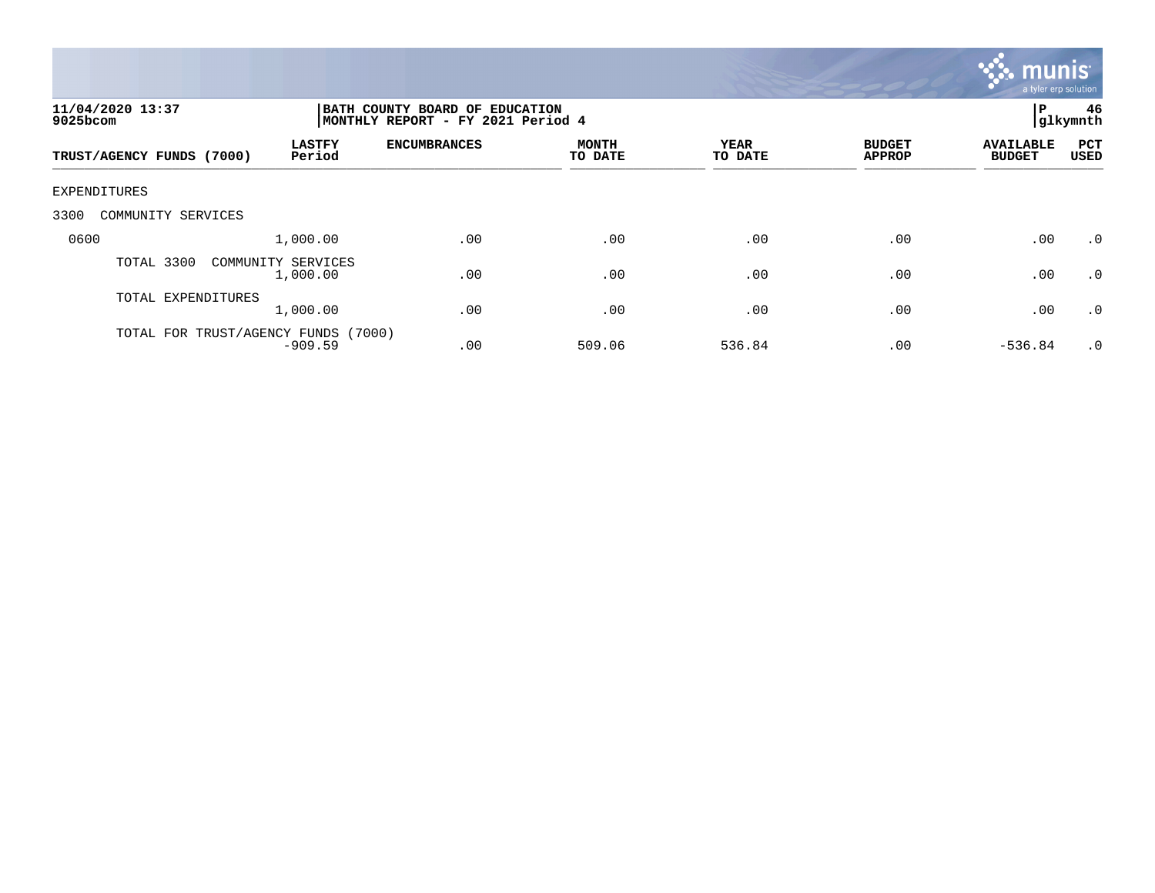

| 11/04/2020 13:37<br>9025bcom                         | BATH COUNTY BOARD OF EDUCATION<br>P<br>glkymnth<br>MONTHLY REPORT - FY 2021 Period 4 |                         |                 |                                |                                   |                    |  |
|------------------------------------------------------|--------------------------------------------------------------------------------------|-------------------------|-----------------|--------------------------------|-----------------------------------|--------------------|--|
| <b>LASTFY</b><br>Period<br>TRUST/AGENCY FUNDS (7000) | <b>ENCUMBRANCES</b>                                                                  | <b>MONTH</b><br>TO DATE | YEAR<br>TO DATE | <b>BUDGET</b><br><b>APPROP</b> | <b>AVAILABLE</b><br><b>BUDGET</b> | PCT<br><b>USED</b> |  |
| EXPENDITURES                                         |                                                                                      |                         |                 |                                |                                   |                    |  |
| 3300<br>COMMUNITY SERVICES                           |                                                                                      |                         |                 |                                |                                   |                    |  |
| 0600<br>1,000.00                                     | .00                                                                                  | .00                     | .00             | .00                            | .00                               | $\cdot$ 0          |  |
| TOTAL 3300<br>COMMUNITY SERVICES<br>1,000.00         | .00                                                                                  | .00                     | .00             | .00                            | .00                               | .0                 |  |
| TOTAL EXPENDITURES<br>1,000.00                       | .00                                                                                  | .00                     | .00             | .00                            | .00                               | $\cdot$ 0          |  |
| TOTAL FOR TRUST/AGENCY FUNDS<br>$-909.59$            | (7000)<br>.00                                                                        | 509.06                  | 536.84          | .00                            | $-536.84$                         | $\cdot$ 0          |  |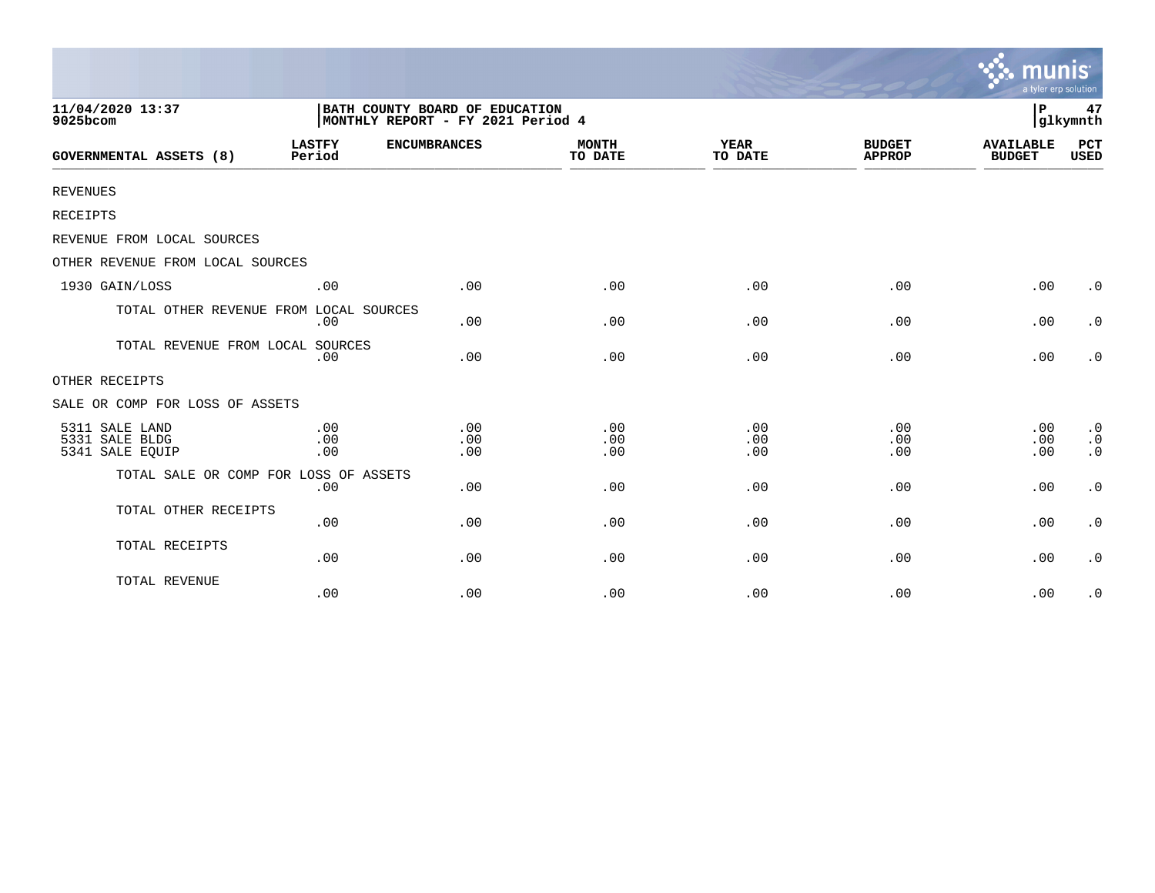|                                                     |                         |                                                                     |                         |                        |                                | munis<br>a tyler erp solution     |                                     |
|-----------------------------------------------------|-------------------------|---------------------------------------------------------------------|-------------------------|------------------------|--------------------------------|-----------------------------------|-------------------------------------|
| 11/04/2020 13:37<br>9025bcom                        |                         | BATH COUNTY BOARD OF EDUCATION<br>MONTHLY REPORT - FY 2021 Period 4 |                         |                        |                                | l P                               | 47<br>glkymnth                      |
| <b>GOVERNMENTAL ASSETS (8)</b>                      | <b>LASTFY</b><br>Period | <b>ENCUMBRANCES</b>                                                 | <b>MONTH</b><br>TO DATE | <b>YEAR</b><br>TO DATE | <b>BUDGET</b><br><b>APPROP</b> | <b>AVAILABLE</b><br><b>BUDGET</b> | <b>PCT</b><br><b>USED</b>           |
| <b>REVENUES</b>                                     |                         |                                                                     |                         |                        |                                |                                   |                                     |
| RECEIPTS                                            |                         |                                                                     |                         |                        |                                |                                   |                                     |
| REVENUE FROM LOCAL SOURCES                          |                         |                                                                     |                         |                        |                                |                                   |                                     |
| OTHER REVENUE FROM LOCAL SOURCES                    |                         |                                                                     |                         |                        |                                |                                   |                                     |
| 1930 GAIN/LOSS                                      | .00                     | .00                                                                 | .00                     | .00                    | .00                            | .00                               | $\cdot$ 0                           |
| TOTAL OTHER REVENUE FROM LOCAL SOURCES              | .00                     | .00                                                                 | .00                     | .00                    | .00                            | .00                               | $\cdot$ 0                           |
| TOTAL REVENUE FROM LOCAL SOURCES                    | .00                     | .00                                                                 | .00                     | .00                    | .00                            | .00                               | $\cdot$ 0                           |
| OTHER RECEIPTS                                      |                         |                                                                     |                         |                        |                                |                                   |                                     |
| SALE OR COMP FOR LOSS OF ASSETS                     |                         |                                                                     |                         |                        |                                |                                   |                                     |
| 5311 SALE LAND<br>5331 SALE BLDG<br>5341 SALE EQUIP | .00<br>.00<br>.00       | .00<br>.00<br>.00                                                   | .00<br>.00<br>.00       | .00<br>.00<br>.00      | .00<br>.00<br>.00              | .00<br>.00<br>.00                 | $\cdot$ 0<br>$\cdot$ 0<br>$\cdot$ 0 |
| TOTAL SALE OR COMP FOR LOSS OF ASSETS               | .00                     | .00                                                                 | .00                     | .00                    | .00                            | .00                               | $\cdot$ 0                           |
| TOTAL OTHER RECEIPTS                                | .00                     | .00                                                                 | .00                     | .00                    | .00                            | .00                               | $\cdot$ 0                           |
| TOTAL RECEIPTS                                      | .00                     | .00                                                                 | .00                     | .00                    | .00                            | .00                               | $\cdot$ 0                           |
| TOTAL REVENUE                                       | .00                     | .00                                                                 | .00                     | .00                    | .00                            | .00                               | $\cdot$ 0                           |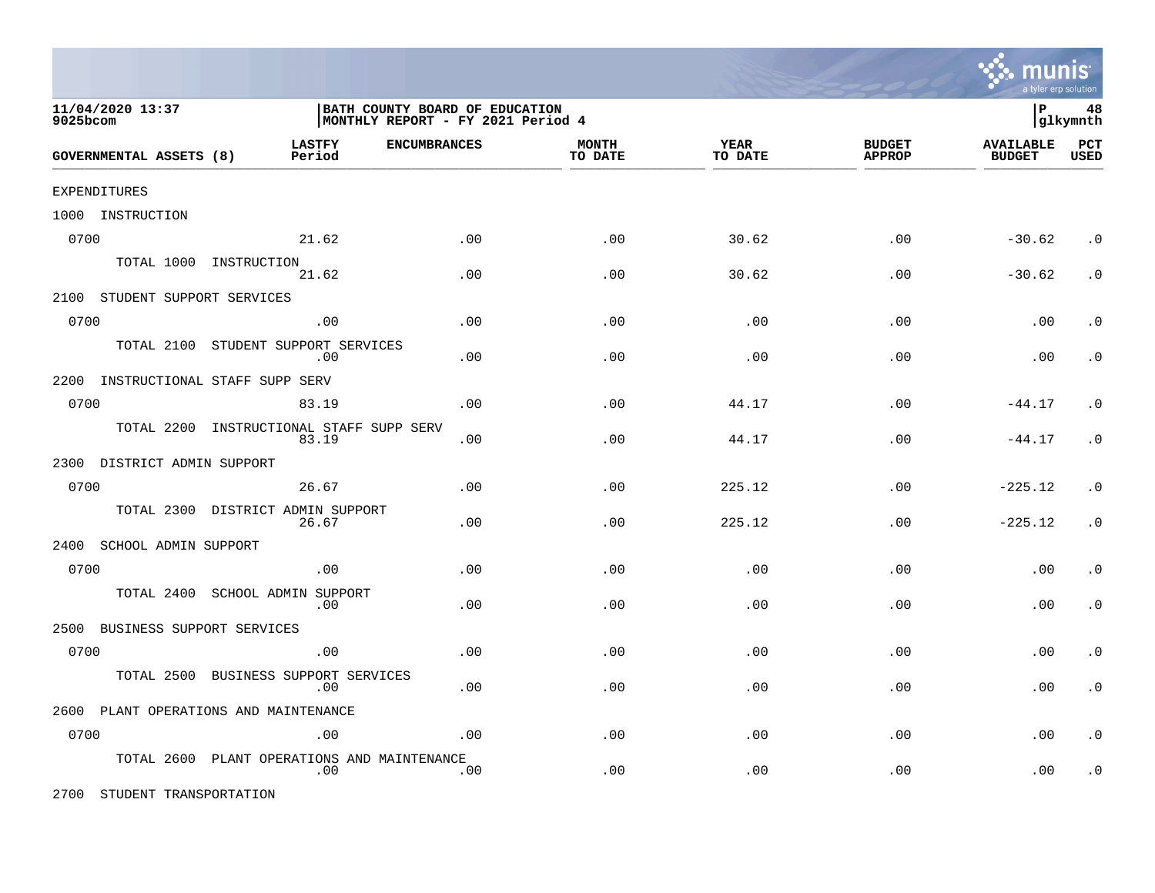

| 11/04/2020 13:37<br>9025bcom       |                                                | BATH COUNTY BOARD OF EDUCATION<br>MONTHLY REPORT - FY 2021 Period 4 |                         |                 |                                |                                   |                    |
|------------------------------------|------------------------------------------------|---------------------------------------------------------------------|-------------------------|-----------------|--------------------------------|-----------------------------------|--------------------|
| GOVERNMENTAL ASSETS (8)            | <b>LASTFY</b><br><b>ENCUMBRANCES</b><br>Period |                                                                     | <b>MONTH</b><br>TO DATE | YEAR<br>TO DATE | <b>BUDGET</b><br><b>APPROP</b> | <b>AVAILABLE</b><br><b>BUDGET</b> | PCT<br><b>USED</b> |
| EXPENDITURES                       |                                                |                                                                     |                         |                 |                                |                                   |                    |
| 1000 INSTRUCTION                   |                                                |                                                                     |                         |                 |                                |                                   |                    |
| 0700                               | 21.62                                          | .00                                                                 | .00                     | 30.62           | .00                            | $-30.62$                          | $\cdot$ 0          |
|                                    | TOTAL 1000 INSTRUCTION<br>21.62                | .00                                                                 | .00                     | 30.62           | .00                            | $-30.62$                          | $\cdot$ 0          |
| 2100 STUDENT SUPPORT SERVICES      |                                                |                                                                     |                         |                 |                                |                                   |                    |
| 0700                               | .00                                            | .00                                                                 | .00                     | .00             | .00                            | .00                               | . $\boldsymbol{0}$ |
| TOTAL 2100                         | STUDENT SUPPORT SERVICES<br>.00                | .00                                                                 | .00                     | .00             | .00                            | .00                               | $\cdot$ 0          |
| 2200 INSTRUCTIONAL STAFF SUPP SERV |                                                |                                                                     |                         |                 |                                |                                   |                    |
| 0700                               | 83.19                                          | .00                                                                 | .00                     | 44.17           | .00                            | $-44.17$                          | $\cdot$ 0          |
| TOTAL 2200                         | INSTRUCTIONAL STAFF SUPP SERV<br>83.19         | .00                                                                 | .00                     | 44.17           | .00                            | $-44.17$                          | $\cdot$ 0          |
| 2300 DISTRICT ADMIN SUPPORT        |                                                |                                                                     |                         |                 |                                |                                   |                    |
| 0700                               | 26.67                                          | .00                                                                 | .00                     | 225.12          | .00                            | $-225.12$                         | $\cdot$ 0          |
| TOTAL 2300                         | DISTRICT ADMIN SUPPORT<br>26.67                | .00                                                                 | .00                     | 225.12          | .00                            | $-225.12$                         | $\cdot$ 0          |
| 2400<br>SCHOOL ADMIN SUPPORT       |                                                |                                                                     |                         |                 |                                |                                   |                    |
| 0700                               | .00                                            | .00                                                                 | .00                     | .00             | .00                            | .00                               | $\cdot$ 0          |
| TOTAL 2400                         | SCHOOL ADMIN SUPPORT<br>.00                    | .00                                                                 | .00                     | .00             | .00                            | .00                               | $\cdot$ 0          |
| BUSINESS SUPPORT SERVICES<br>2500  |                                                |                                                                     |                         |                 |                                |                                   |                    |
| 0700                               | .00                                            | .00                                                                 | .00                     | .00             | .00                            | .00                               | $\cdot$ 0          |
| TOTAL 2500                         | BUSINESS SUPPORT SERVICES<br>.00               | .00                                                                 | .00                     | .00             | .00                            | .00                               | $\cdot$ 0          |
|                                    | 2600 PLANT OPERATIONS AND MAINTENANCE          |                                                                     |                         |                 |                                |                                   |                    |
| 0700                               | .00                                            | .00                                                                 | .00                     | .00             | .00                            | .00                               | $\cdot$ 0          |
| TOTAL 2600                         | PLANT OPERATIONS AND MAINTENANCE<br>.00        | .00                                                                 | .00                     | .00             | .00                            | .00                               | $\cdot$ 0          |

2700 STUDENT TRANSPORTATION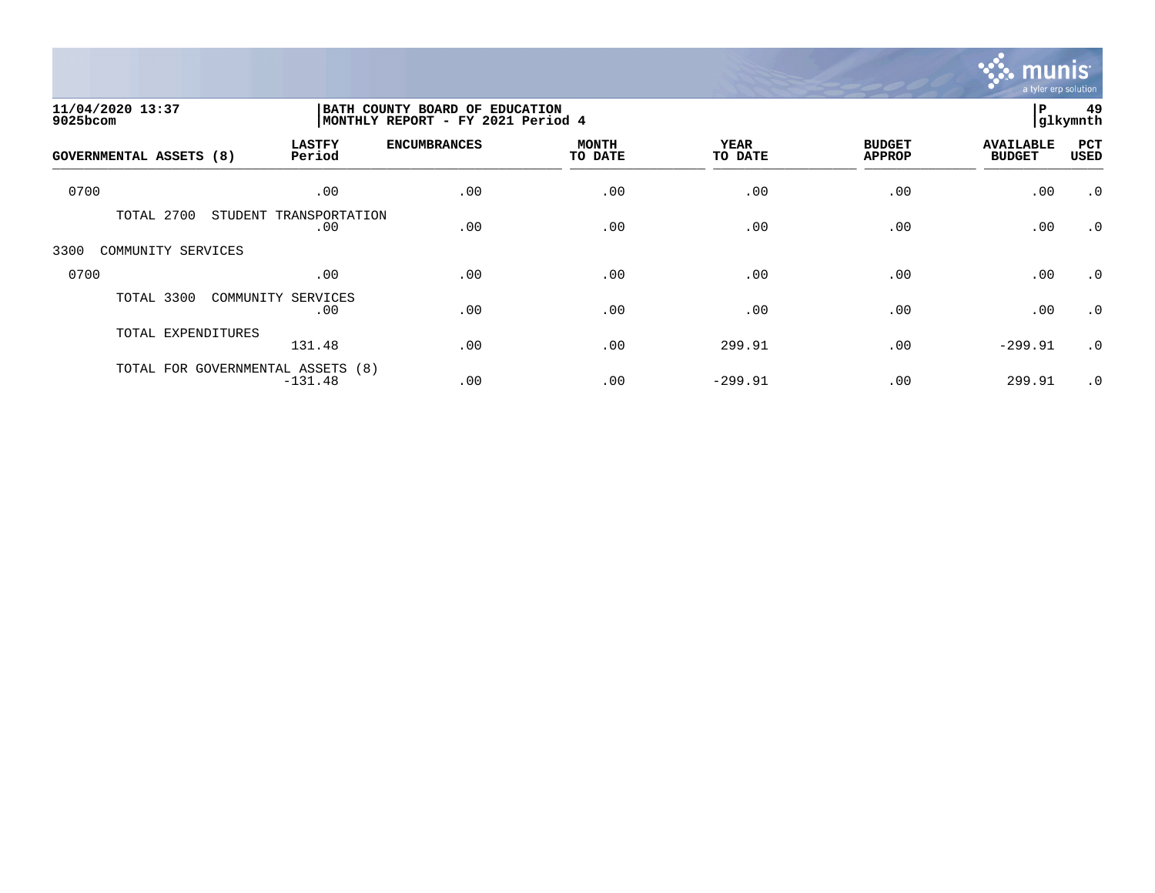

| 11/04/2020 13:37<br>9025bcom      |                           | BATH COUNTY BOARD OF EDUCATION<br>MONTHLY REPORT - FY 2021 Period 4 |                         |                 |                                |                                   |                    |
|-----------------------------------|---------------------------|---------------------------------------------------------------------|-------------------------|-----------------|--------------------------------|-----------------------------------|--------------------|
| <b>GOVERNMENTAL ASSETS (8)</b>    | <b>LASTFY</b><br>Period   | <b>ENCUMBRANCES</b>                                                 | <b>MONTH</b><br>TO DATE | YEAR<br>TO DATE | <b>BUDGET</b><br><b>APPROP</b> | <b>AVAILABLE</b><br><b>BUDGET</b> | PCT<br><b>USED</b> |
| 0700                              | .00                       | .00                                                                 | .00                     | .00             | .00                            | .00                               | $\cdot$ 0          |
| TOTAL 2700<br>STUDENT             | TRANSPORTATION<br>.00     | .00                                                                 | .00                     | .00             | .00                            | .00                               | $\cdot$ 0          |
| COMMUNITY SERVICES<br>3300        |                           |                                                                     |                         |                 |                                |                                   |                    |
| 0700                              | .00                       | .00                                                                 | .00                     | .00             | .00                            | .00                               | $\cdot$ 0          |
| TOTAL 3300                        | COMMUNITY SERVICES<br>.00 | .00                                                                 | .00                     | .00             | .00                            | .00                               | $\cdot$ 0          |
| TOTAL EXPENDITURES                | 131.48                    | .00                                                                 | .00                     | 299.91          | .00                            | $-299.91$                         | $\cdot$ 0          |
| TOTAL FOR GOVERNMENTAL ASSETS (8) | $-131.48$                 | .00                                                                 | .00                     | $-299.91$       | .00                            | 299.91                            | $\cdot$ 0          |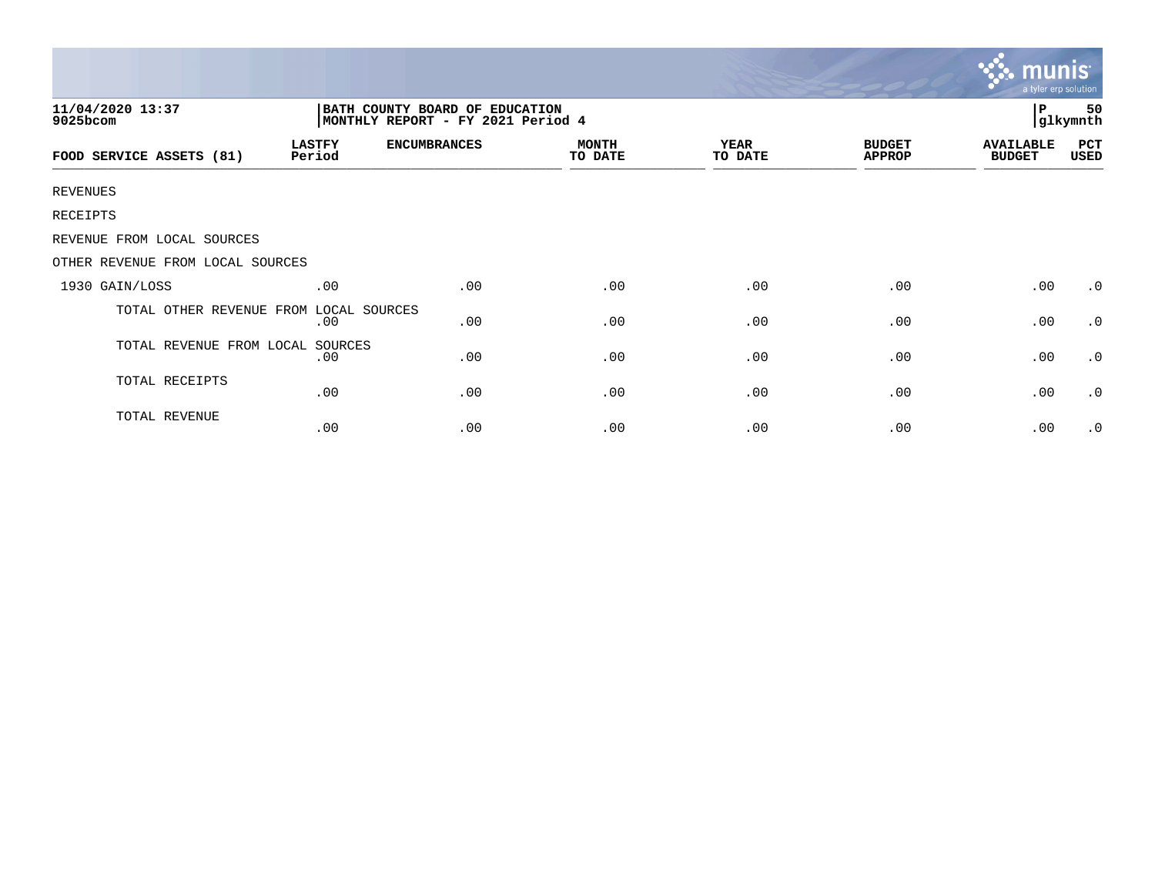|                                  |                         |                                                                     |                         |                 |                                | mun<br>a tyler erp solution       |                    |
|----------------------------------|-------------------------|---------------------------------------------------------------------|-------------------------|-----------------|--------------------------------|-----------------------------------|--------------------|
| 11/04/2020 13:37<br>9025bcom     |                         | BATH COUNTY BOARD OF EDUCATION<br>MONTHLY REPORT - FY 2021 Period 4 |                         |                 |                                | P                                 | 50<br>glkymnth     |
| FOOD SERVICE ASSETS (81)         | <b>LASTFY</b><br>Period | <b>ENCUMBRANCES</b>                                                 | <b>MONTH</b><br>TO DATE | YEAR<br>TO DATE | <b>BUDGET</b><br><b>APPROP</b> | <b>AVAILABLE</b><br><b>BUDGET</b> | <b>PCT</b><br>USED |
| <b>REVENUES</b>                  |                         |                                                                     |                         |                 |                                |                                   |                    |
| RECEIPTS                         |                         |                                                                     |                         |                 |                                |                                   |                    |
| REVENUE FROM LOCAL SOURCES       |                         |                                                                     |                         |                 |                                |                                   |                    |
| OTHER REVENUE FROM LOCAL SOURCES |                         |                                                                     |                         |                 |                                |                                   |                    |
| 1930 GAIN/LOSS                   | .00                     | .00                                                                 | .00                     | .00             | .00                            | .00                               | $\cdot$ 0          |
| TOTAL OTHER REVENUE FROM         | LOCAL SOURCES<br>.00    | .00                                                                 | .00                     | .00             | .00                            | .00                               | $\cdot$ 0          |
| TOTAL REVENUE FROM LOCAL         | SOURCES<br>.00          | .00                                                                 | .00                     | .00             | .00                            | .00                               | $\cdot$ 0          |
| TOTAL RECEIPTS                   | .00                     | .00                                                                 | .00                     | .00             | .00                            | .00                               | $\cdot$ 0          |
| TOTAL REVENUE                    | .00                     | .00                                                                 | .00                     | .00             | .00                            | .00                               | $\cdot$ 0          |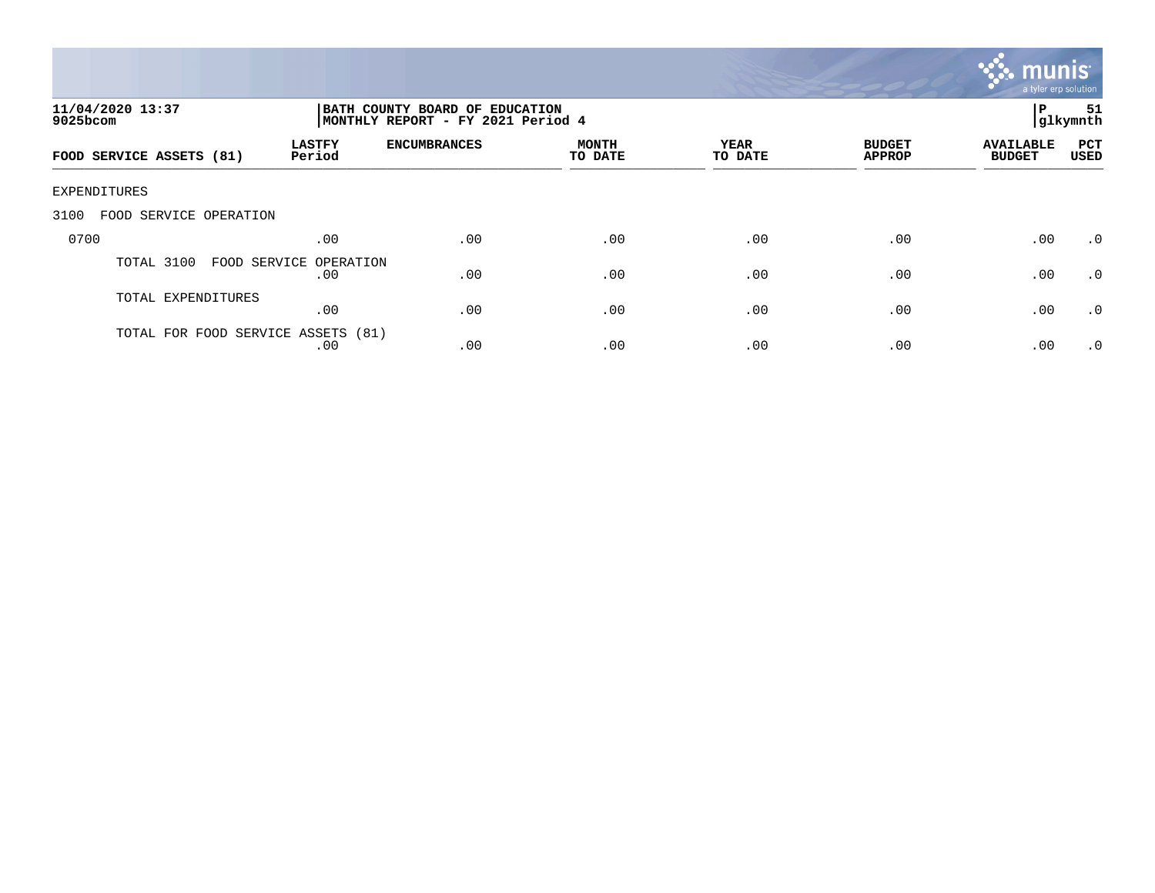

| 11/04/2020 13:37<br>$9025$ bcom    |                               | BATH COUNTY BOARD OF EDUCATION<br>MONTHLY REPORT - FY 2021 Period 4 |                         |                 |                                |                                   |                    |
|------------------------------------|-------------------------------|---------------------------------------------------------------------|-------------------------|-----------------|--------------------------------|-----------------------------------|--------------------|
| FOOD SERVICE ASSETS (81)           | <b>LASTFY</b><br>Period       | <b>ENCUMBRANCES</b>                                                 | <b>MONTH</b><br>TO DATE | YEAR<br>TO DATE | <b>BUDGET</b><br><b>APPROP</b> | <b>AVAILABLE</b><br><b>BUDGET</b> | PCT<br><b>USED</b> |
| EXPENDITURES                       |                               |                                                                     |                         |                 |                                |                                   |                    |
| FOOD SERVICE OPERATION<br>3100     |                               |                                                                     |                         |                 |                                |                                   |                    |
| 0700                               | .00                           | .00                                                                 | .00                     | .00             | .00                            | .00                               | .0                 |
| TOTAL 3100                         | FOOD SERVICE OPERATION<br>.00 | .00                                                                 | .00                     | .00             | .00                            | .00                               | .0                 |
| TOTAL EXPENDITURES                 | .00                           | .00                                                                 | .00                     | .00             | .00                            | .00                               | .0                 |
| TOTAL FOR FOOD SERVICE ASSETS (81) | .00                           | .00                                                                 | .00                     | .00             | .00                            | .00                               | .0                 |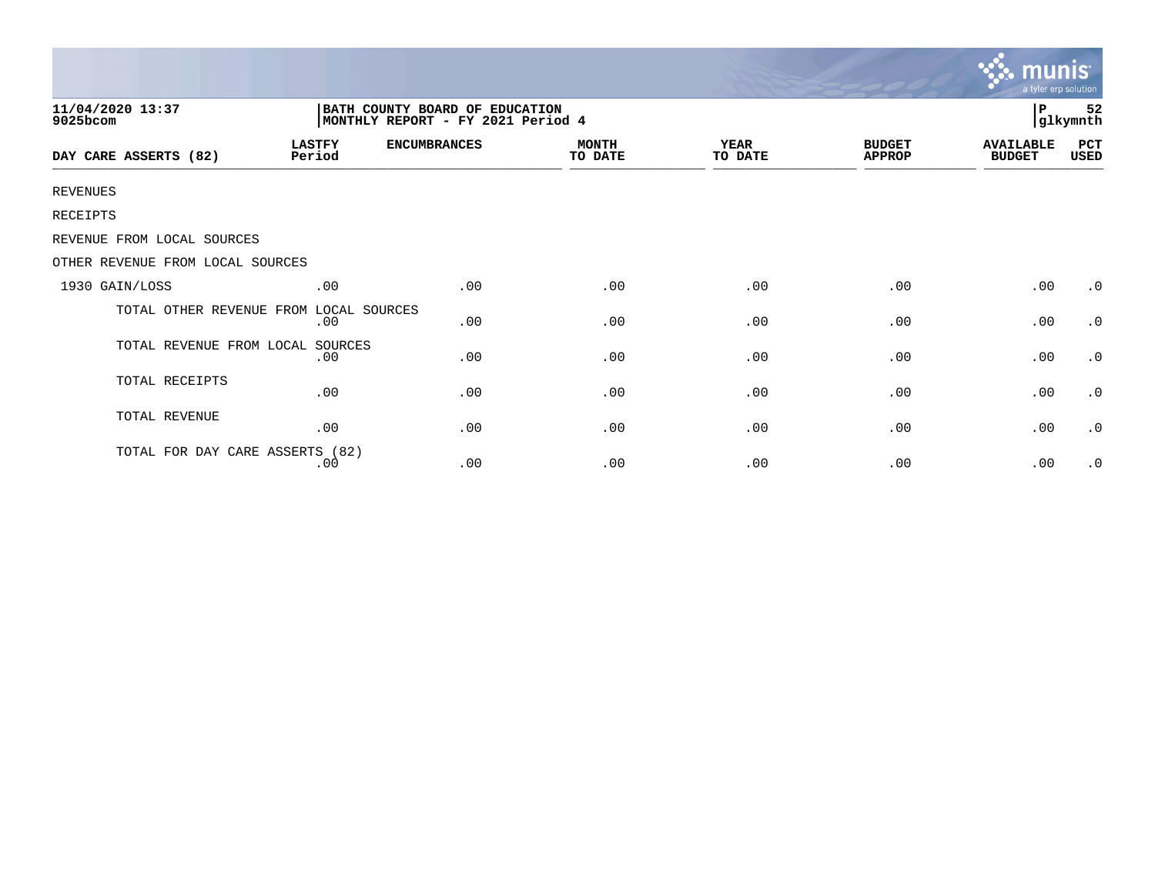|                                        |                                                                      |                     |                         |                 |                                | <b>munis</b><br>a tyler erp solution |                     |  |
|----------------------------------------|----------------------------------------------------------------------|---------------------|-------------------------|-----------------|--------------------------------|--------------------------------------|---------------------|--|
| 11/04/2020 13:37<br>9025bcom           | BATH COUNTY BOARD OF EDUCATION<br> MONTHLY REPORT - FY 2021 Period 4 |                     |                         |                 |                                |                                      | 52<br>P<br>glkymnth |  |
| DAY CARE ASSERTS (82)                  | <b>LASTFY</b><br>Period                                              | <b>ENCUMBRANCES</b> | <b>MONTH</b><br>TO DATE | YEAR<br>TO DATE | <b>BUDGET</b><br><b>APPROP</b> | <b>AVAILABLE</b><br><b>BUDGET</b>    | PCT<br>USED         |  |
| <b>REVENUES</b>                        |                                                                      |                     |                         |                 |                                |                                      |                     |  |
| RECEIPTS                               |                                                                      |                     |                         |                 |                                |                                      |                     |  |
| REVENUE FROM LOCAL SOURCES             |                                                                      |                     |                         |                 |                                |                                      |                     |  |
| OTHER REVENUE FROM LOCAL SOURCES       |                                                                      |                     |                         |                 |                                |                                      |                     |  |
| 1930 GAIN/LOSS                         | .00                                                                  | .00                 | .00                     | .00             | .00                            | .00                                  | $\cdot$ 0           |  |
| TOTAL OTHER REVENUE FROM LOCAL SOURCES | .00                                                                  | .00                 | .00                     | .00             | .00                            | .00                                  | $\cdot$ 0           |  |
| TOTAL REVENUE FROM LOCAL               | SOURCES<br>.00                                                       | .00                 | .00                     | .00             | .00                            | .00                                  | $\cdot$ 0           |  |
| TOTAL RECEIPTS                         | .00                                                                  | .00                 | .00                     | .00             | .00                            | .00                                  | $\cdot$ 0           |  |
| TOTAL REVENUE                          | .00                                                                  | .00                 | .00                     | .00             | .00                            | .00                                  | $\cdot$ 0           |  |
| TOTAL FOR DAY CARE ASSERTS (82)        | .00                                                                  | .00                 | .00                     | .00             | .00                            | .00                                  | $\cdot$ 0           |  |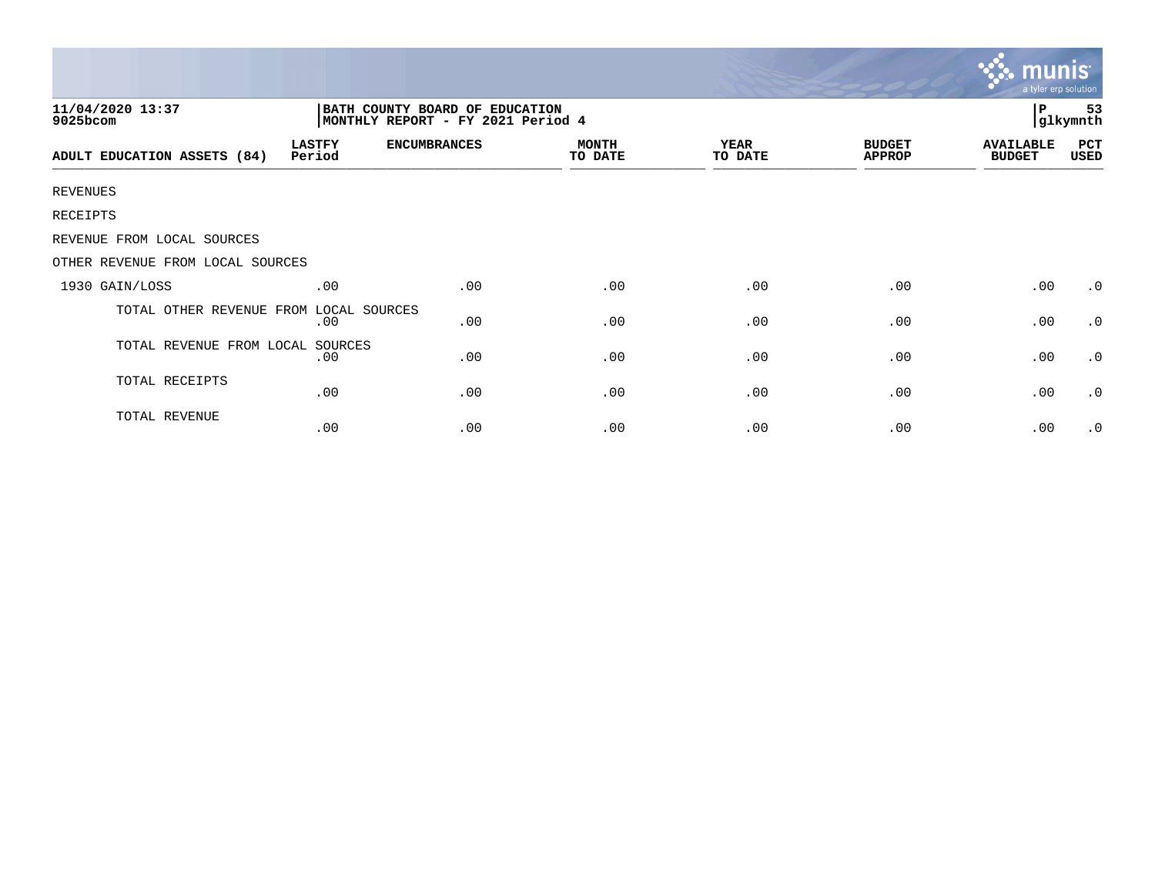|                                                                                                     |                         |                     |                         |                        |                                | mu<br>a tyler erp solution        |                       |  |  |
|-----------------------------------------------------------------------------------------------------|-------------------------|---------------------|-------------------------|------------------------|--------------------------------|-----------------------------------|-----------------------|--|--|
| 11/04/2020 13:37<br>BATH COUNTY BOARD OF EDUCATION<br>MONTHLY REPORT - FY 2021 Period 4<br>9025bcom |                         |                     |                         |                        |                                |                                   | l P<br>53<br>glkymnth |  |  |
| ADULT EDUCATION ASSETS (84)                                                                         | <b>LASTFY</b><br>Period | <b>ENCUMBRANCES</b> | <b>MONTH</b><br>TO DATE | <b>YEAR</b><br>TO DATE | <b>BUDGET</b><br><b>APPROP</b> | <b>AVAILABLE</b><br><b>BUDGET</b> | PCT<br>USED           |  |  |
| <b>REVENUES</b>                                                                                     |                         |                     |                         |                        |                                |                                   |                       |  |  |
| RECEIPTS                                                                                            |                         |                     |                         |                        |                                |                                   |                       |  |  |
| REVENUE FROM LOCAL SOURCES                                                                          |                         |                     |                         |                        |                                |                                   |                       |  |  |
| OTHER REVENUE FROM LOCAL SOURCES                                                                    |                         |                     |                         |                        |                                |                                   |                       |  |  |
| 1930 GAIN/LOSS                                                                                      | .00                     | .00                 | .00                     | .00                    | .00                            | .00                               | $\cdot$ 0             |  |  |
| TOTAL OTHER REVENUE FROM                                                                            | LOCAL SOURCES<br>.00    | .00                 | .00                     | .00                    | .00                            | .00                               | $\cdot$ 0             |  |  |
| TOTAL REVENUE FROM LOCAL SOURCES                                                                    | .00                     | .00                 | .00                     | .00                    | .00                            | .00                               | $\cdot$ 0             |  |  |
| TOTAL RECEIPTS                                                                                      | .00                     | .00                 | .00                     | .00                    | .00                            | .00                               | $\cdot$ 0             |  |  |
| TOTAL REVENUE                                                                                       | .00                     | .00                 | .00                     | .00                    | .00                            | .00                               | $\cdot$ 0             |  |  |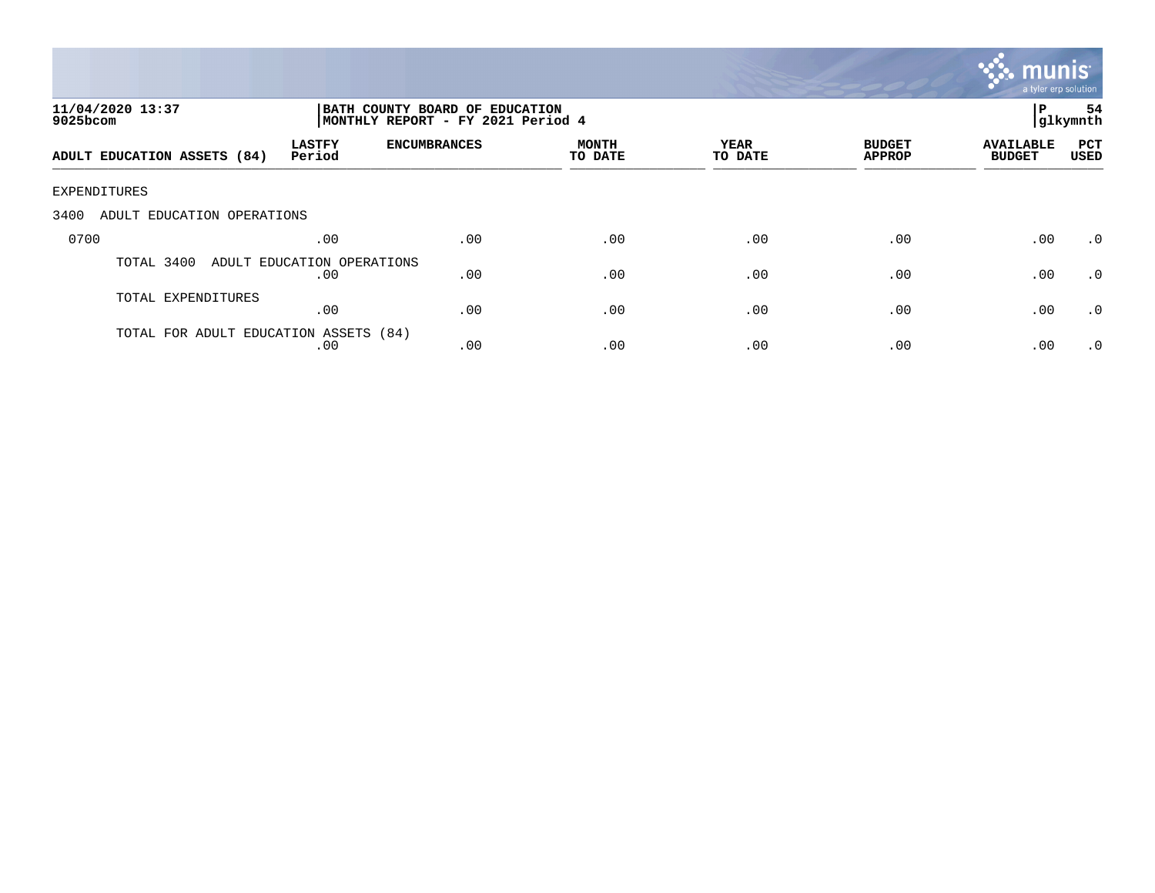

| 11/04/2020 13:37<br>9025bcom          | BATH COUNTY BOARD OF EDUCATION<br>MONTHLY REPORT - FY 2021 Period 4 |                     |                  |                 |                                |                                   | 54<br> glkymnth    |
|---------------------------------------|---------------------------------------------------------------------|---------------------|------------------|-----------------|--------------------------------|-----------------------------------|--------------------|
| ADULT EDUCATION ASSETS (84)           | <b>LASTFY</b><br>Period                                             | <b>ENCUMBRANCES</b> | MONTH<br>TO DATE | YEAR<br>TO DATE | <b>BUDGET</b><br><b>APPROP</b> | <b>AVAILABLE</b><br><b>BUDGET</b> | PCT<br><b>USED</b> |
| EXPENDITURES                          |                                                                     |                     |                  |                 |                                |                                   |                    |
| 3400<br>ADULT EDUCATION OPERATIONS    |                                                                     |                     |                  |                 |                                |                                   |                    |
| 0700                                  | .00                                                                 | .00                 | .00              | .00             | .00                            | .00                               | $\cdot$ 0          |
| TOTAL 3400                            | ADULT EDUCATION OPERATIONS<br>.00                                   | .00                 | .00              | .00             | .00                            | .00                               | $\cdot$ 0          |
| TOTAL EXPENDITURES                    | .00                                                                 | .00                 | .00              | .00             | .00                            | .00                               | .0                 |
| TOTAL FOR ADULT EDUCATION ASSETS (84) | .00                                                                 | .00                 | .00              | .00             | .00                            | .00                               | $\cdot$ 0          |